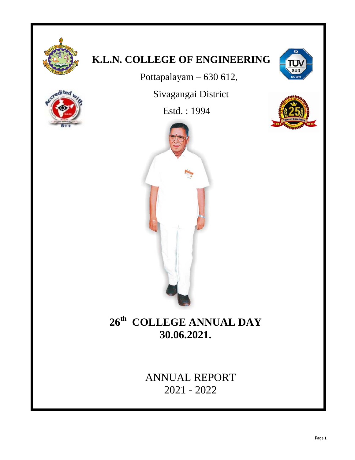

# **K.L.N. COLLEGE OF ENGINEERING**

Pottapalayam – 630 612,

Sivagangai District

Estd. : 1994





# **26th COLLEGE ANNUAL DAY 30.06.2021.**

ANNUAL REPORT 2021 - 2022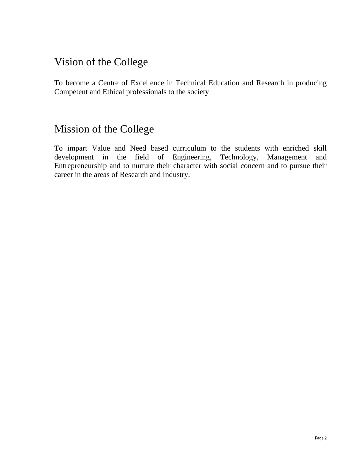# Vision of the College

To become a Centre of Excellence in Technical Education and Research in producing Competent and Ethical professionals to the society

# Mission of the College

To impart Value and Need based curriculum to the students with enriched skill development in the field of Engineering, Technology, Management and Entrepreneurship and to nurture their character with social concern and to pursue their career in the areas of Research and Industry.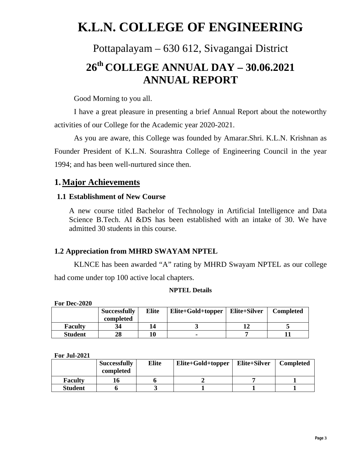# **K.L.N. COLLEGE OF ENGINEERING**

# Pottapalayam – 630 612, Sivagangai District **26th COLLEGE ANNUAL DAY – 30.06.2021 ANNUAL REPORT**

Good Morning to you all.

I have a great pleasure in presenting a brief Annual Report about the noteworthy activities of our College for the Academic year 2020-2021.

As you are aware, this College was founded by Amarar.Shri. K.L.N. Krishnan as Founder President of K.L.N. Sourashtra College of Engineering Council in the year 1994; and has been well-nurtured since then.

# **1.Major Achievements**

# **1.1 Establishment of New Course**

A new course titled Bachelor of Technology in Artificial Intelligence and Data Science B.Tech. AI &DS has been established with an intake of 30. We have admitted 30 students in this course.

# **1.2 Appreciation from MHRD SWAYAM NPTEL**

KLNCE has been awarded "A" rating by MHRD Swayam NPTEL as our college had come under top 100 active local chapters.

#### **NPTEL Details**

**For Dec-2020** 

|                | <b>Successfully</b> | <b>Elite</b> | Elite+Gold+topper | Elite+Silver | <b>Completed</b> |
|----------------|---------------------|--------------|-------------------|--------------|------------------|
|                | completed           |              |                   |              |                  |
| <b>Faculty</b> | 34                  | 14           |                   |              |                  |
| <b>Student</b> | 28                  |              |                   |              |                  |

**For Jul-2021** 

|                | <b>Successfully</b><br>completed | <b>Elite</b> | Elite+Gold+topper | Elite+Silver | <b>Completed</b> |
|----------------|----------------------------------|--------------|-------------------|--------------|------------------|
| <b>Faculty</b> |                                  |              |                   |              |                  |
| <b>Student</b> |                                  |              |                   |              |                  |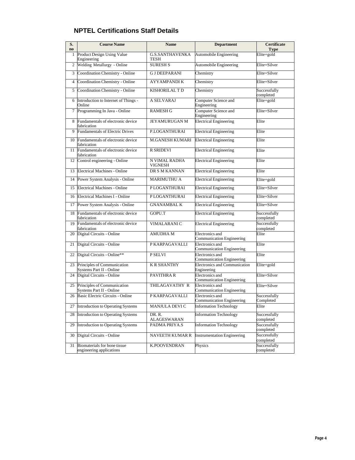| S.<br>no | <b>Course Name</b>                                       | <b>Name</b>                     | <b>Department</b>                                          | Certificate<br><b>Type</b> |
|----------|----------------------------------------------------------|---------------------------------|------------------------------------------------------------|----------------------------|
| 1        | Product Design Using Value<br>Engineering                | <b>G.S.SANTHAVENKA</b><br>TESH  | Automobile Engineering                                     | Elite+gold                 |
|          | 2 Welding Metallurgy - Online                            | <b>SURESH S</b>                 | Automobile Engineering                                     | Elite+Silver               |
| 3        | Coordination Chemistry - Online                          | <b>G J DEEPARANI</b>            | Chemistry                                                  | Elite+Silver               |
| 4        | Coordination Chemistry - Online                          | <b>AYYAMPANDIK</b>              | Chemistry                                                  | Elite+Silver               |
| 5        | Coordination Chemistry - Online                          | <b>KISHORILAL T D</b>           | Chemistry                                                  | Successfully<br>completed  |
| 6        | Introduction to Internet of Things -<br>Online           | A SELVARAJ                      | Computer Science and<br>Engineering                        | Elite+gold                 |
|          | 7 Programming In Java - Online                           | <b>RAMESH G</b>                 | Computer Science and<br>Engineering                        | Elite+Silver               |
|          | 8 Fundamentals of electronic device<br>fabrication       | JEYAMURUGAN M                   | <b>Electrical Engineering</b>                              | Elite                      |
| 9        | <b>Fundamentals of Electric Drives</b>                   | P.LOGANTHURAI                   | <b>Electrical Engineering</b>                              | Elite                      |
| 10       | Fundamentals of electronic device<br>fabrication         | M.GANESH KUMARI                 | <b>Electrical Engineering</b>                              | Elite                      |
| 11       | Fundamentals of electronic device<br>fabrication         | <b>R SRIDEVI</b>                | <b>Electrical Engineering</b>                              | Elite                      |
|          | 12 Control engineering - Online                          | N VIMAL RADHA<br><b>VIGNESH</b> | <b>Electrical Engineering</b>                              | Elite                      |
| 13       | <b>Electrical Machines - Online</b>                      | DR S M KANNAN                   | <b>Electrical Engineering</b>                              | Elite                      |
| 14       | Power System Analysis - Online                           | <b>MARIMUTHU A</b>              | <b>Electrical Engineering</b>                              | Elite+gold                 |
| 15       | <b>Electrical Machines - Online</b>                      | <b>PLOGANTHURAI</b>             | <b>Electrical Engineering</b>                              | Elite+Silver               |
| 16       | Electrical Machines I - Online                           | <b>PLOGANTHURAI</b>             | <b>Electrical Engineering</b>                              | Elite+Silver               |
| 17       | Power System Analysis - Online                           | <b>GNANAMBALK</b>               | <b>Electrical Engineering</b>                              | Elite+Silver               |
| 18       | Fundamentals of electronic device<br>fabrication         | GOPU.T                          | <b>Electrical Engineering</b>                              | Successfully<br>completed  |
| 19       | Fundamentals of electronic device<br>fabrication         | VIMALARANI C                    | <b>Electrical Engineering</b>                              | Successfully<br>completed  |
|          | 20 Digital Circuits - Online                             | <b>AMUDHAM</b>                  | Electronics and<br>Communication Engineering               | Elite                      |
| 21       | Digital Circuits - Online                                | P KARPAGAVALLI                  | Electronics and<br>Communication Engineering               | Elite                      |
| 22       | Digital Circuits - Online**                              | P SELVI                         | <b>Electronics</b> and<br><b>Communication Engineering</b> | Elite                      |
| 23       | Principles of Communication<br>Systems Part II - Online  | <b>K R SHANTHY</b>              | <b>Electronics and Communication</b><br>Engineering        | Elite+gold                 |
| 24       | Digital Circuits - Online                                | <b>PAVITHRAR</b>                | Electronics and<br>Communication Engineering               | Elite+Silver               |
| 25       | Principles of Communication<br>Systems Part II - Online  | THILAGAVATHY R                  | <b>Electronics</b> and<br>Communication Engineering        | Elite+Silver               |
| 26       | Basic Electric Circuits - Online                         | P KARPAGAVALLI                  | <b>Electronics</b> and<br>Communication Engineering        | Successfully<br>Completed  |
| 27       | Introduction to Operating Systems                        | MANJULA DEVI C                  | <b>Information Technology</b>                              | Elite                      |
| 28       | <b>Introduction to Operating Systems</b>                 | DR.R.<br>ALAGESWARAN            | <b>Information Technology</b>                              | Successfully<br>completed  |
| 29       | Introduction to Operating Systems                        | PADMA PRIYA.S                   | <b>Information Technology</b>                              | Successfully<br>completed  |
| 30       | Digital Circuits - Online                                | NAVEETH KUMAR R                 | <b>Instrumentation Engineering</b>                         | Successfully<br>completed  |
| 31       | Biomaterials for bone tissue<br>engineering applications | <b>K.POOVENDRAN</b>             | Physics                                                    | Successfully<br>completed  |

## **NPTEL Certifications Staff Details**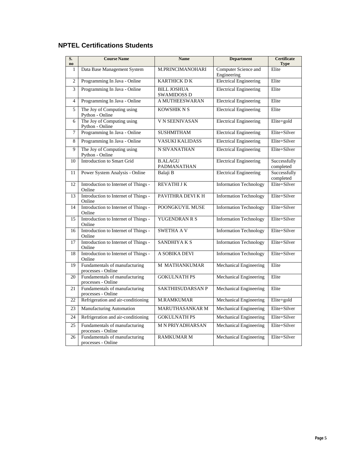| S.<br>$\mathbf{no}$ | <b>Course Name</b>                                  | <b>Name</b>                              | <b>Department</b>                   | <b>Certificate</b><br><b>Type</b> |
|---------------------|-----------------------------------------------------|------------------------------------------|-------------------------------------|-----------------------------------|
| 1                   | Data Base Management System                         | M.PRINCIMANOHARI                         | Computer Science and<br>Engineering | Elite                             |
| $\overline{2}$      | Programming In Java - Online                        | <b>KARTHICK DK</b>                       | <b>Electrical Engineering</b>       | Elite                             |
| 3                   | Programming In Java - Online                        | <b>BILL JOSHUA</b><br><b>SWAMIDOSS D</b> | <b>Electrical Engineering</b>       | Elite                             |
| $\overline{4}$      | Programming In Java - Online                        | <b>A MUTHEESWARAN</b>                    | <b>Electrical Engineering</b>       | Elite                             |
| 5                   | The Joy of Computing using<br>Python - Online       | <b>KOWSHIK N S</b>                       | <b>Electrical Engineering</b>       | Elite                             |
| 6                   | The Joy of Computing using<br>Python - Online       | V N SEENIVASAN                           | <b>Electrical Engineering</b>       | Elite+gold                        |
| 7                   | Programming In Java - Online                        | <b>SUSHMITHAM</b>                        | <b>Electrical Engineering</b>       | Elite+Silver                      |
| 8                   | Programming In Java - Online                        | <b>VASUKI KALIDASS</b>                   | <b>Electrical Engineering</b>       | Elite+Silver                      |
| 9                   | The Joy of Computing using<br>Python - Online       | N SIVANATHAN                             | <b>Electrical Engineering</b>       | Elite+Silver                      |
| 10                  | <b>Introduction to Smart Grid</b>                   | <b>B.ALAGU</b><br>PADMANATHAN            | <b>Electrical Engineering</b>       | Successfully<br>completed         |
| 11                  | Power System Analysis - Online                      | Balaji B                                 | <b>Electrical Engineering</b>       | Successfully<br>completed         |
| 12                  | Introduction to Internet of Things -<br>Online      | <b>REVATHIJK</b>                         | <b>Information Technology</b>       | Elite+Silver                      |
| 13                  | Introduction to Internet of Things -<br>Online      | PAVITHRA DEVI K H                        | <b>Information Technology</b>       | Elite+Silver                      |
| 14                  | Introduction to Internet of Things -<br>Online      | POONGKUYIL MUSE                          | <b>Information Technology</b>       | Elite+Silver                      |
| 15                  | Introduction to Internet of Things -<br>Online      | YUGENDRAN R S                            | <b>Information Technology</b>       | Elite+Silver                      |
| 16                  | Introduction to Internet of Things -<br>Online      | <b>SWETHA AV</b>                         | <b>Information Technology</b>       | Elite+Silver                      |
| 17                  | Introduction to Internet of Things -<br>Online      | SANDHIYA K S                             | <b>Information Technology</b>       | Elite+Silver                      |
| 18                  | Introduction to Internet of Things -<br>Online      | A SOBIKA DEVI                            | <b>Information Technology</b>       | Elite+Silver                      |
| 19                  | Fundamentals of manufacturing<br>processes - Online | <b>M MATHANKUMAR</b>                     | Mechanical Engineering              | Elite                             |
| 20                  | Fundamentals of manufacturing<br>processes - Online | <b>GOKULNATH PS</b>                      | Mechanical Engineering              | Elite                             |
| 21                  | Fundamentals of manufacturing<br>processes - Online | SAKTHIISUDARSAN P                        | <b>Mechanical Engineering</b>       | Elite                             |
| 22                  | Refrigeration and air-conditioning                  | <b>M.RAMKUMAR</b>                        | <b>Mechanical Engineering</b>       | Elite+gold                        |
| 23                  | <b>Manufacturing Automation</b>                     | MARUTHASANKAR M                          | <b>Mechanical Engineering</b>       | Elite+Silver                      |
| 24                  | Refrigeration and air-conditioning                  | <b>GOKULNATH PS</b>                      | <b>Mechanical Engineering</b>       | Elite+Silver                      |
| 25                  | Fundamentals of manufacturing<br>processes - Online | <b>M N PRIYADHARSAN</b>                  | Mechanical Engineering              | Elite+Silver                      |
| 26                  | Fundamentals of manufacturing<br>processes - Online | <b>RAMKUMAR M</b>                        | <b>Mechanical Engineering</b>       | Elite+Silver                      |

# **NPTEL Certifications Students**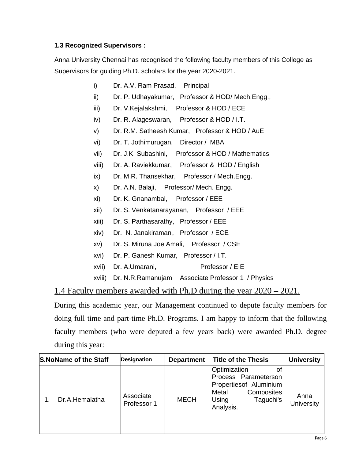### **1.3 Recognized Supervisors :**

Anna University Chennai has recognised the following faculty members of this College as Supervisors for guiding Ph.D. scholars for the year 2020-2021.

- i) Dr. A.V. Ram Prasad, Principal
- ii) Dr. P. Udhayakumar, Professor & HOD/ Mech.Engg.,
- iii) Dr. V.Kejalakshmi, Professor & HOD / ECE
- iv) Dr. R. Alageswaran, Professor & HOD / I.T.
- v) Dr. R.M. Satheesh Kumar, Professor & HOD / AuE
- vi) Dr. T. Jothimurugan, Director / MBA
- vii) Dr. J.K. Subashini, Professor & HOD / Mathematics
- viii) Dr. A. Raviekkumar, Professor & HOD / English
- ix) Dr. M.R. Thansekhar, Professor / Mech.Engg.
- x) Dr. A.N. Balaji, Professor/ Mech. Engg.
- xi) Dr. K. Gnanambal, Professor / EEE
- xii) Dr. S. Venkatanarayanan, Professor / EEE
- xiii) Dr. S. Parthasarathy, Professor / EEE
- xiv) Dr. N. Janakiraman, Professor / ECE
- xv) Dr. S. Miruna Joe Amali, Professor / CSE
- xvi) Dr. P. Ganesh Kumar, Professor / I.T.
- xvii) Dr. A.Umarani, Professor / EIE
- xviii) Dr. N.R.Ramanujam Associate Professor 1 / Physics

# 1.4 Faculty members awarded with Ph.D during the year 2020 – 2021.

During this academic year, our Management continued to depute faculty members for doing full time and part-time Ph.D. Programs. I am happy to inform that the following faculty members (who were deputed a few years back) were awarded Ph.D. degree during this year:

| <b>S.NoName of the Staff</b> | <b>Designation</b>       | <b>Department</b> | <b>Title of the Thesis</b>                                                                                               | <b>University</b>  |
|------------------------------|--------------------------|-------------------|--------------------------------------------------------------------------------------------------------------------------|--------------------|
| Dr.A.Hemalatha               | Associate<br>Professor 1 | <b>MECH</b>       | Optimization<br>Process Parameterson<br>Propertiesof Aluminium<br>Composites<br>Metal<br>Taguchi's<br>Using<br>Analysis. | Anna<br>University |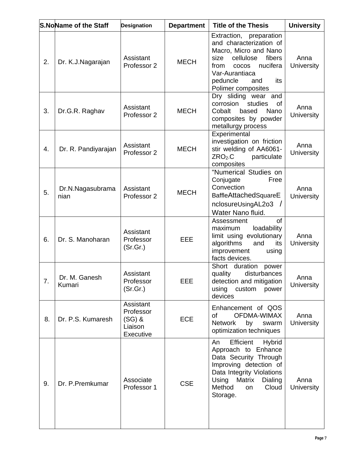|    | <b>S.NoName of the Staff</b> | <b>Designation</b>                                         | <b>Department</b> | <b>Title of the Thesis</b>                                                                                                                                                                                       | <b>University</b>         |
|----|------------------------------|------------------------------------------------------------|-------------------|------------------------------------------------------------------------------------------------------------------------------------------------------------------------------------------------------------------|---------------------------|
| 2. | Dr. K.J.Nagarajan            | Assistant<br>Professor 2                                   | <b>MECH</b>       | Extraction, preparation<br>and characterization of<br>Macro, Micro and Nano<br>fibers<br>cellulose<br>size<br>nucifera<br>from<br><b>COCOS</b><br>Var-Aurantiaca<br>peduncle<br>and<br>its<br>Polimer composites | Anna<br><b>University</b> |
| 3. | Dr.G.R. Raghav               | Assistant<br>Professor 2                                   | <b>MECH</b>       | Dry sliding wear and<br>corrosion<br>studies<br>οf<br>Nano<br>Cobalt<br>based<br>composites by powder<br>metallurgy process                                                                                      | Anna<br>University        |
| 4. | Dr. R. Pandiyarajan          | Assistant<br>Professor 2                                   | <b>MECH</b>       | Experimental<br>investigation on friction<br>stir welding of AA6061-<br>$ZRO2$ .C<br>particulate<br>composites                                                                                                   | Anna<br>University        |
| 5. | Dr.N.Nagasubrama<br>nian     | Assistant<br>Professor 2                                   | <b>MECH</b>       | "Numerical Studies on<br>Free<br>Conjugate<br>Convection<br>BaffleAttachedSquareE<br>nclosureUsingAL2o3<br>Water Nano fluid.                                                                                     | Anna<br>University        |
| 6. | Dr. S. Manoharan             | Assistant<br>Professor<br>(Sr.Gr.)                         | EEE               | of<br>Assessment<br>loadability<br>maximum<br>limit using evolutionary<br>algorithms<br>and<br>its<br>improvement<br>using<br>facts devices.                                                                     | Anna<br><b>University</b> |
| 7. | Dr. M. Ganesh<br>Kumari      | Assistant<br>Professor<br>(Sr.Gr.)                         | EEE               | Short duration<br>power<br>disturbances<br>quality<br>detection and mitigation<br>using<br>custom<br>power<br>devices                                                                                            | Anna<br><b>University</b> |
| 8. | Dr. P.S. Kumaresh            | Assistant<br>Professor<br>$(SG)$ &<br>Liaison<br>Executive | <b>ECE</b>        | Enhancement of QOS<br><b>OFDMA-WIMAX</b><br>οf<br><b>Network</b><br>by<br>swarm<br>optimization techniques                                                                                                       | Anna<br><b>University</b> |
| 9. | Dr. P. Premkumar             | Associate<br>Professor 1                                   | <b>CSE</b>        | Efficient<br><b>Hybrid</b><br>An<br>Approach to Enhance<br>Data Security Through<br>Improving detection of<br>Data Integrity Violations<br>Matrix<br>Using<br>Dialing<br>Method<br>Cloud<br>on<br>Storage.       | Anna<br><b>University</b> |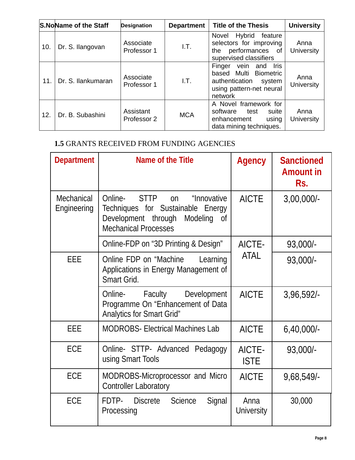|     | <b>S.NoName of the Staff</b> | <b>Designation</b>       | <b>Department</b> | <b>Title of the Thesis</b>                                                                                             | <b>University</b>         |
|-----|------------------------------|--------------------------|-------------------|------------------------------------------------------------------------------------------------------------------------|---------------------------|
| 10. | Dr. S. Ilangovan             | Associate<br>Professor 1 | I.T.              | Hybrid<br>Novel<br>feature<br>selectors for improving<br>performances of<br>the<br>supervised classifiers              | Anna<br>University        |
| 11. | Dr. S. Ilankumaran           | Associate<br>Professor 1 | LT.               | vein and<br>Iris<br>Finger<br>based Multi Biometric<br>authentication<br>system<br>using pattern-net neural<br>network | Anna<br><b>University</b> |
| 12. | Dr. B. Subashini             | Assistant<br>Professor 2 | <b>MCA</b>        | A Novel framework for<br>software<br>test<br>suite<br>enhancement<br>using<br>data mining techniques.                  | Anna<br><b>University</b> |

# **1.5** GRANTS RECEIVED FROM FUNDING AGENCIES

| <b>Department</b>         | Name of the Title                                                                                                                              | Agency                | <b>Sanctioned</b><br><b>Amount in</b><br>Rs. |
|---------------------------|------------------------------------------------------------------------------------------------------------------------------------------------|-----------------------|----------------------------------------------|
| Mechanical<br>Engineering | Online-<br>STTP on<br>"Innovative<br>Techniques for Sustainable Energy<br>Development through<br>Modeling<br>0f<br><b>Mechanical Processes</b> | <b>AICTE</b>          | $3,00,000/$ -                                |
|                           | Online-FDP on "3D Printing & Design"                                                                                                           | AICTE-                | 93,000/-                                     |
| <b>EEE</b>                | Online FDP on "Machine"<br>Learning<br>Applications in Energy Management of<br>Smart Grid.                                                     | <b>ATAL</b>           | $93,000/-$                                   |
|                           | Faculty<br>Development<br>Online-<br>Programme On "Enhancement of Data<br>Analytics for Smart Grid"                                            | <b>AICTE</b>          | 3,96,592                                     |
| EEE                       | <b>MODROBS- Electrical Machines Lab</b>                                                                                                        | <b>AICTE</b>          | $6,40,000/-$                                 |
| ECE                       | Online- STTP- Advanced Pedagogy<br>using Smart Tools                                                                                           | AICTE-<br><b>ISTE</b> | 93,000/-                                     |
| ECE                       | MODROBS-Microprocessor and Micro<br><b>Controller Laboratory</b>                                                                               | <b>AICTE</b>          | 9,68,549/-                                   |
| ECE                       | FDTP- Discrete<br>Signal<br><b>Science</b><br>Processing                                                                                       | Anna<br>University    | 30,000                                       |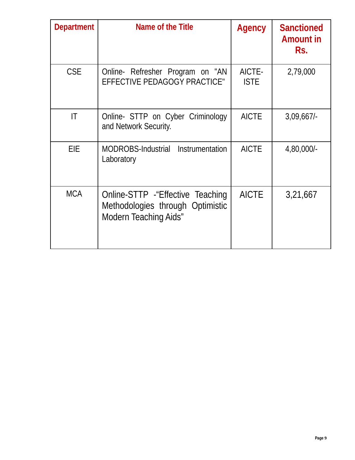| <b>Department</b>      | Name of the Title                                                                               | Agency                | <b>Sanctioned</b><br><b>Amount in</b><br>Rs. |
|------------------------|-------------------------------------------------------------------------------------------------|-----------------------|----------------------------------------------|
| <b>CSE</b>             | Online- Refresher Program on "AN<br>EFFECTIVE PEDAGOGY PRACTICE"                                | AICTE-<br><b>ISTE</b> | 2,79,000                                     |
| $\mathsf{I}\mathsf{T}$ | Online- STTP on Cyber Criminology<br>and Network Security.                                      | <b>AICTE</b>          | 3,09,667                                     |
| EIE                    | Instrumentation<br>MODROBS-Industrial<br>Laboratory                                             | <b>AICTE</b>          | 4,80,000/-                                   |
| <b>MCA</b>             | Online-STTP - "Effective Teaching"<br>Methodologies through Optimistic<br>Modern Teaching Aids" | <b>AICTE</b>          | 3,21,667                                     |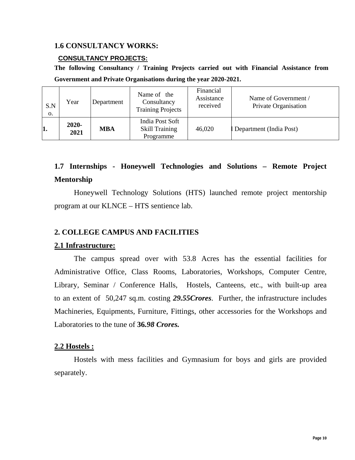#### **1.6 CONSULTANCY WORKS:**

#### **CONSULTANCY PROJECTS:**

**The following Consultancy / Training Projects carried out with Financial Assistance from Government and Private Organisations during the year 2020-2021.** 

| S.N<br>0. | Year             | Department | Name of the<br>Consultancy<br><b>Training Projects</b> | Financial<br>Assistance<br>received | Name of Government /<br>Private Organisation |
|-----------|------------------|------------|--------------------------------------------------------|-------------------------------------|----------------------------------------------|
| 1.        | $2020 -$<br>2021 | <b>MBA</b> | India Post Soft<br><b>Skill Training</b><br>Programme  | 46,020                              | Department (India Post)                      |

# **1.7 Internships - Honeywell Technologies and Solutions – Remote Project Mentorship**

Honeywell Technology Solutions (HTS) launched remote project mentorship program at our KLNCE – HTS sentience lab.

#### **2. COLLEGE CAMPUS AND FACILITIES**

#### **2.1 Infrastructure:**

The campus spread over with 53.8 Acres has the essential facilities for Administrative Office, Class Rooms, Laboratories, Workshops, Computer Centre, Library, Seminar / Conference Halls, Hostels, Canteens, etc., with built-up area to an extent of 50,247 sq.m. costing *29.55Crores*. Further, the infrastructure includes Machineries, Equipments, Furniture, Fittings, other accessories for the Workshops and Laboratories to the tune of **36***.98 Crores.*

#### **2.2 Hostels :**

Hostels with mess facilities and Gymnasium for boys and girls are provided separately.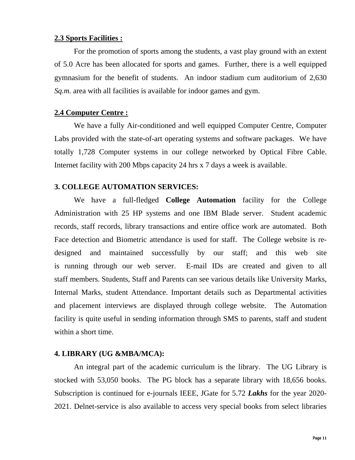#### **2.3 Sports Facilities :**

For the promotion of sports among the students, a vast play ground with an extent of 5.0 Acre has been allocated for sports and games. Further, there is a well equipped gymnasium for the benefit of students. An indoor stadium cum auditorium of 2,630 *Sq.m.* area with all facilities is available for indoor games and gym.

#### **2.4 Computer Centre :**

We have a fully Air-conditioned and well equipped Computer Centre, Computer Labs provided with the state-of-art operating systems and software packages. We have totally 1,728 Computer systems in our college networked by Optical Fibre Cable. Internet facility with 200 Mbps capacity 24 hrs x 7 days a week is available.

#### **3. COLLEGE AUTOMATION SERVICES:**

We have a full-fledged **College Automation** facility for the College Administration with 25 HP systems and one IBM Blade server. Student academic records, staff records, library transactions and entire office work are automated. Both Face detection and Biometric attendance is used for staff. The College website is redesigned and maintained successfully by our staff; and this web site is running through our web server. E-mail IDs are created and given to all staff members. Students, Staff and Parents can see various details like University Marks, Internal Marks, student Attendance. Important details such as Departmental activities and placement interviews are displayed through college website. The Automation facility is quite useful in sending information through SMS to parents, staff and student within a short time.

#### **4. LIBRARY (UG &MBA/MCA):**

An integral part of the academic curriculum is the library. The UG Library is stocked with 53,050 books. The PG block has a separate library with 18,656 books. Subscription is continued for e-journals IEEE, JGate for 5.72 *Lakhs* for the year 2020- 2021. Delnet-service is also available to access very special books from select libraries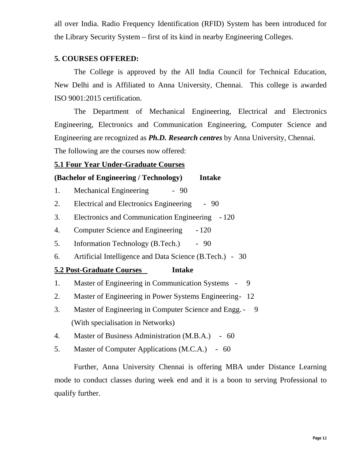all over India. Radio Frequency Identification (RFID) System has been introduced for the Library Security System – first of its kind in nearby Engineering Colleges.

### **5. COURSES OFFERED:**

The College is approved by the All India Council for Technical Education, New Delhi and is Affiliated to Anna University, Chennai. This college is awarded ISO 9001:2015 certification.

The Department of Mechanical Engineering, Electrical and Electronics Engineering, Electronics and Communication Engineering, Computer Science and Engineering are recognized as *Ph.D. Research centres* by Anna University, Chennai.

The following are the courses now offered:

## **5.1 Four Year Under-Graduate Courses**

## **(Bachelor of Engineering / Technology) Intake**

- 1. Mechanical Engineering 90
- 2. Electrical and Electronics Engineering 90
- 3. Electronics and Communication Engineering 120
- 4. Computer Science and Engineering 120
- 5. Information Technology (B.Tech.) 90
- 6. Artificial Intelligence and Data Science (B.Tech.) 30

### **5.2 Post-Graduate Courses Intake**

- 1. Master of Engineering in Communication Systems 9
- 2. Master of Engineering in Power Systems Engineering 12
- 3. Master of Engineering in Computer Science and Engg. 9 (With specialisation in Networks)
- 4. Master of Business Administration (M.B.A.) 60
- 5. Master of Computer Applications (M.C.A.) 60

Further, Anna University Chennai is offering MBA under Distance Learning mode to conduct classes during week end and it is a boon to serving Professional to qualify further.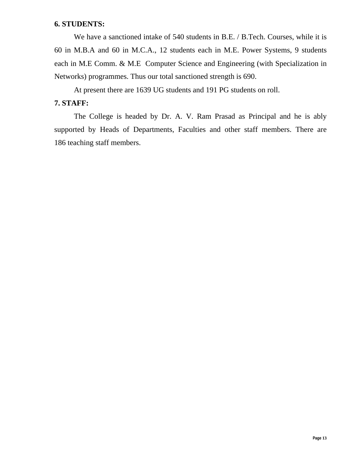#### **6. STUDENTS:**

We have a sanctioned intake of 540 students in B.E. / B.Tech. Courses, while it is 60 in M.B.A and 60 in M.C.A., 12 students each in M.E. Power Systems, 9 students each in M.E Comm. & M.E Computer Science and Engineering (with Specialization in Networks) programmes. Thus our total sanctioned strength is 690.

At present there are 1639 UG students and 191 PG students on roll.

# **7. STAFF:**

The College is headed by Dr. A. V. Ram Prasad as Principal and he is ably supported by Heads of Departments, Faculties and other staff members. There are 186 teaching staff members.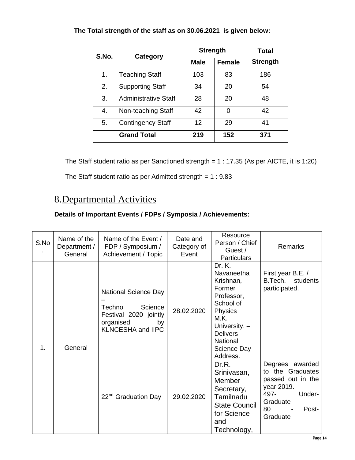|  |  |  |  |  |  | The Total strength of the staff as on 30.06.2021 is given below: |
|--|--|--|--|--|--|------------------------------------------------------------------|
|--|--|--|--|--|--|------------------------------------------------------------------|

| S.No. | Category                    |             | <b>Strength</b> | Total           |
|-------|-----------------------------|-------------|-----------------|-----------------|
|       |                             | <b>Male</b> | <b>Female</b>   | <b>Strength</b> |
| 1.    | <b>Teaching Staff</b>       | 103         | 83              | 186             |
| 2.    | <b>Supporting Staff</b>     | 34          | 20              | 54              |
| 3.    | <b>Administrative Staff</b> | 28          | 20              | 48              |
| 4.    | Non-teaching Staff          | 42          | 0               | 42              |
| 5.    | <b>Contingency Staff</b>    | 12          | 29              | 41              |
|       | <b>Grand Total</b>          | 219         | 152             | 371             |

The Staff student ratio as per Sanctioned strength = 1 : 17.35 (As per AICTE, it is 1:20)

The Staff student ratio as per Admitted strength =  $1:9.83$ 

# 8.Departmental Activities

| S.No | Name of the<br>Department /<br>General | Name of the Event /<br>FDP / Symposium /<br>Achievement / Topic                                                   | Date and<br>Category of<br>Event | Resource<br>Person / Chief<br>Guest /<br><b>Particulars</b>                                                                                                                 | <b>Remarks</b>                                                                                                                  |
|------|----------------------------------------|-------------------------------------------------------------------------------------------------------------------|----------------------------------|-----------------------------------------------------------------------------------------------------------------------------------------------------------------------------|---------------------------------------------------------------------------------------------------------------------------------|
| 1.   | General                                | National Science Day<br>Techno<br>Science<br>Festival 2020 jointly<br>organised<br>by<br><b>KLNCESHA and IIPC</b> | 28.02.2020                       | Dr. K.<br>Navaneetha<br>Krishnan,<br>Former<br>Professor,<br>School of<br><b>Physics</b><br>M.K.<br>University. -<br><b>Delivers</b><br>National<br>Science Day<br>Address. | First year B.E. /<br>B.Tech. students<br>participated.                                                                          |
|      |                                        | 22 <sup>nd</sup> Graduation Day                                                                                   | 29.02.2020                       | Dr.R.<br>Srinivasan,<br>Member<br>Secretary,<br>Tamilnadu<br><b>State Council</b><br>for Science<br>and<br>Technology,                                                      | Degrees awarded<br>to the Graduates<br>passed out in the<br>year 2019.<br>497-<br>Under-<br>Graduate<br>80<br>Post-<br>Graduate |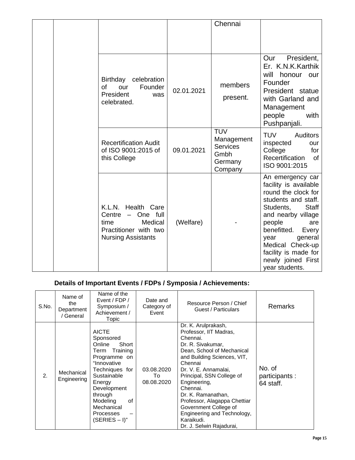|  |                                                                                                                                           |            | Chennai                                                                   |                                                                                                                                                                                                                                                                                            |
|--|-------------------------------------------------------------------------------------------------------------------------------------------|------------|---------------------------------------------------------------------------|--------------------------------------------------------------------------------------------------------------------------------------------------------------------------------------------------------------------------------------------------------------------------------------------|
|  |                                                                                                                                           |            |                                                                           |                                                                                                                                                                                                                                                                                            |
|  | Birthday<br>celebration<br>Founder<br>Ωf<br>our<br>President<br>was<br>celebrated.                                                        | 02.01.2021 | members<br>present.                                                       | Our President,<br>Er. K.N.K.Karthik<br>will<br>honour our<br>Founder<br>President statue<br>with Garland and<br>Management<br>people<br>with<br>Pushpanjali.                                                                                                                               |
|  | <b>Recertification Audit</b><br>of ISO 9001:2015 of<br>this College                                                                       | 09.01.2021 | <b>TUV</b><br>Management<br><b>Services</b><br>Gmbh<br>Germany<br>Company | <b>TUV</b><br><b>Auditors</b><br>inspected<br>our<br>College<br>for<br>Recertification<br>of<br>ISO 9001:2015                                                                                                                                                                              |
|  | K.L.N.<br>Health Care<br>One full<br>Centre<br>$\qquad \qquad -$<br>Medical<br>time<br>Practitioner with two<br><b>Nursing Assistants</b> | (Welfare)  |                                                                           | An emergency car<br>facility is available<br>round the clock for<br>students and staff.<br><b>Staff</b><br>Students,<br>and nearby village<br>people<br>are<br>benefitted.<br>Every<br>general<br>year<br>Medical Check-up<br>facility is made for<br>newly joined First<br>year students. |

| S.No.          | Name of<br>the<br>Department<br>/ General | Name of the<br>Event / FDP /<br>Symposium /<br>Achievement /<br>Topic                                                                                                                                                             | Date and<br>Category of<br>Event | Resource Person / Chief<br>Guest / Particulars                                                                                                                                                                                                                                                                                                                                                  | <b>Remarks</b>                        |
|----------------|-------------------------------------------|-----------------------------------------------------------------------------------------------------------------------------------------------------------------------------------------------------------------------------------|----------------------------------|-------------------------------------------------------------------------------------------------------------------------------------------------------------------------------------------------------------------------------------------------------------------------------------------------------------------------------------------------------------------------------------------------|---------------------------------------|
| $\overline{2}$ | Mechanical<br>Engineering                 | <b>AICTE</b><br>Sponsored<br>Online<br>Short<br>Term Training<br>Programme on<br>"Innovative<br>Techniques for<br>Sustainable<br>Energy<br>Development<br>through<br>Modeling<br>οf<br>Mechanical<br>Processes<br>$(SERIES - I)"$ | 03.08.2020<br>To<br>08.08.2020   | Dr. K. Arulprakash,<br>Professor, IIT Madras,<br>Chennai.<br>Dr. R. Sivakumar,<br>Dean, School of Mechanical<br>and Building Sciences, VIT,<br>Chennai<br>Dr. V. E. Annamalai,<br>Principal, SSN College of<br>Engineering,<br>Chennai.<br>Dr. K. Ramanathan,<br>Professor, Alagappa Chettiar<br>Government College of<br>Engineering and Technology,<br>Karaikudi.<br>Dr. J. Selwin Rajadurai, | No. of<br>participants :<br>64 staff. |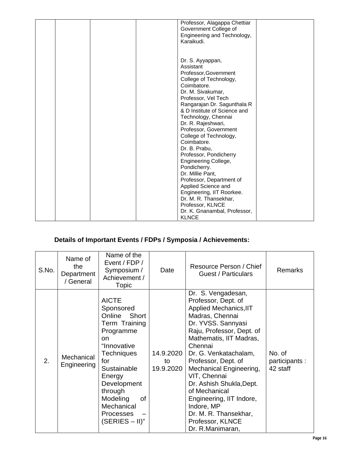|  | Professor, Alagappa Chettiar<br>Government College of<br>Engineering and Technology,<br>Karaikudi.                                                                                                                                                                                                                                                                                                                                                                                                                                                                                            |  |
|--|-----------------------------------------------------------------------------------------------------------------------------------------------------------------------------------------------------------------------------------------------------------------------------------------------------------------------------------------------------------------------------------------------------------------------------------------------------------------------------------------------------------------------------------------------------------------------------------------------|--|
|  | Dr. S. Ayyappan,<br>Assistant<br>Professor, Government<br>College of Technology,<br>Coimbatore.<br>Dr. M. Sivakumar,<br>Professor, Vel Tech<br>Rangarajan Dr. Sagunthala R<br>& D Institute of Science and<br>Technology, Chennai<br>Dr. R. Rajeshwari,<br>Professor, Government<br>College of Technology,<br>Coimbatore.<br>Dr. B. Prabu,<br>Professor, Pondicherry<br>Engineering College,<br>Pondicherry.<br>Dr. Millie Pant,<br>Professor, Department of<br>Applied Science and<br>Engineering, IIT Roorkee.<br>Dr. M. R. Thansekhar,<br>Professor, KLNCE<br>Dr. K. Gnanambal, Professor, |  |
|  | <b>KLNCE</b>                                                                                                                                                                                                                                                                                                                                                                                                                                                                                                                                                                                  |  |

| S.No. | Name of<br>the<br>Department<br>/ General | Name of the<br>Event / FDP /<br>Symposium /<br>Achievement /<br><b>Topic</b>                                                                                                                                                                                    | Date                         | Resource Person / Chief<br><b>Guest / Particulars</b>                                                                                                                                                                                                                                                                                                                                                                              | <b>Remarks</b>                      |
|-------|-------------------------------------------|-----------------------------------------------------------------------------------------------------------------------------------------------------------------------------------------------------------------------------------------------------------------|------------------------------|------------------------------------------------------------------------------------------------------------------------------------------------------------------------------------------------------------------------------------------------------------------------------------------------------------------------------------------------------------------------------------------------------------------------------------|-------------------------------------|
| 2.    | Mechanical<br>Engineering                 | <b>AICTE</b><br>Sponsored<br>Online Short<br>Term Training<br>Programme<br><sub>on</sub><br>"Innovative<br><b>Techniques</b><br>for<br>Sustainable<br>Energy<br>Development<br>through<br>Modeling<br>of<br>Mechanical<br><b>Processes</b><br>$(SERIES - II)$ " | 14.9.2020<br>to<br>19.9.2020 | Dr. S. Vengadesan,<br>Professor, Dept. of<br>Applied Mechanics, IIT<br>Madras, Chennai<br>Dr. YVSS. Sannyasi<br>Raju, Professor, Dept. of<br>Mathematis, IIT Madras,<br>Chennai<br>Dr. G. Venkatachalam,<br>Professor, Dept. of<br>Mechanical Engineering,<br>VIT, Chennai<br>Dr. Ashish Shukla, Dept.<br>of Mechanical<br>Engineering, IIT Indore,<br>Indore, MP<br>Dr. M. R. Thansekhar,<br>Professor, KLNCE<br>Dr. R.Manimaran, | No. of<br>participants:<br>42 staff |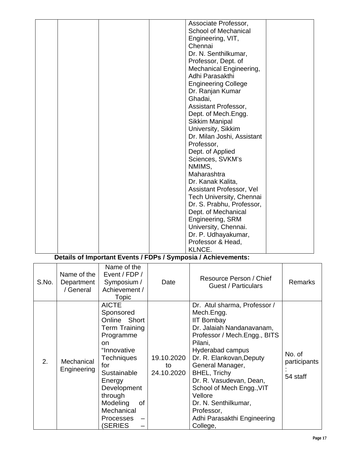|  |  | Associate Professor,                           |  |
|--|--|------------------------------------------------|--|
|  |  | <b>School of Mechanical</b>                    |  |
|  |  | Engineering, VIT,                              |  |
|  |  | Chennai                                        |  |
|  |  | Dr. N. Senthilkumar,                           |  |
|  |  | Professor, Dept. of                            |  |
|  |  | Mechanical Engineering,                        |  |
|  |  | Adhi Parasakthi                                |  |
|  |  |                                                |  |
|  |  | <b>Engineering College</b><br>Dr. Ranjan Kumar |  |
|  |  | Ghadai,                                        |  |
|  |  |                                                |  |
|  |  | Assistant Professor,                           |  |
|  |  | Dept. of Mech.Engg.                            |  |
|  |  | <b>Sikkim Manipal</b>                          |  |
|  |  | University, Sikkim                             |  |
|  |  | Dr. Milan Joshi, Assistant                     |  |
|  |  | Professor,                                     |  |
|  |  | Dept. of Applied                               |  |
|  |  | Sciences, SVKM's                               |  |
|  |  | NMIMS,                                         |  |
|  |  | Maharashtra                                    |  |
|  |  | Dr. Kanak Kalita,                              |  |
|  |  | Assistant Professor, Vel                       |  |
|  |  | Tech University, Chennai                       |  |
|  |  | Dr. S. Prabhu, Professor,                      |  |
|  |  | Dept. of Mechanical                            |  |
|  |  | Engineering, SRM                               |  |
|  |  | University, Chennai.                           |  |
|  |  | Dr. P. Udhayakumar,                            |  |
|  |  | Professor & Head,                              |  |
|  |  | KLNCE.                                         |  |
|  |  |                                                |  |

| S.No. | Name of the<br>Department<br>/ General | Name of the<br>Event / FDP /<br>Symposium /<br>Achievement /<br>Topic                                                                                                                                                                       | Date                           | Resource Person / Chief<br>Guest / Particulars                                                                                                                                                                                                                                                                                                                                         | <b>Remarks</b>                     |
|-------|----------------------------------------|---------------------------------------------------------------------------------------------------------------------------------------------------------------------------------------------------------------------------------------------|--------------------------------|----------------------------------------------------------------------------------------------------------------------------------------------------------------------------------------------------------------------------------------------------------------------------------------------------------------------------------------------------------------------------------------|------------------------------------|
| 2.    | Mechanical<br>Engineering              | <b>AICTE</b><br>Sponsored<br>Online Short<br><b>Term Training</b><br>Programme<br>on.<br>"Innovative<br>Techniques<br>for<br>Sustainable<br>Energy<br>Development<br>through<br>Modeling<br>0f<br>Mechanical<br><b>Processes</b><br>(SERIES | 19.10.2020<br>to<br>24.10.2020 | Dr. Atul sharma, Professor /<br>Mech.Engg.<br><b>IIT Bombay</b><br>Dr. Jalaiah Nandanavanam,<br>Professor / Mech.Engg., BITS<br>Pilani,<br>Hyderabad campus<br>Dr. R. Elankovan, Deputy<br>General Manager,<br><b>BHEL, Trichy</b><br>Dr. R. Vasudevan, Dean,<br>School of Mech Engg., VIT<br>Vellore<br>Dr. N. Senthilkumar,<br>Professor,<br>Adhi Parasakthi Engineering<br>College, | No. of<br>participants<br>54 staff |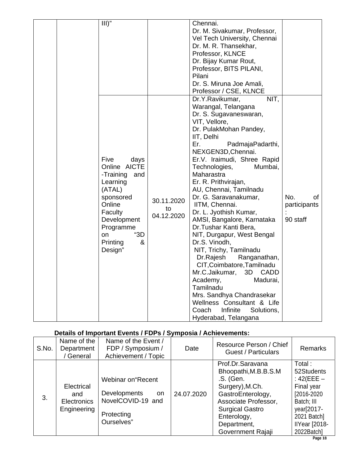| $III$ "                                                                                                                                                                       |                                | Chennai.<br>Dr. M. Sivakumar, Professor,<br>Vel Tech University, Chennai<br>Dr. M. R. Thansekhar,<br>Professor, KLNCE<br>Dr. Bijay Kumar Rout,<br>Professor, BITS PILANI,<br>Pilani<br>Dr. S. Miruna Joe Amali,<br>Professor / CSE, KLNCE                                                                                                                                                                                                                                                                                                                                                                                                                                                                                                                           |                                       |
|-------------------------------------------------------------------------------------------------------------------------------------------------------------------------------|--------------------------------|---------------------------------------------------------------------------------------------------------------------------------------------------------------------------------------------------------------------------------------------------------------------------------------------------------------------------------------------------------------------------------------------------------------------------------------------------------------------------------------------------------------------------------------------------------------------------------------------------------------------------------------------------------------------------------------------------------------------------------------------------------------------|---------------------------------------|
| Five<br>days<br>Online AICTE<br>-Training<br>and<br>Learning<br>(ATAL)<br>sponsored<br>Online<br>Faculty<br>Development<br>Programme<br>"3D<br>on<br>Printing<br>&<br>Design" | 30.11.2020<br>to<br>04.12.2020 | NIT,<br>Dr.Y.Ravikumar,<br>Warangal, Telangana<br>Dr. S. Sugavaneswaran,<br>VIT, Vellore,<br>Dr. PulakMohan Pandey,<br>IIT, Delhi<br>Er.<br>PadmajaPadarthi,<br>NEXGEN3D, Chennai.<br>Er.V. Iraimudi, Shree Rapid<br>Technologies,<br>Mumbai,<br>Maharastra<br>Er. R. Prithvirajan,<br>AU, Chennai, Tamilnadu<br>Dr. G. Saravanakumar,<br>IITM, Chennai.<br>Dr. L. Jyothish Kumar,<br>AMSI, Bangalore, Karnataka<br>Dr. Tushar Kanti Bera,<br>NIT, Durgapur, West Bengal<br>Dr.S. Vinodh,<br>NIT, Trichy, Tamilnadu<br>Dr.Rajesh<br>Ranganathan,<br>CIT, Coimbatore, Tamilnadu<br>Mr.C.Jaikumar, 3D CADD<br>Madurai,<br>Academy,<br>Tamilnadu<br>Mrs. Sandhya Chandrasekar<br>Wellness Consultant & Life<br>Infinite<br>Coach<br>Solutions,<br>Hyderabad, Telangana | No.<br>of<br>participants<br>90 staff |

| S.No. | Name of the<br>Department<br>/ General                 | Name of the Event /<br>FDP / Symposium /<br>Achievement / Topic                                   | Date       | Resource Person / Chief<br>Guest / Particulars                                                                                                                                                     | <b>Remarks</b>                                                                                                                                 |
|-------|--------------------------------------------------------|---------------------------------------------------------------------------------------------------|------------|----------------------------------------------------------------------------------------------------------------------------------------------------------------------------------------------------|------------------------------------------------------------------------------------------------------------------------------------------------|
| 3.    | Electrical<br>and<br><b>Electronics</b><br>Engineering | Webinar on "Recent<br><b>Developments</b><br>on.<br>NovelCOVID-19 and<br>Protecting<br>Ourselves" | 24.07.2020 | Prof.Dr.Saravana<br>Bhoopathi, M.B.B.S.M<br>.S. (Gen.<br>Surgery), M.Ch.<br>GastroEnterology,<br>Associate Professor,<br><b>Surgical Gastro</b><br>Enterology,<br>Department,<br>Government Rajaji | Total:<br>52Students<br>: $42$ (EEE $-$<br>Final year<br>[2016-2020]<br>Batch; III<br>year[2017-<br>2021 Batch]<br>IIYear [2018-<br>2022Batch] |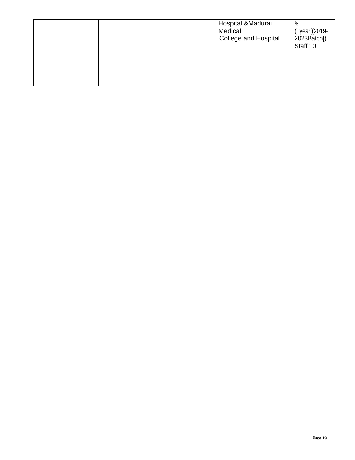|  | Hospital &Madurai<br>Medical<br>College and Hospital. | &<br>(I year[(2019-<br>2023Batch])<br>Staff:10 |
|--|-------------------------------------------------------|------------------------------------------------|
|--|-------------------------------------------------------|------------------------------------------------|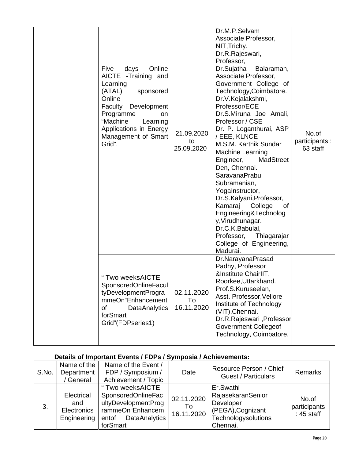|  | Online<br>Five<br>days<br>AICTE -Training and<br>Learning<br>(ATAL)<br>sponsored<br>Online<br>Development<br>Faculty<br>Programme<br>on<br>"Machine<br>Learning<br>Applications in Energy<br>Management of Smart<br>Grid".<br>" Two weeksAICTE | 21.09.2020<br>to<br>25.09.2020 | Professor,<br>Dr.Sujatha<br>Balaraman,<br>Associate Professor,<br>Government College of<br>Technology, Coimbatore.<br>Dr.V.Kejalakshmi,<br>Professor/ECE<br>Dr.S.Miruna Joe Amali,<br>Professor / CSE<br>Dr. P. Loganthurai, ASP<br>/ EEE, KLNCE<br>M.S.M. Karthik Sundar<br><b>Machine Learning</b><br>Engineer,<br>MadStreet<br>Den, Chennai.<br><b>SaravanaPrabu</b><br>Subramanian,<br>Yogalnstructor,<br>Dr.S.Kalyani, Professor,<br>Kamaraj College<br>0f<br>Engineering&Technolog<br>y, Virudhunagar.<br>Dr.C.K.Babulal,<br>Professor,<br>Thiagarajar<br>College of Engineering,<br>Madurai.<br>Dr.NarayanaPrasad<br>Padhy, Professor<br>&Institute ChairlIT,<br>Roorkee, Uttarkhand. | No.of<br>participants:<br>63 staff |
|--|------------------------------------------------------------------------------------------------------------------------------------------------------------------------------------------------------------------------------------------------|--------------------------------|----------------------------------------------------------------------------------------------------------------------------------------------------------------------------------------------------------------------------------------------------------------------------------------------------------------------------------------------------------------------------------------------------------------------------------------------------------------------------------------------------------------------------------------------------------------------------------------------------------------------------------------------------------------------------------------------|------------------------------------|
|  | <b>SponsoredOnlineFacul</b><br>tyDevelopmentProgra<br>mmeOn"Enhancement<br>of<br><b>DataAnalytics</b><br>forSmart<br>Grid"(FDPseries1)                                                                                                         | 02.11.2020<br>To<br>16.11.2020 | Prof.S.Kuruseelan,<br>Asst. Professor, Vellore<br>Institute of Technology<br>(VIT), Chennai.<br>Dr.R.Rajeswari, Professor<br><b>Government Collegeof</b><br>Technology, Coimbatore.                                                                                                                                                                                                                                                                                                                                                                                                                                                                                                          |                                    |

| S.No. | Name of the<br>Department<br>General                   | Name of the Event /<br>FDP / Symposium /<br>Achievement / Topic                                                                | Date                           | Resource Person / Chief<br><b>Guest / Particulars</b>                                               | <b>Remarks</b>                        |
|-------|--------------------------------------------------------|--------------------------------------------------------------------------------------------------------------------------------|--------------------------------|-----------------------------------------------------------------------------------------------------|---------------------------------------|
| 3.    | Electrical<br>and<br><b>Electronics</b><br>Engineering | " Two weeksAICTE<br><b>SponsoredOnlineFac</b><br>ultyDevelopmentProg<br>rammeOn"Enhancem<br>DataAnalytics<br>entof<br>forSmart | 02.11.2020<br>To<br>16.11.2020 | Er.Swathi<br>RajasekaranSenior<br>Developer<br>(PEGA), Cognizant<br>Technologysolutions<br>Chennai. | No.of<br>participants<br>$: 45$ staff |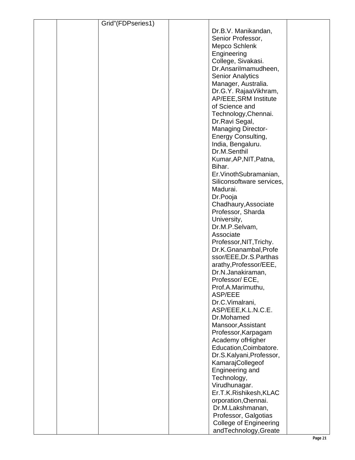|  | Grid"(FDPseries1) |                               |  |
|--|-------------------|-------------------------------|--|
|  |                   | Dr.B.V. Manikandan,           |  |
|  |                   | Senior Professor,             |  |
|  |                   | Mepco Schlenk                 |  |
|  |                   |                               |  |
|  |                   | Engineering                   |  |
|  |                   | College, Sivakasi.            |  |
|  |                   | Dr.Ansarilmamudheen,          |  |
|  |                   | <b>Senior Analytics</b>       |  |
|  |                   | Manager, Australia.           |  |
|  |                   | Dr.G.Y. RajaaVikhram,         |  |
|  |                   | AP/EEE, SRM Institute         |  |
|  |                   | of Science and                |  |
|  |                   | Technology, Chennai.          |  |
|  |                   |                               |  |
|  |                   | Dr.Ravi Segal,                |  |
|  |                   | <b>Managing Director-</b>     |  |
|  |                   | Energy Consulting,            |  |
|  |                   | India, Bengaluru.             |  |
|  |                   | Dr.M.Senthil                  |  |
|  |                   | Kumar, AP, NIT, Patna,        |  |
|  |                   | Bihar.                        |  |
|  |                   | Er. Vinoth Subramanian,       |  |
|  |                   | Siliconsoftware services,     |  |
|  |                   | Madurai.                      |  |
|  |                   | Dr.Pooja                      |  |
|  |                   |                               |  |
|  |                   | Chadhaury, Associate          |  |
|  |                   | Professor, Sharda             |  |
|  |                   | University,                   |  |
|  |                   | Dr.M.P.Selvam,                |  |
|  |                   | Associate                     |  |
|  |                   | Professor, NIT, Trichy.       |  |
|  |                   | Dr.K.Gnanambal, Profe         |  |
|  |                   | ssor/EEE, Dr.S. Parthas       |  |
|  |                   | arathy, Professor/EEE,        |  |
|  |                   | Dr.N.Janakiraman,             |  |
|  |                   | Professor/ECE,                |  |
|  |                   | Prof.A.Marimuthu,             |  |
|  |                   | ASP/EEE                       |  |
|  |                   |                               |  |
|  |                   | Dr.C.Vimalrani,               |  |
|  |                   | ASP/EEE, K.L.N.C.E.           |  |
|  |                   | Dr.Mohamed                    |  |
|  |                   | Mansoor, Assistant            |  |
|  |                   | Professor, Karpagam           |  |
|  |                   | Academy ofHigher              |  |
|  |                   | Education, Coimbatore.        |  |
|  |                   | Dr.S.Kalyani, Professor,      |  |
|  |                   | KamarajCollegeof              |  |
|  |                   | Engineering and               |  |
|  |                   | Technology,                   |  |
|  |                   | Virudhunagar.                 |  |
|  |                   | Er.T.K.Rishikesh, KLAC        |  |
|  |                   | orporation, Chennai.          |  |
|  |                   | Dr.M.Lakshmanan,              |  |
|  |                   | Professor, Galgotias          |  |
|  |                   |                               |  |
|  |                   | <b>College of Engineering</b> |  |
|  |                   | andTechnology, Greate         |  |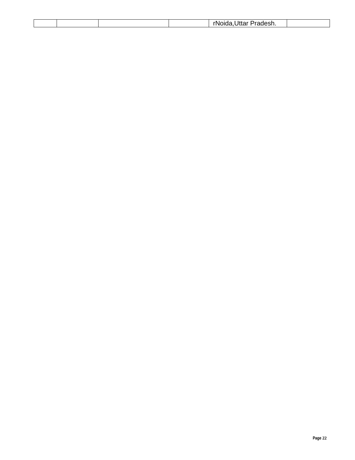|  |  | daer<br>мm<br>.<br>1405<br>,,,<br>ιιαι<br> |  |
|--|--|--------------------------------------------|--|
|  |  |                                            |  |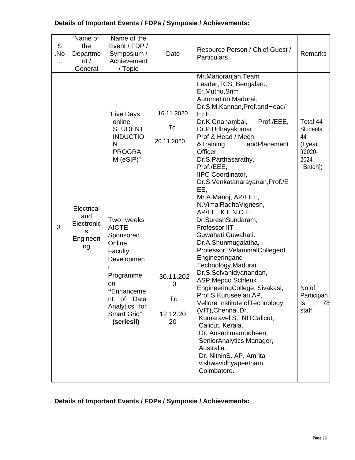| S<br>.No | Name of<br>the<br>Departme<br>nt/<br>General | Name of the<br>Event / FDP /<br>Symposium /<br>Achievement<br>/ Topic                                                                                                        | Date                                   | Resource Person / Chief Guest /<br><b>Particulars</b>                                                                                                                                                                                                                                                                                                                                                                                                                                                                          | <b>Remarks</b>                                                                |
|----------|----------------------------------------------|------------------------------------------------------------------------------------------------------------------------------------------------------------------------------|----------------------------------------|--------------------------------------------------------------------------------------------------------------------------------------------------------------------------------------------------------------------------------------------------------------------------------------------------------------------------------------------------------------------------------------------------------------------------------------------------------------------------------------------------------------------------------|-------------------------------------------------------------------------------|
|          | Electrical<br>and                            | "Five Days<br>online<br><b>STUDENT</b><br><b>INDUCTIO</b><br>$\mathsf{N}$<br><b>PROGRA</b><br>M (eSIP)"                                                                      | 16.11.2020<br>To<br>20.11.2020         | Mr.Manoranjan, Team<br>Leader, TCS, Bengalaru,<br>Er.Muthu, Srim<br>Automation, Madurai.<br>Dr.S.M.Kannan, Prof.andHead/<br>EEE,<br>Dr.K.Gnanambal,<br>Prof./EEE,<br>Dr.P.Udhayakumar,<br>Prof & Head / Mech.<br>&Training<br>andPlacement<br>Officer,<br>Dr.S.Parthasarathy,<br>Prof./EEE,<br><b>IIPC</b> Coordinator,<br>Dr.S.Venkatanarayanan, Prof./E<br>EE,<br>Mr.A.Manoj, AP/EEE,<br>N. VimalRadha Vignesh,<br>AP/EEEK.L.N.C.E.                                                                                          | Total:44<br><b>Students</b><br>44<br>(I year<br>$[(2020 -$<br>2024<br>Batch]) |
| 3.       | Electronic<br>s<br>Engineeri<br>ng           | Two weeks<br><b>AICTE</b><br>Sponsored<br>Online<br>Faculty<br>Developmen<br>Programme<br>on<br>"Enhanceme<br>Data<br>οf<br>nt<br>Analytics for<br>Smart Grid"<br>(seriesII) | 30.11.202<br>0<br>To<br>12.12.20<br>20 | Dr.SureshSundaram,<br>Professor, IIT<br>Guwahati, Guwahati.<br>Dr.A.Shunmugalatha,<br>Professor, VelammalCollegeof<br>Engineeringand<br>Technology, Madurai.<br>Dr.S.Selvanidyanandan,<br><b>ASP, Mepco Schlenk</b><br>EngineeringCollege, Sivakasi,<br>Prof.S.Kuruseelan, AP,<br>Vellore Institute of Technology<br>(VIT), Chennai. Dr.<br>Kumaravel S., NITCalicut,<br>Calicut, Kerala.<br>Dr. Ansarilmamudheen,<br>SeniorAnalytics Manager,<br>Australia.<br>Dr. NithinS. AP, Amrita<br>vishwavidhyapeetham,<br>Coimbatore. | No.of<br>Participan<br>78<br>ts<br>staff                                      |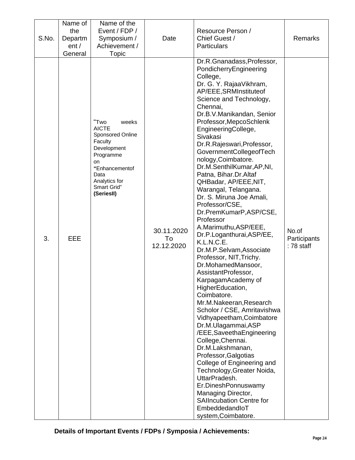| S.No. | Name of<br>the<br>Departm<br>ent/<br>General | Name of the<br>Event / FDP /<br>Symposium /<br>Achievement /<br>Topic                                                                                                  | Date                           | Resource Person /<br>Chief Guest /<br><b>Particulars</b>                                                                                                                                                                                                                                                                                                                                                                                                                                                                                                                                                                                                                                                                                                                                                                                                                                                                                                                                                                                                                                                                                                                               | Remarks                             |
|-------|----------------------------------------------|------------------------------------------------------------------------------------------------------------------------------------------------------------------------|--------------------------------|----------------------------------------------------------------------------------------------------------------------------------------------------------------------------------------------------------------------------------------------------------------------------------------------------------------------------------------------------------------------------------------------------------------------------------------------------------------------------------------------------------------------------------------------------------------------------------------------------------------------------------------------------------------------------------------------------------------------------------------------------------------------------------------------------------------------------------------------------------------------------------------------------------------------------------------------------------------------------------------------------------------------------------------------------------------------------------------------------------------------------------------------------------------------------------------|-------------------------------------|
| 3.    | EEE                                          | "Two<br>weeks<br><b>AICTE</b><br>Sponsored Online<br>Faculty<br>Development<br>Programme<br>on<br>"Enhancementof<br>Data<br>Analytics for<br>Smart Grid"<br>(SeriesII) | 30.11.2020<br>To<br>12.12.2020 | Dr.R.Gnanadass, Professor,<br>PondicherryEngineering<br>College,<br>Dr. G. Y. RajaaVikhram,<br>AP/EEE, SRMInstitute of<br>Science and Technology,<br>Chennai,<br>Dr.B.V.Manikandan, Senior<br>Professor, MepcoSchlenk<br>EngineeringCollege,<br>Sivakasi<br>Dr.R.Rajeswari, Professor,<br>GovernmentCollegeofTech<br>nology, Coimbatore.<br>Dr.M.SenthilKumar, AP, NI,<br>Patna, Bihar.Dr.Altaf<br>QHBadar, AP/EEE, NIT,<br>Warangal, Telangana.<br>Dr. S. Miruna Joe Amali,<br>Professor/CSE,<br>Dr.PremKumarP,ASP/CSE,<br>Professor<br>A.Marimuthu, ASP/EEE,<br>Dr.P.Loganthurai, ASP/EE,<br>K.L.N.C.E.<br>Dr.M.P.Selvam,Associate<br>Professor, NIT, Trichy.<br>Dr.MohamedMansoor,<br>AssistantProfessor,<br>KarpagamAcademy of<br>HigherEducation,<br>Coimbatore.<br>Mr.M.Nakeeran, Research<br>Scholor / CSE, Amritavishwa<br>Vidhyapeetham, Coimbatore<br>Dr.M.Ulagammai, ASP<br>/EEE,SaveethaEngineering<br>College, Chennai.<br>Dr.M.Lakshmanan,<br>Professor, Galgotias<br>College of Engineering and<br>Technology, Greater Noida,<br>UttarPradesh.<br>Er.DineshPonnuswamy<br>Managing Director,<br><b>SAllncubation Centre for</b><br>EmbeddedandloT<br>system, Coimbatore. | No.of<br>Participants<br>: 78 staff |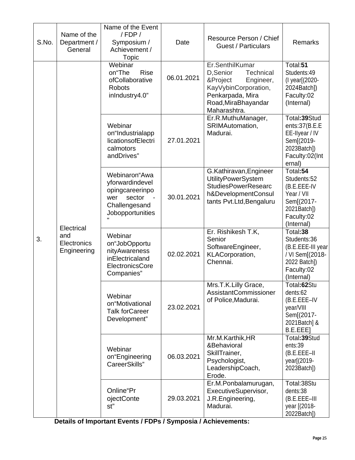| S.No. | Name of the<br>Department /<br>General          | Name of the Event<br>/ FDP /<br>Symposium /<br>Achievement /<br>Topic                                                       | Date       | Resource Person / Chief<br>Guest / Particulars                                                                                                              | <b>Remarks</b>                                                                                                |
|-------|-------------------------------------------------|-----------------------------------------------------------------------------------------------------------------------------|------------|-------------------------------------------------------------------------------------------------------------------------------------------------------------|---------------------------------------------------------------------------------------------------------------|
|       |                                                 | Webinar<br>on"The<br><b>Rise</b><br>ofCollaborative<br><b>Robots</b><br>inIndustry4.0"                                      | 06.01.2021 | Er.SenthilKumar<br>D,Senior<br><b>Technical</b><br>&Project<br>Engineer,<br>KayVybinCorporation,<br>Penkarpada, Mira<br>Road, MiraBhayandar<br>Maharashtra. | Total:51<br>Students:49<br>(I year[(2020-<br>2024Batch])<br>Faculty:02<br>(Internal)                          |
|       | Electrical<br>and<br>Electronics<br>Engineering | Webinar<br>on"Industrialapp<br>licationsofElectri<br>calmotors<br>andDrives"                                                | 27.01.2021 | Er.R.MuthuManager,<br>SRIMAutomation,<br>Madurai.                                                                                                           | Total: 39Stud<br>ents:37(B.E.E<br>EE-Ilyear / IV<br>Sem[(2019-<br>2023Batch])<br>Faculty:02(Int<br>ernal)     |
|       |                                                 | Webinaron"Awa<br>yforwardindevel<br>opingcareerinpo<br>sector<br>wer<br>$\blacksquare$<br>Challengesand<br>Jobopportunities | 30.01.2021 | G.Kathiravan, Engineer<br><b>UtilityPowerSystem</b><br><b>StudiesPowerResearc</b><br>h&DevelopmentConsul<br>tants Pvt.Ltd, Bengaluru                        | Total:54<br>Students:52<br>(B.E.EEE-IV<br>Year / VII<br>Sem[(2017-<br>2021Batch])<br>Faculty:02<br>(Internal) |
| 3.    |                                                 | Webinar<br>on"JobOpportu<br>nityAwareness<br>inElectricaland<br>ElectronicsCore<br>Companies"                               | 02.02.2021 | Er. Rishikesh T.K,<br>Senior<br>SoftwareEngineer,<br>KLACorporation,<br>Chennai.                                                                            | Total:38<br>Students:36<br>(B.E.EEE-III year<br>/ VI Sem[(2018-<br>2022 Batch])<br>Faculty:02<br>(Internal)   |
|       |                                                 | Webinar<br>on"Motivational<br><b>Talk forCareer</b><br>Development"                                                         | 23.02.2021 | Mrs.T.K.Lilly Grace,<br><b>AssistantCommissioner</b><br>of Police, Madurai.                                                                                 | Total:62Stu<br>dents:62<br>(B.E.EEE-IV<br>year/VIII<br>Sem[(2017-<br>2021Batch] &<br>B.E.EEE]                 |
|       |                                                 | Webinar<br>on"Engineering<br>CareerSkills"                                                                                  | 06.03.2021 | Mr.M.Karthik, HR<br>&Behavioral<br>SkillTrainer,<br>Psychologist,<br>LeadershipCoach,<br>Erode.                                                             | Total:39Stud<br>ents:39<br>$(B.E.EEE-II$<br>year[(2019-<br>2023Batch])                                        |
|       |                                                 | Online"Pr<br>ojectConte<br>st"                                                                                              | 29.03.2021 | Er.M.Ponbalamurugan,<br>ExecutiveSupervisor,<br>J.R.Engineering,<br>Madurai.                                                                                | Total:38Stu<br>dents:38<br>(B.E.EEE-III<br>year [(2018-<br>2022Batch])                                        |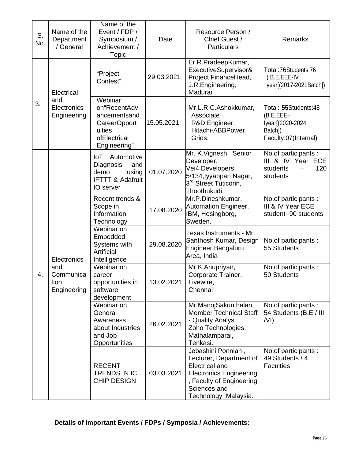| S.<br>No. | Name of the<br>Department<br>/ General                 | Name of the<br>Event / FDP /<br>Symposium /<br>Achievement /<br><b>Topic</b>                                                  | Date       | Resource Person /<br>Chief Guest /<br><b>Particulars</b>                                                                                                                       | Remarks                                                                                    |
|-----------|--------------------------------------------------------|-------------------------------------------------------------------------------------------------------------------------------|------------|--------------------------------------------------------------------------------------------------------------------------------------------------------------------------------|--------------------------------------------------------------------------------------------|
|           | Electrical<br>and<br>Electronics<br>Engineering        | "Project<br>Contest"                                                                                                          | 29.03.2021 | Er.R.PradeepKumar,<br>ExecutiveSupervisor&<br>Project FinanceHead,<br>J.R.Engineering,<br>Madurai                                                                              | Total:76Students:76<br>(B.E.EEE-IV<br>year[(2017-2021Batch])                               |
| 3.        |                                                        | $\overline{\text{Web}}$ inar<br>on"RecentAdv<br>ancementsand<br><b>CareerOpport</b><br>uities<br>ofElectrical<br>Engineering" | 15.05.2021 | Mr.L.R.C.Ashokkumar,<br>Associate<br>R&D Engineer,<br>Hitachi-ABBPower<br>Grids.                                                                                               | Total: 55Students:48<br>$(B.E.EEE-$<br>lyear[(2020-2024<br>Batch])<br>Faculty:07(Internal) |
|           | Electronics<br>and<br>Communica<br>tion<br>Engineering | Automotive<br>loT<br>Diagnosis<br>and<br>using<br>demo<br><b>IFTTT &amp; Adafruit</b><br>IO server                            | 01.07.2020 | Mr. K. Vignesh, Senior<br>Developer,<br>Vei4 Developers<br>5/134, lyyappan Nagar,<br>3 <sup>rd</sup> Street Tuticorin,<br>Thoothukudi.                                         | No.of participants :<br>III & IV Year ECE<br>120<br>students<br>students                   |
|           |                                                        | Recent trends &<br>Scope in<br>Information<br>Technology                                                                      | 17.08.2020 | Mr.P.Dineshkumar,<br>Automation Engineer,<br>IBM, Hesingborg,<br>Sweden.                                                                                                       | No.of participants :<br>III & IV Year ECE<br>student -90 students                          |
|           |                                                        | Webinar on<br>Embedded<br>Systems with<br>Artificial<br>Intelligence                                                          | 29.08.2020 | Texas Instruments - Mr.<br>Santhosh Kumar, Design<br>Engineer, Bengaluru<br>Area, India                                                                                        | No.of participants:<br>55 Students                                                         |
| 4.        |                                                        | Webinar on<br>career<br>opportunities in<br>software<br>development                                                           | 13.02.2021 | Mr.K.Anupriyan,<br>Corporate Trainer,<br>Livewire,<br>Chennai                                                                                                                  | No.of participants :<br>50 Students                                                        |
|           |                                                        | Webinar on<br>General<br>Awareness<br>about Industries<br>and Job<br>Opportunities                                            | 26.02.2021 | Mr.ManojSakunthalan,<br><b>Member Technical Staff</b><br>- Quality Analyst<br>Zoho Technologies,<br>Mathalamparai,<br>Tenkasi.                                                 | No.of participants :<br>54 Students (B.E / III<br>/VI)                                     |
|           |                                                        | <b>RECENT</b><br>TRENDS IN IC<br><b>CHIP DESIGN</b>                                                                           | 03.03.2021 | Jebashini Ponnian,<br>Lecturer, Department of<br><b>Electrical and</b><br><b>Electronics Engineering</b><br>, Faculty of Engineering<br>Sciences and<br>Technology , Malaysia. | No.of participants :<br>49 Students / 4<br><b>Faculties</b>                                |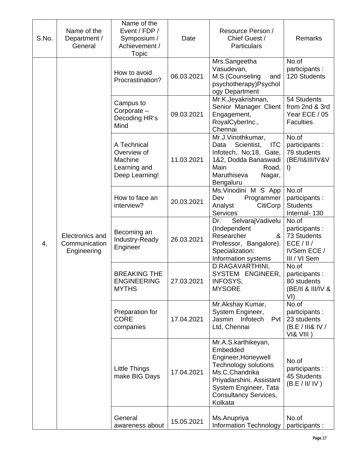| S.No. | Name of the<br>Department /<br>General          | Name of the<br>Event / FDP /<br>Symposium /<br>Achievement /<br><b>Topic</b> | Date       | Resource Person /<br>Chief Guest /<br>Particulars                                                                                                                                                | Remarks                                                                            |
|-------|-------------------------------------------------|------------------------------------------------------------------------------|------------|--------------------------------------------------------------------------------------------------------------------------------------------------------------------------------------------------|------------------------------------------------------------------------------------|
|       |                                                 | How to avoid<br>Procrastination?                                             | 06.03.2021 | Mrs.Sangeetha<br>Vasudevan,<br>M.S.(Counseling<br>and<br>psychotherapy)Psychol<br>ogy Department                                                                                                 | No.of<br>participants :<br>120 Students                                            |
|       |                                                 | Campus to<br>Corporate -<br>Decoding HR's<br>Mind                            | 09.03.2021 | Mr.K.Jeyakrishnan,<br>Senior Manager Client<br>Engagement,<br>RoyalCyberInc.,<br>Chennai                                                                                                         | 54 Students<br>from 2nd & 3rd<br>Year ECE / 05<br><b>Faculties</b>                 |
|       |                                                 | A Technical<br>Overview of<br>Machine<br>Learning and<br>Deep Learning!      | 11.03.2021 | Mr.J.Vinothkumar,<br>Scientist,<br><b>ITC</b><br>Data<br>Infotech, No:18, Gate,<br>1&2, Dodda Banaswadi<br>Main<br>Road,<br>Maruthiseva<br>Nagar,<br>Bengaluru                                   | No.of<br>participants :<br>79 students<br>(BE/II&III/IV&V<br>$\vert$               |
|       |                                                 | How to face an<br>interview?                                                 | 20.03.2021 | Ms. Vinodini M S App<br>Programmer<br>Dev<br><b>CitiCorp</b><br>Analyst<br>Services                                                                                                              | No.of<br>participants :<br><b>Students</b><br>Internal-130                         |
| 4.    | Electronics and<br>Communication<br>Engineering | Becoming an<br>Industry-Ready<br>Engineer                                    | 26.03.2021 | Dr.<br>SelvarajVadivelu<br>(Independent<br>Researcher<br>&<br>Professor, Bangalore).<br>Specialization:<br>Information systems                                                                   | No.of<br>participants:<br>73 Students<br>ECE / II /<br>IVSem ECE /<br>III / VI Sem |
|       |                                                 | <b>BREAKING THE</b><br><b>ENGINEERING</b><br><b>MYTHS</b>                    | 27.03.2021 | D.RAGAVARTHINI,<br>SYSTEM ENGINEER,<br>INFOSYS,<br><b>MYSORE</b>                                                                                                                                 | No.of<br>participants :<br>80 students<br>(BE/II & III/IV &<br>VI)                 |
|       |                                                 | Preparation for<br><b>CORE</b><br>companies                                  | 17.04.2021 | Mr.Akshay Kumar,<br>System Engineer,<br>Jasmin<br>Infotech<br>Pvt<br>Ltd, Chennai                                                                                                                | No.of<br>participants :<br>23 students<br>(B.E/III&IV/<br>VI& VIII)                |
|       |                                                 | Little Things<br>make BIG Days                                               | 17.04.2021 | Mr.A.S.karthikeyan,<br>Embedded<br>Engineer, Honeywell<br>Technology solutions<br>Ms.C.Chandrika<br>Priyadarshini, Assistant<br>System Engineer, Tata<br><b>Consultancy Services,</b><br>Kolkata | No.of<br>participants :<br>45 Students<br>(B.E / II / IV)                          |
|       |                                                 | General<br>awareness about                                                   | 15.05.2021 | Ms.Anupriya<br><b>Information Technology</b>                                                                                                                                                     | No.of<br>participants :                                                            |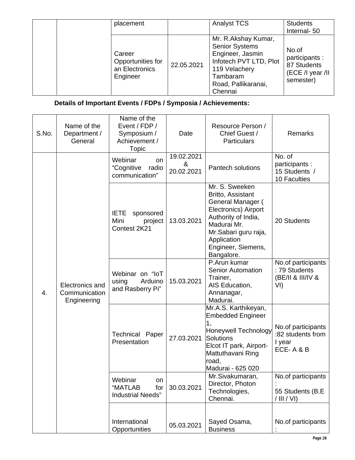| placement                                                 |            | <b>Analyst TCS</b>                                                                                                                                        | <b>Students</b><br>Internal-50                                          |
|-----------------------------------------------------------|------------|-----------------------------------------------------------------------------------------------------------------------------------------------------------|-------------------------------------------------------------------------|
| Career<br>Opportunities for<br>an Electronics<br>Engineer | 22.05.2021 | Mr. R.Akshay Kumar,<br><b>Senior Systems</b><br>Engineer, Jasmin<br>Infotech PVT LTD, Plot<br>119 Velachery<br>Tambaram<br>Road, Pallikaranai,<br>Chennai | No.of<br>participants :<br>87 Students<br>(ECE /I year /II<br>semester) |

|    | S.No. | Name of the<br>Department /<br>General                      | Name of the<br>Event / FDP /<br>Symposium /<br>Achievement /<br>Topic | Date                                                             | Resource Person /<br>Chief Guest /<br><b>Particulars</b>                                                                                                                                          | <b>Remarks</b>                                                  |
|----|-------|-------------------------------------------------------------|-----------------------------------------------------------------------|------------------------------------------------------------------|---------------------------------------------------------------------------------------------------------------------------------------------------------------------------------------------------|-----------------------------------------------------------------|
|    |       |                                                             | Webinar<br><b>on</b><br>"Cognitive<br>radio<br>communication"         | 19.02.2021<br>$\boldsymbol{\alpha}$<br>20.02.2021                | <b>Pantech solutions</b>                                                                                                                                                                          | No. of<br>participants :<br>15 Students /<br>10 Faculties       |
| 4. |       |                                                             | <b>IETE</b><br>sponsored<br>Mini<br>project<br>Contest 2K21           | 13.03.2021                                                       | Mr. S. Sweeken<br>Britto, Assistant<br>General Manager (<br>Electronics) Airport<br>Authority of India,<br>Madurai Mr.<br>Mr.Sabari guru raja,<br>Application<br>Engineer, Siemens,<br>Bangalore. | 20 Students                                                     |
|    |       | Electronics and<br>Communication<br>Engineering             | Webinar on "IoT<br>using<br>Arduino<br>and Rasberry Pi"               | 15.03.2021                                                       | P.Arun kumar<br><b>Senior Automation</b><br>Trainer,<br>AIS Education,<br>Annanagar,<br>Madurai.                                                                                                  | No.of participants<br>: 79 Students<br>(BE/II & III/IV &<br>VI) |
|    |       |                                                             | <b>Technical Paper</b><br>Presentation                                | 27.03.2021                                                       | Mr.A.S. Karthikeyan,<br><b>Embedded Engineer</b><br>1,<br><b>Honeywell Technology</b><br><b>Solutions</b><br>Elcot IT park, Airport-<br>Mattuthavani Ring<br>road,<br>Madurai - 625 020           | No.of participants<br>:82 students from<br>I year<br>ECE-A&B    |
|    |       | Webinar<br>on<br>"MATLAB<br>for<br><b>Industrial Needs"</b> | 30.03.2021                                                            | Mr.Sivakumaran,<br>Director, Photon<br>Technologies,<br>Chennai. | No.of participants<br>55 Students (B.E.<br>$/$ III $/$ VI)                                                                                                                                        |                                                                 |
|    |       |                                                             | International<br>Opportunities                                        | 05.03.2021                                                       | Sayed Osama,<br><b>Business</b>                                                                                                                                                                   | No.of participants                                              |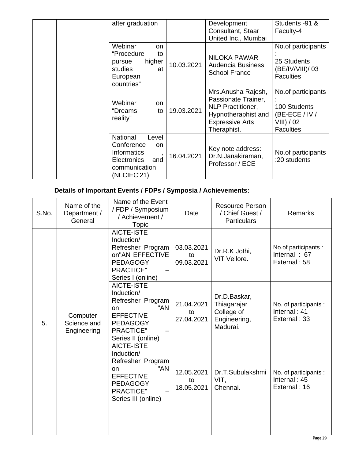| after graduation                                                                                                         |            | Development<br>Consultant, Staar<br>United Inc., Mumbai                                                                               | Students -91 &<br>Faculty-4                                                            |
|--------------------------------------------------------------------------------------------------------------------------|------------|---------------------------------------------------------------------------------------------------------------------------------------|----------------------------------------------------------------------------------------|
| Webinar<br><b>on</b><br>"Procedure<br>to<br>higher<br>pursue<br>studies<br>at<br>European<br>countries"                  | 10.03.2021 | <b>NILOKA PAWAR</b><br><b>Audencia Business</b><br><b>School France</b>                                                               | No.of participants<br>25 Students<br>(BE/IV/VIII)/ 03<br><b>Faculties</b>              |
| Webinar<br>on.<br>"Dreams<br>to<br>reality"                                                                              | 19.03.2021 | Mrs.Anusha Rajesh,<br>Passionate Trainer,<br><b>NLP Practitioner,</b><br>Hypnotheraphist and<br><b>Expressive Arts</b><br>Theraphist. | No.of participants<br>100 Students<br>(BE-ECE / IV /<br>VIII) / 02<br><b>Faculties</b> |
| <b>National</b><br>Level<br>Conference<br>on<br><b>Informatics</b><br>and<br>Electronics<br>communication<br>(NLCIEC'21) | 16.04.2021 | Key note address:<br>Dr.N.Janakiraman,<br>Professor / ECE                                                                             | No.of participants<br>:20 students                                                     |

| S.No. | Name of the<br>Department /<br>General | Name of the Event<br>/ FDP / Symposium<br>/ Achievement /<br>Topic                                                                                  | Date                           | <b>Resource Person</b><br>/ Chief Guest /<br><b>Particulars</b>       | Remarks                                                 |
|-------|----------------------------------------|-----------------------------------------------------------------------------------------------------------------------------------------------------|--------------------------------|-----------------------------------------------------------------------|---------------------------------------------------------|
|       |                                        | <b>AICTE-ISTE</b><br>Induction/<br>Refresher Program<br>on"AN EFFECTIVE<br><b>PEDAGOGY</b><br><b>PRACTICE"</b><br>Series I (online)                 | 03.03.2021<br>to<br>09.03.2021 | Dr.R.K Jothi,<br>VIT Vellore.                                         | No.of participants :<br>Internal: $67$<br>External: 58  |
| 5.    | Computer<br>Science and<br>Engineering | AICTE-ISTE<br>Induction/<br>Refresher Program<br>"AN<br>on<br><b>EFFECTIVE</b><br><b>PEDAGOGY</b><br><b>PRACTICE"</b><br>Series II (online)         | 21.04.2021<br>to<br>27.04.2021 | Dr.D.Baskar,<br>Thiagarajar<br>College of<br>Engineering,<br>Madurai. | No. of participants :<br>Internal: 41<br>External: 33   |
|       |                                        | <b>AICTE-ISTE</b><br>Induction/<br>Refresher Program<br>"AN<br>on<br><b>EFFECTIVE</b><br><b>PEDAGOGY</b><br><b>PRACTICE"</b><br>Series III (online) | 12.05.2021<br>to<br>18.05.2021 | Dr.T.Subulakshmi<br>VIT,<br>Chennai.                                  | No. of participants :<br>Internal: $45$<br>External: 16 |
|       |                                        |                                                                                                                                                     |                                |                                                                       |                                                         |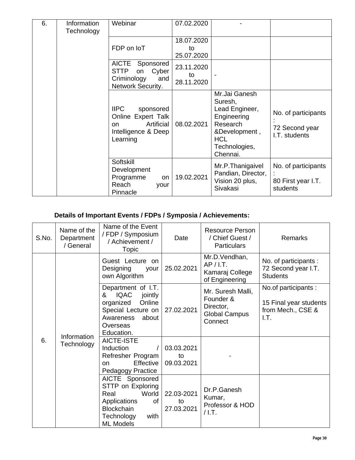| 6. | Information<br>Technology | Webinar                                                                                                | 07.02.2020                     |                                                                                                                                   |                                                        |
|----|---------------------------|--------------------------------------------------------------------------------------------------------|--------------------------------|-----------------------------------------------------------------------------------------------------------------------------------|--------------------------------------------------------|
|    |                           | FDP on IoT                                                                                             | 18.07.2020<br>to<br>25.07.2020 |                                                                                                                                   |                                                        |
|    |                           | <b>AICTE</b><br>Sponsored<br><b>STTP</b><br>Cyber<br>on<br>Criminology<br>and<br>Network Security.     | 23.11.2020<br>to<br>28.11.2020 |                                                                                                                                   |                                                        |
|    |                           | <b>IIPC</b><br>sponsored<br>Online Expert Talk<br>Artificial<br>on.<br>Intelligence & Deep<br>Learning | 08.02.2021                     | Mr.Jai Ganesh<br>Suresh,<br>Lead Engineer,<br>Engineering<br>Research<br>&Development,<br><b>HCL</b><br>Technologies,<br>Chennai. | No. of participants<br>72 Second year<br>I.T. students |
|    |                           | Softskill<br>Development<br>Programme<br>on<br>Reach<br>your<br>Pinnacle                               | 19.02.2021                     | Mr.P.Thanigaivel<br>Pandian, Director,<br>Vision 20 plus,<br>Sivakasi                                                             | No. of participants<br>80 First year I.T.<br>students  |

| S.No. | Name of the<br>Department<br>/ General | Name of the Event<br>/ FDP / Symposium<br>/ Achievement /<br>Topic                                                                             | Date                           | <b>Resource Person</b><br>/ Chief Guest /<br><b>Particulars</b>                | <b>Remarks</b>                                                              |
|-------|----------------------------------------|------------------------------------------------------------------------------------------------------------------------------------------------|--------------------------------|--------------------------------------------------------------------------------|-----------------------------------------------------------------------------|
| 6.    | Information<br>Technology              | Guest Lecture on<br>Designing<br>your<br>own Algorithm                                                                                         | 25.02.2021                     | Mr.D.Vendhan,<br>AP / I.T.<br>Kamaraj College<br>of Engineering                | No. of participants:<br>72 Second year I.T.<br><b>Students</b>              |
|       |                                        | Department of I.T.<br><b>IQAC</b><br>jointly<br>&<br>Online<br>organized<br>Special Lecture on<br>Awareness<br>about<br>Overseas<br>Education. | 27.02.2021                     | Mr. Suresh Malli,<br>Founder &<br>Director,<br><b>Global Campus</b><br>Connect | No.of participants :<br>15 Final year students<br>from Mech., CSE &<br>I.T. |
|       |                                        | AICTE-ISTE<br>Induction<br>Refresher Program<br>Effective<br>on<br>Pedagogy Practice                                                           | 03.03.2021<br>to<br>09.03.2021 |                                                                                |                                                                             |
|       |                                        | AICTE Sponsored<br>STTP on Exploring<br>World<br>Real<br>Applications<br>of<br><b>Blockchain</b><br>Technology<br>with<br><b>ML Models</b>     | 22.03-2021<br>to<br>27.03.2021 | Dr.P.Ganesh<br>Kumar,<br>Professor & HOD<br>$/$ l.T.                           |                                                                             |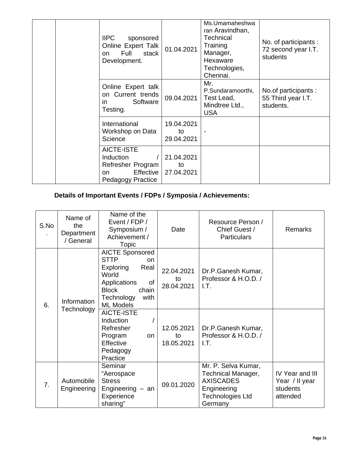| <b>IIPC</b><br>sponsored<br>Online Expert Talk<br>Full<br>stack<br>on<br>Development.        | 01.04.2021                     | Ms.Umamaheshwa<br>ran Aravindhan,<br><b>Technical</b><br>Training<br>Manager,<br>Hexaware<br>Technologies,<br>Chennai. | No. of participants:<br>72 second year I.T.<br>students |
|----------------------------------------------------------------------------------------------|--------------------------------|------------------------------------------------------------------------------------------------------------------------|---------------------------------------------------------|
| Online Expert talk<br>on Current trends<br>Software<br>in.<br>Testing.                       | 09.04.2021                     | Mr.<br>P.Sundaramoorthi,<br>Test Lead,<br>Mindtree Ltd.,<br><b>USA</b>                                                 | No.of participants :<br>55 Third year I.T.<br>students. |
| International<br>Workshop on Data<br>Science                                                 | 19.04.2021<br>to<br>29.04.2021 |                                                                                                                        |                                                         |
| AICTE-ISTE<br>Induction<br>Refresher Program<br>Effective<br>on.<br><b>Pedagogy Practice</b> | 21.04.2021<br>to<br>27.04.2021 |                                                                                                                        |                                                         |

| S.No | Name of<br>the<br>Department<br>/ General | Name of the<br>Event / FDP /<br>Symposium /<br>Achievement /<br>Topic                                                                                                            | Date                           | Resource Person /<br>Chief Guest /<br><b>Particulars</b>                                                                  | <b>Remarks</b>                                            |
|------|-------------------------------------------|----------------------------------------------------------------------------------------------------------------------------------------------------------------------------------|--------------------------------|---------------------------------------------------------------------------------------------------------------------------|-----------------------------------------------------------|
| 6.   | Information<br>Technology                 | <b>AICTE Sponsored</b><br><b>STTP</b><br><b>on</b><br><b>Exploring</b><br>Real<br>World<br>Applications<br>οf<br><b>Block</b><br>chain<br>Technology<br>with<br><b>ML Models</b> | 22.04.2021<br>to<br>28.04.2021 | Dr.P.Ganesh Kumar,<br>Professor & H.O.D. /<br>I.T.                                                                        |                                                           |
|      |                                           | AICTE-ISTE<br>Induction<br>Refresher<br>Program<br>on.<br>Effective<br>Pedagogy<br>Practice                                                                                      | 12.05.2021<br>to<br>18.05.2021 | Dr.P.Ganesh Kumar,<br>Professor & H.O.D. /<br>I.T.                                                                        |                                                           |
| 7.   | Automobile<br>Engineering                 | Seminar<br>"Aerospace<br><b>Stress</b><br>Engineering $-$ an<br>Experience<br>sharing"                                                                                           | 09.01.2020                     | Mr. P. Selva Kumar,<br><b>Technical Manager,</b><br><b>AXISCADES</b><br>Engineering<br><b>Technologies Ltd</b><br>Germany | IV Year and III<br>Year / II year<br>students<br>attended |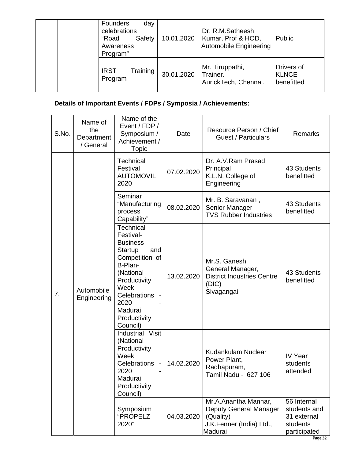| Founders<br>day<br>celebrations<br>Safety<br>"Road<br>Awareness<br>Program" | 10.01.2020 | Dr. R.M.Satheesh<br>Kumar, Prof & HOD,<br>Automobile Engineering | Public                                   |
|-----------------------------------------------------------------------------|------------|------------------------------------------------------------------|------------------------------------------|
| Training<br><b>IRST</b><br>Program                                          | 30.01.2020 | Mr. Tiruppathi,<br>Trainer.<br>AurickTech, Chennai.              | Drivers of<br><b>KLNCE</b><br>benefitted |

| S.No. | Name of<br>the<br>Department<br>/ General | Name of the<br>Event / FDP /<br>Symposium /<br>Achievement /<br>Topic                                                                                                                               | Date       | Resource Person / Chief<br><b>Guest / Particulars</b>                                              | <b>Remarks</b>                                                         |
|-------|-------------------------------------------|-----------------------------------------------------------------------------------------------------------------------------------------------------------------------------------------------------|------------|----------------------------------------------------------------------------------------------------|------------------------------------------------------------------------|
|       |                                           | Technical<br>Festival<br><b>AUTOMOVIL</b><br>2020                                                                                                                                                   | 07.02.2020 | Dr. A.V.Ram Prasad<br>Principal<br>K.L.N. College of<br>Engineering                                | 43 Students<br>benefitted                                              |
|       |                                           | Seminar<br>"Manufacturing<br>process<br>Capability"                                                                                                                                                 | 08.02.2020 | Mr. B. Saravanan,<br>Senior Manager<br><b>TVS Rubber Industries</b>                                | 43 Students<br>benefitted                                              |
| 7.    | Automobile<br>Engineering                 | <b>Technical</b><br>Festival-<br><b>Business</b><br>Startup<br>and<br>Competition of<br>B-Plan-<br>(National<br>Productivity<br>Week<br>Celebrations<br>2020<br>Madurai<br>Productivity<br>Council) | 13.02.2020 | Mr.S. Ganesh<br>General Manager,<br><b>District Industries Centre</b><br>(DIC)<br>Sivagangai       | 43 Students<br>benefitted                                              |
|       |                                           | Industrial Visit<br>(National<br>Productivity<br>Week<br>Celebrations<br>2020<br>Madurai<br>Productivity<br>Council)                                                                                | 14.02.2020 | Kudankulam Nuclear<br>Power Plant,<br>Radhapuram,<br>Tamil Nadu - 627 106                          | IV Year<br>students<br>attended                                        |
|       |                                           | Symposium<br>"PROPELZ<br>2020"                                                                                                                                                                      | 04.03.2020 | Mr.A.Anantha Mannar,<br>Deputy General Manager<br>(Quality)<br>J.K.Fenner (India) Ltd.,<br>Madurai | 56 Internal<br>students and<br>31 external<br>students<br>participated |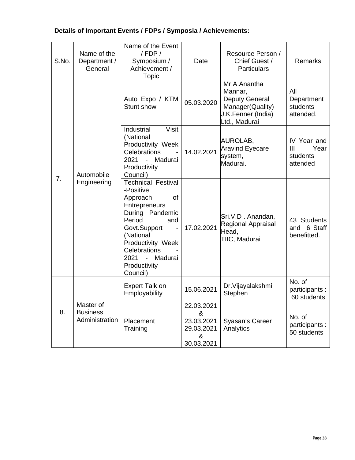| Details of Important Events / FDPs / Symposia / Achievements: |  |
|---------------------------------------------------------------|--|
|---------------------------------------------------------------|--|

| S.No. | Name of the<br>Department /<br>General         | Name of the Event<br>/ FDP /<br>Symposium /<br>Achievement /<br>Topic                                                                                                                                                                                             | Date                                                           | Resource Person /<br>Chief Guest /<br><b>Particulars</b>                                                    | <b>Remarks</b>                                     |
|-------|------------------------------------------------|-------------------------------------------------------------------------------------------------------------------------------------------------------------------------------------------------------------------------------------------------------------------|----------------------------------------------------------------|-------------------------------------------------------------------------------------------------------------|----------------------------------------------------|
|       |                                                | Auto Expo / KTM<br>Stunt show                                                                                                                                                                                                                                     | 05.03.2020                                                     | Mr.A.Anantha<br>Mannar,<br><b>Deputy General</b><br>Manager(Quality)<br>J.K.Fenner (India)<br>Ltd., Madurai | All<br>Department<br>students<br>attended.         |
|       | Automobile                                     | Industrial<br><b>Visit</b><br>(National<br>Productivity Week<br>Celebrations<br>2021<br>Madurai<br>$\blacksquare$<br>Productivity<br>Council)                                                                                                                     | 14.02.2021                                                     | AUROLAB,<br><b>Aravind Eyecare</b><br>system,<br>Madurai.                                                   | IV Year and<br>III<br>Year<br>students<br>attended |
| 7.    | Engineering                                    | <b>Technical Festival</b><br>-Positive<br><b>of</b><br>Approach<br>Entrepreneurs<br>During Pandemic<br>Period<br>and<br>Govt.Support<br>$\blacksquare$<br>(National<br>Productivity Week<br>Celebrations<br>2021<br>Madurai<br>$\sim$<br>Productivity<br>Council) | 17.02.2021                                                     | Sri.V.D. Anandan,<br>Regional Appraisal<br>Head,<br>TIIC, Madurai                                           | 43 Students<br>and 6 Staff<br>benefitted.          |
|       |                                                | <b>Expert Talk on</b><br>Employability                                                                                                                                                                                                                            | 15.06.2021                                                     | Dr. Vijayalakshmi<br>Stephen                                                                                | No. of<br>participants :<br>60 students            |
| 8.    | Master of<br><b>Business</b><br>Administration | Placement<br>Training                                                                                                                                                                                                                                             | 22.03.2021<br>&<br>23.03.2021<br>29.03.2021<br>&<br>30.03.2021 | Syasan's Career<br>Analytics                                                                                | No. of<br>participants :<br>50 students            |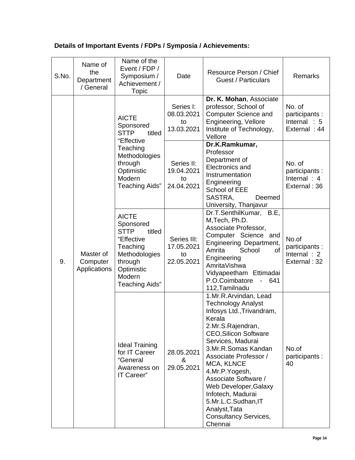| S.No. | Name of<br>the<br>Department<br>/ General | Name of the<br>Event / FDP /<br>Symposium /<br>Achievement /<br>Topic                                                                                     | Date                                          | Resource Person / Chief<br>Guest / Particulars                                                                                                                                                                                                                                                                                                                                                               | Remarks                                                    |
|-------|-------------------------------------------|-----------------------------------------------------------------------------------------------------------------------------------------------------------|-----------------------------------------------|--------------------------------------------------------------------------------------------------------------------------------------------------------------------------------------------------------------------------------------------------------------------------------------------------------------------------------------------------------------------------------------------------------------|------------------------------------------------------------|
|       |                                           | <b>AICTE</b><br>Sponsored<br><b>STTP</b><br>titled                                                                                                        | Series I:<br>08.03.2021<br>to<br>13.03.2021   | Dr. K. Mohan, Associate<br>professor, School of<br><b>Computer Science and</b><br>Engineering, Vellore<br>Institute of Technology,<br>Vellore                                                                                                                                                                                                                                                                | No. of<br>participants :<br>Internal $: 5$<br>External: 44 |
| 9.    | Master of<br>Computer<br>Applications     | "Effective<br>Teaching<br>Methodologies<br>through<br>Optimistic<br>Modern<br>Teaching Aids"                                                              | Series II:<br>19.04.2021<br>to<br>24.04.2021  | Dr.K.Ramkumar,<br>Professor<br>Department of<br>Electronics and<br>Instrumentation<br>Engineering<br>School of EEE<br>SASTRA,<br>Deemed<br>University, Thanjavur                                                                                                                                                                                                                                             | No. of<br>participants :<br>Internal $: 4$<br>External: 36 |
|       |                                           | <b>AICTE</b><br>Sponsored<br><b>STTP</b><br>titled<br>"Effective<br>Teaching<br>Methodologies<br>through<br>Optimistic<br>Modern<br><b>Teaching Aids"</b> | Series III:<br>17.05.2021<br>to<br>22.05.2021 | Dr.T.SenthilKumar, B.E,<br>M, Tech, Ph.D.<br>Associate Professor,<br>Computer Science and<br>Engineering Department,<br>Amrita<br>School<br>of<br>Engineering<br>AmritaVishwa<br>Vidyapeetham Ettimadai<br>P.O.Coimbatore<br>641<br>$\blacksquare$<br>112, Tamilnadu                                                                                                                                         | No.of<br>participants :<br>Internal: 2<br>External: 32     |
|       |                                           | <b>Ideal Training</b><br>for IT Career<br>"General<br>Awareness on<br>IT Career"                                                                          | 28.05.2021<br>&<br>29.05.2021                 | 1.Mr.R.Arvindan, Lead<br><b>Technology Analyst</b><br>Infosys Ltd., Trivandram,<br>Kerala<br>2.Mr.S.Rajendran,<br><b>CEO, Silicon Software</b><br>Services, Madurai<br>3.Mr.R.Somas Kandan<br>Associate Professor /<br>MCA, KLNCE<br>4.Mr.P.Yogesh,<br>Associate Software /<br>Web Developer, Galaxy<br>Infotech, Madurai<br>5.Mr.L.C.Sudhan, IT<br>Analyst, Tata<br><b>Consultancy Services,</b><br>Chennai | No.of<br>participants :<br>40                              |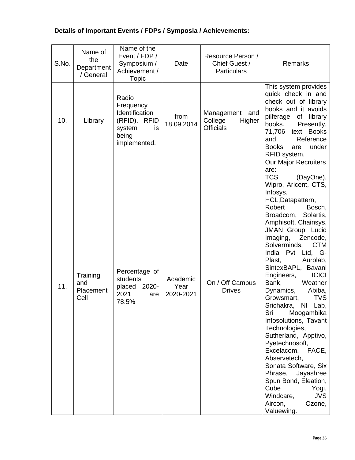| S.No. | Name of<br>the<br>Department<br>/ General | Name of the<br>Event / FDP /<br>Symposium /<br>Achievement /<br><b>Topic</b>                  | Date                          | Resource Person /<br>Chief Guest /<br><b>Particulars</b>   | Remarks                                                                                                                                                                                                                                                                                                                                                                                                                                                                                                                                                                                                                                                                                                                                                                     |
|-------|-------------------------------------------|-----------------------------------------------------------------------------------------------|-------------------------------|------------------------------------------------------------|-----------------------------------------------------------------------------------------------------------------------------------------------------------------------------------------------------------------------------------------------------------------------------------------------------------------------------------------------------------------------------------------------------------------------------------------------------------------------------------------------------------------------------------------------------------------------------------------------------------------------------------------------------------------------------------------------------------------------------------------------------------------------------|
| 10.   | Library                                   | Radio<br>Frequency<br>Identification<br>(RFID). RFID<br>system<br>is<br>being<br>implemented. | from<br>18.09.2014            | Management<br>and<br>College<br>Higher<br><b>Officials</b> | This system provides<br>quick check in and<br>check out of library<br>books and it avoids<br>pilferage<br>of library<br>books.<br>Presently,<br>text Books<br>71,706<br>Reference<br>and<br><b>Books</b><br>under<br>are<br>RFID system.                                                                                                                                                                                                                                                                                                                                                                                                                                                                                                                                    |
| 11.   | Training<br>and<br>Placement<br>Cell      | Percentage of<br>students<br>2020-<br>placed<br>2021<br>are<br>78.5%                          | Academic<br>Year<br>2020-2021 | On / Off Campus<br><b>Drives</b>                           | <b>Our Major Recruiters</b><br>are:<br><b>TCS</b><br>(DayOne),<br>Wipro, Aricent, CTS,<br>Infosys,<br>HCL, Datapattern,<br>Robert<br>Bosch,<br>Broadcom, Solartis,<br>Amphisoft, Chainsys,<br>JMAN Group, Lucid<br>Imaging,<br>Zencode,<br><b>CTM</b><br>Solverminds,<br>India Pvt<br>Ltd, G-<br>Plast,<br>Aurolab,<br>SintexBAPL, Bavani<br><b>ICICI</b><br>Engineers,<br>Weather<br>Bank,<br>Dynamics,<br>Abiba,<br><b>TVS</b><br>Growsmart,<br>Srichakra, NI Lab,<br>Sri<br>Moogambika<br>Infosolutions, Tavant<br>Technologies,<br>Sutherland, Apptivo,<br>Pyetechnosoft,<br>Excelacom,<br>FACE,<br>Abservetech,<br>Sonata Software, Six<br>Phrase,<br>Jayashree<br>Spun Bond, Eleation,<br>Cube<br>Yogi,<br>Windcare,<br><b>JVS</b><br>Aircon,<br>Ozone,<br>Valuewing. |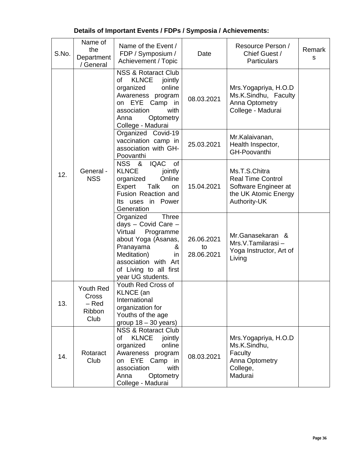| S.No. | Name of<br>the<br>Department<br>/ General       | Name of the Event /<br>FDP / Symposium /<br>Achievement / Topic                                                                                                                                                | Date                           | Resource Person /<br>Chief Guest /<br><b>Particulars</b>                                                  | Remark<br>S |
|-------|-------------------------------------------------|----------------------------------------------------------------------------------------------------------------------------------------------------------------------------------------------------------------|--------------------------------|-----------------------------------------------------------------------------------------------------------|-------------|
|       |                                                 | <b>NSS &amp; Rotaract Club</b><br><b>KLNCE</b><br>jointly<br>οf<br>organized<br>online<br>Awareness program<br>on EYE<br>Camp in<br>association<br>with<br>Optometry<br>Anna<br>College - Madurai              | 08.03.2021                     | Mrs. Yogapriya, H.O.D<br>Ms.K.Sindhu, Faculty<br>Anna Optometry<br>College - Madurai                      |             |
|       |                                                 | Organized Covid-19<br>vaccination camp in<br>association with GH-<br>Poovanthi                                                                                                                                 | 25.03.2021                     | Mr.Kalaivanan,<br>Health Inspector,<br>GH-Poovanthi                                                       |             |
| 12.   | General -<br><b>NSS</b>                         | NSS &<br><b>IQAC</b><br>of<br><b>KLNCE</b><br>jointly<br>Online<br>organized<br>Expert<br>Talk<br><b>on</b><br>Fusion Reaction and<br>Its uses in Power<br>Generation                                          | 15.04.2021                     | Ms.T.S.Chitra<br><b>Real Time Control</b><br>Software Engineer at<br>the UK Atomic Energy<br>Authority-UK |             |
|       |                                                 | Organized<br><b>Three</b><br>days - Covid Care -<br>Virtual<br>Programme<br>about Yoga (Asanas,<br>Pranayama<br>&<br>Meditation)<br>in.<br>association with Art<br>of Living to all first<br>year UG students. | 26.06.2021<br>to<br>28.06.2021 | Mr.Ganasekaran &<br>Mrs.V.Tamilarasi-<br>Yoga Instructor, Art of<br>Living                                |             |
| 13.   | Youth Red<br>Cross<br>$-$ Red<br>Ribbon<br>Club | Youth Red Cross of<br>KLNCE (an<br>International<br>organization for<br>Youths of the age<br>group $18 - 30$ years)                                                                                            |                                |                                                                                                           |             |
| 14.   | Rotaract<br>Club                                | <b>NSS &amp; Rotaract Club</b><br><b>KLNCE</b><br>of<br>jointly<br>online<br>organized<br>Awareness program<br>on EYE Camp in<br>association<br>with<br>Optometry<br>Anna<br>College - Madurai                 | 08.03.2021                     | Mrs. Yogapriya, H.O.D<br>Ms.K.Sindhu,<br>Faculty<br>Anna Optometry<br>College,<br>Madurai                 |             |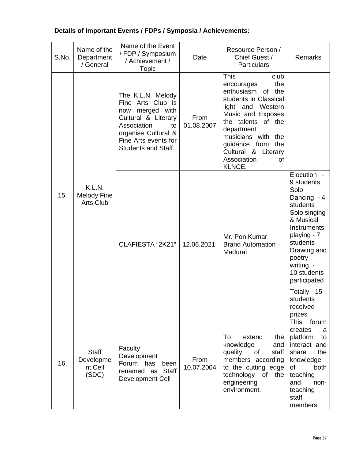| S.No. | Name of the<br>Department<br>/ General           | Name of the Event<br>/ FDP / Symposium<br>/ Achievement /<br><b>Topic</b>                                                                                                          | Date               | Resource Person /<br>Chief Guest /<br><b>Particulars</b>                                                                                                                                                                                                              | Remarks                                                                                                                                                                                                                                         |
|-------|--------------------------------------------------|------------------------------------------------------------------------------------------------------------------------------------------------------------------------------------|--------------------|-----------------------------------------------------------------------------------------------------------------------------------------------------------------------------------------------------------------------------------------------------------------------|-------------------------------------------------------------------------------------------------------------------------------------------------------------------------------------------------------------------------------------------------|
|       |                                                  | The K.L.N. Melody<br>Fine Arts Club is<br>now merged with<br>Cultural & Literary<br>Association<br>to<br>organise Cultural &<br>Fine Arts events for<br><b>Students and Staff.</b> | From<br>01.08.2007 | <b>This</b><br>club<br>the<br>encourages<br>enthusiasm of the<br>students in Classical<br>light and Western<br>Music and Exposes<br>the talents of the<br>department<br>musicians with the<br>guidance from the<br>Cultural & Literary<br>Association<br>οf<br>KLNCE. |                                                                                                                                                                                                                                                 |
| 15.   | K.L.N.<br><b>Melody Fine</b><br><b>Arts Club</b> | CLAFIESTA "2K21"                                                                                                                                                                   | 12.06.2021         | Mr. Pon.Kumar<br>Brand Automation -<br>Madurai                                                                                                                                                                                                                        | Elocution -<br>9 students<br>Solo<br>Dancing - 4<br>students<br>Solo singing<br>& Musical<br>Instruments<br>playing - 7<br>students<br>Drawing and<br>poetry<br>writing -<br>10 students<br>participated<br>Totally -15<br>students<br>received |
| 16.   | <b>Staff</b><br>Developme<br>nt Cell<br>(SDC)    | Faculty<br>Development<br>Forum has<br>been<br>renamed as Staff<br><b>Development Cell</b>                                                                                         | From<br>10.07.2004 | To<br>extend<br>the<br>knowledge<br>and<br>quality<br>of<br>staff<br>members according<br>to the cutting edge<br>technology of the<br>engineering<br>environment.                                                                                                     | prizes<br>This forum<br>creates<br>a<br>platform<br>to<br>interact and<br>share<br>the<br>knowledge<br>of<br>both<br>teaching<br>and<br>non-<br>teaching<br>staff<br>members.                                                                   |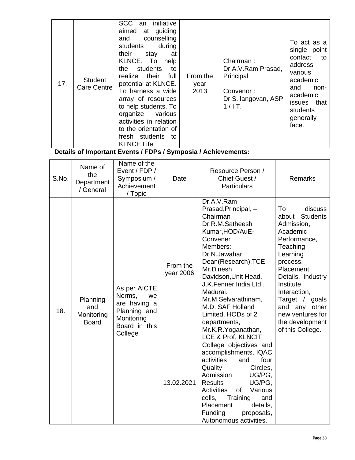| 17. | <b>Student</b><br>Care Centre | an initiative<br><b>SCC</b><br>aimed at guiding<br>counselling<br>and<br>students<br>during<br>their<br>stay<br>at<br>KLNCE. To<br>help<br>students<br>the<br>to<br>realize their full<br>potential at KLNCE.<br>To harness a wide<br>array of resources<br>to help students. To<br>organize various<br>activities in relation<br>to the orientation of<br>fresh students<br>to<br><b>KLNCE Life.</b> | From the<br>year<br>2013 | Chairman:<br>Dr.A.V.Ram Prasad,<br>Principal<br>Convenor:<br>Dr.S.Ilangovan, ASP<br>$1/$ I.T. | To act as a<br>single point<br>contact<br>to<br>address<br>various<br>academic<br>and<br>non-<br>academic<br>issues that<br>students<br>generally<br>face. |
|-----|-------------------------------|-------------------------------------------------------------------------------------------------------------------------------------------------------------------------------------------------------------------------------------------------------------------------------------------------------------------------------------------------------------------------------------------------------|--------------------------|-----------------------------------------------------------------------------------------------|------------------------------------------------------------------------------------------------------------------------------------------------------------|
|-----|-------------------------------|-------------------------------------------------------------------------------------------------------------------------------------------------------------------------------------------------------------------------------------------------------------------------------------------------------------------------------------------------------------------------------------------------------|--------------------------|-----------------------------------------------------------------------------------------------|------------------------------------------------------------------------------------------------------------------------------------------------------------|

| S.No. | Name of<br>the<br>Department<br>/ General     | Name of the<br>Event / FDP /<br>Symposium /<br>Achievement<br>/ Topic                                  | Date                  | Resource Person /<br>Chief Guest /<br><b>Particulars</b>                                                                                                                                                                                                                                                                                                     | <b>Remarks</b>                                                                                                                                                                                                                                                                       |
|-------|-----------------------------------------------|--------------------------------------------------------------------------------------------------------|-----------------------|--------------------------------------------------------------------------------------------------------------------------------------------------------------------------------------------------------------------------------------------------------------------------------------------------------------------------------------------------------------|--------------------------------------------------------------------------------------------------------------------------------------------------------------------------------------------------------------------------------------------------------------------------------------|
| 18.   | Planning<br>and<br>Monitoring<br><b>Board</b> | As per AICTE<br>Norms,<br>we<br>are having a<br>Planning and<br>Monitoring<br>Board in this<br>College | From the<br>year 2006 | Dr.A.V.Ram<br>Prasad, Principal, -<br>Chairman<br>Dr.R.M.Satheesh<br>Kumar, HOD/AuE-<br>Convener<br>Members:<br>Dr.N.Jawahar,<br>Dean(Research), TCE<br>Mr.Dinesh<br>Davidson, Unit Head,<br>J.K.Fenner India Ltd.,<br>Madurai.<br>Mr.M.Selvarathinam,<br>M.D. SAF Holland<br>Limited, HODs of 2<br>departments,<br>Mr.K.R.Yoganathan,<br>LCE & Prof, KLNCIT | To<br>discuss<br><b>Students</b><br>about<br>Admission,<br>Academic<br>Performance,<br>Teaching<br>Learning<br>process,<br>Placement<br>Details, Industry<br>Institute<br>Interaction,<br>Target / goals<br>and any other<br>new ventures for<br>the development<br>of this College. |
|       |                                               |                                                                                                        | 13.02.2021            | College objectives and<br>accomplishments, IQAC<br>activities<br>four<br>and<br>Quality<br>Circles,<br>Admission<br>UG/PG,<br><b>Results</b><br>UG/PG,<br>Activities<br>of<br>Various<br>Training<br>cells,<br>and<br>Placement<br>details,<br>Funding<br>proposals,<br>Autonomous activities.                                                               |                                                                                                                                                                                                                                                                                      |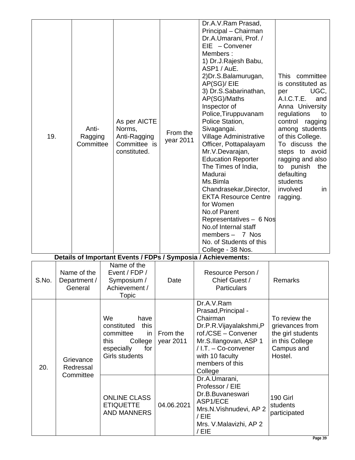| 19.<br>Details of Important Events / FDPs / Symposia / Achievements: |           | Anti-<br>Ragging<br>Committee          |  | As per AICTE<br>Norms,<br>Anti-Ragging<br>Committee is<br>constituted.                           | From the<br>year 2011 | Dr.A.V.Ram Prasad,<br>Principal - Chairman<br>Dr.A.Umarani, Prof. /<br>$EIE - Convener$<br>Members:<br>1) Dr.J.Rajesh Babu,<br>ASP1 / AuE.<br>2) Dr.S.Balamurugan,<br>AP(SG)/ EIE<br>3) Dr.S.Sabarinathan,<br>AP(SG)/Maths<br>Inspector of<br>Police, Tiruppuvanam<br>Police Station,<br>Sivagangai.<br>Village Administrative<br>Officer, Pottapalayam<br>Mr.V.Devarajan,<br><b>Education Reporter</b><br>The Times of India,<br>Madurai<br>Ms.Bimla<br>Chandrasekar, Director,<br><b>EKTA Resource Centre</b><br>for Women<br>No.of Parent<br>Representatives - 6 Nos<br>No.of Internal staff<br>members $- 7$ Nos<br>No. of Students of this<br>College - 38 Nos. | committee<br>This<br>is constituted as<br>UGC.<br>per<br>A.I.C.T.E.<br>and<br>Anna University<br>regulations<br>to<br>control<br>ragging<br>among students<br>of this College.<br>To discuss the<br>steps to avoid<br>ragging and also<br>to punish<br>the<br>defaulting<br>students<br>involved<br>in<br>ragging. |
|----------------------------------------------------------------------|-----------|----------------------------------------|--|--------------------------------------------------------------------------------------------------|-----------------------|----------------------------------------------------------------------------------------------------------------------------------------------------------------------------------------------------------------------------------------------------------------------------------------------------------------------------------------------------------------------------------------------------------------------------------------------------------------------------------------------------------------------------------------------------------------------------------------------------------------------------------------------------------------------|--------------------------------------------------------------------------------------------------------------------------------------------------------------------------------------------------------------------------------------------------------------------------------------------------------------------|
| S.No.                                                                |           | Name of the<br>Department /<br>General |  | Name of the<br>Event / FDP /<br>Symposium /<br>Achievement /<br><b>Topic</b>                     | Date                  | Resource Person /<br>Chief Guest /<br><b>Particulars</b>                                                                                                                                                                                                                                                                                                                                                                                                                                                                                                                                                                                                             | Remarks                                                                                                                                                                                                                                                                                                            |
| 20.                                                                  |           | We<br>this<br>Grievance<br>Redressal   |  | have<br>constituted<br>this<br>in<br>committee<br>College<br>especially<br>for<br>Girls students | From the<br>year 2011 | Dr.A.V.Ram<br>Prasad, Principal -<br>Chairman<br>Dr.P.R.Vijayalakshmi,P<br>rof./CSE - Convener<br>Mr.S.Ilangovan, ASP 1<br>/ I.T. - Co-convener<br>with 10 faculty<br>members of this<br>College                                                                                                                                                                                                                                                                                                                                                                                                                                                                     | To review the<br>grievances from<br>the girl students<br>in this College<br>Campus and<br>Hostel.                                                                                                                                                                                                                  |
|                                                                      | Committee |                                        |  | <b>ONLINE CLASS</b><br><b>ETIQUETTE</b><br><b>AND MANNERS</b>                                    | 04.06.2021            | Dr.A.Umarani,<br>Professor / EIE<br>Dr.B.Buvaneswari<br>ASP1/ECE<br>Mrs.N.Vishnudevi, AP 2<br>/EIE<br>Mrs. V.Malavizhi, AP 2<br>/ EIE                                                                                                                                                                                                                                                                                                                                                                                                                                                                                                                                | <b>190 Girl</b><br>students<br>participated                                                                                                                                                                                                                                                                        |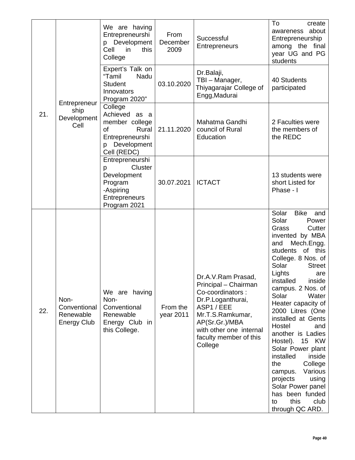|     |                                                         | We are having<br>Entrepreneurshi<br>p Development<br>Cell<br>this<br>in<br>College                              | From<br>December<br>2009 | Successful<br>Entrepreneurs                                                                                                                                                                            | To<br>create<br>awareness about<br>Entrepreneurship<br>among the final<br>year UG and PG<br>students                                                                                                                                                                                                                                                                                                                                                                                                                                                                |
|-----|---------------------------------------------------------|-----------------------------------------------------------------------------------------------------------------|--------------------------|--------------------------------------------------------------------------------------------------------------------------------------------------------------------------------------------------------|---------------------------------------------------------------------------------------------------------------------------------------------------------------------------------------------------------------------------------------------------------------------------------------------------------------------------------------------------------------------------------------------------------------------------------------------------------------------------------------------------------------------------------------------------------------------|
|     | Entrepreneur                                            | Expert's Talk on<br>"Tamil<br>Nadu<br><b>Student</b><br>Innovators<br>Program 2020"                             | 03.10.2020               | Dr.Balaji,<br>TBI - Manager,<br>Thiyagarajar College of<br>Engg, Madurai                                                                                                                               | 40 Students<br>participated                                                                                                                                                                                                                                                                                                                                                                                                                                                                                                                                         |
| 21. | ship<br>Development<br>Cell                             | College<br>Achieved as a<br>member college<br>0f<br>Rural<br>Entrepreneurshi<br>Development<br>p<br>Cell (REDC) | 21.11.2020               | Mahatma Gandhi<br>council of Rural<br>Education                                                                                                                                                        | 2 Faculties were<br>the members of<br>the REDC                                                                                                                                                                                                                                                                                                                                                                                                                                                                                                                      |
|     |                                                         | Entrepreneurshi<br>Cluster<br>p<br>Development<br>Program<br>-Aspiring<br><b>Entrepreneurs</b><br>Program 2021  | 30.07.2021               | <b>ICTACT</b>                                                                                                                                                                                          | 13 students were<br>short Listed for<br>Phase - I                                                                                                                                                                                                                                                                                                                                                                                                                                                                                                                   |
| 22. | Non-<br>Conventional<br>Renewable<br><b>Energy Club</b> | We are having<br>Non-<br>Conventional<br>Renewable<br>Energy Club in<br>this College.                           | From the<br>year 2011    | Dr.A.V.Ram Prasad,<br>Principal - Chairman<br>Co-coordinators :<br>Dr.P.Loganthurai,<br>ASP1/EEE<br>Mr.T.S.Ramkumar,<br>AP(Sr.Gr.)/MBA<br>with other one internal<br>faculty member of this<br>College | Solar<br>Bike<br>and<br>Solar<br>Power<br>Grass<br>Cutter<br>invented by MBA<br>Mech.Engg.<br>and<br>students of this<br>College. 8 Nos. of<br>Solar<br><b>Street</b><br>Lights<br>are<br>installed inside<br>campus. 2 Nos. of<br>Solar<br>Water<br>Heater capacity of<br>2000 Litres (One<br>installed at Gents<br>Hostel<br>and<br>another is Ladies<br>Hostel). 15 KW<br>Solar Power plant<br>installed<br>inside<br>College<br>the<br>Various<br>campus.<br>projects<br>using<br>Solar Power panel<br>has been funded<br>this<br>club<br>to<br>through QC ARD. |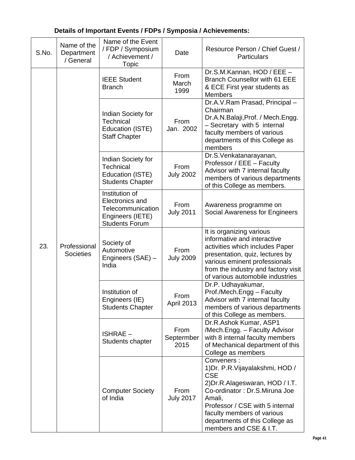| S.No. | Name of the<br>Department<br>/ General | Name of the Event<br>/ FDP / Symposium<br>/ Achievement /<br>Topic                                         | Date                       | Resource Person / Chief Guest /<br><b>Particulars</b>                                                                                                                                                                                                                   |
|-------|----------------------------------------|------------------------------------------------------------------------------------------------------------|----------------------------|-------------------------------------------------------------------------------------------------------------------------------------------------------------------------------------------------------------------------------------------------------------------------|
|       |                                        | <b>IEEE Student</b><br><b>Branch</b>                                                                       | From<br>March<br>1999      | Dr.S.M.Kannan, HOD / EEE -<br>Branch Counsellor with 61 EEE<br>& ECE First year students as<br><b>Members</b>                                                                                                                                                           |
|       |                                        | Indian Society for<br>Technical<br>Education (ISTE)<br><b>Staff Chapter</b>                                | From<br>Jan. 2002          | Dr.A.V.Ram Prasad, Principal -<br>Chairman<br>Dr.A.N.Balaji, Prof. / Mech.Engg.<br>- Secretary with 5 internal<br>faculty members of various<br>departments of this College as<br>members                                                                               |
|       |                                        | Indian Society for<br>Technical<br>Education (ISTE)<br><b>Students Chapter</b>                             | From<br><b>July 2002</b>   | Dr.S.Venkatanarayanan,<br>Professor / EEE - Faculty<br>Advisor with 7 internal faculty<br>members of various departments<br>of this College as members.                                                                                                                 |
| 23.   | Professional<br><b>Societies</b>       | Institution of<br><b>Electronics and</b><br>Telecommunication<br>Engineers (IETE)<br><b>Students Forum</b> | From<br><b>July 2011</b>   | Awareness programme on<br>Social Awareness for Engineers                                                                                                                                                                                                                |
|       |                                        | Society of<br>Automotive<br>Engineers (SAE) -<br>India                                                     | From<br><b>July 2009</b>   | It is organizing various<br>informative and interactive<br>activities which includes Paper<br>presentation, quiz, lectures by<br>various eminent professionals<br>from the industry and factory visit<br>of various automobile industries                               |
|       |                                        | Institution of<br>Engineers (IE)<br><b>Students Chapter</b>                                                | From<br>April 2013         | Dr.P. Udhayakumar,<br>Prof./Mech.Engg - Faculty<br>Advisor with 7 internal faculty<br>members of various departments<br>of this College as members.                                                                                                                     |
|       |                                        | <b>ISHRAE-</b><br>Students chapter                                                                         | From<br>Septermber<br>2015 | Dr.R.Ashok Kumar, ASP1<br>/Mech.Engg. - Faculty Advisor<br>with 8 internal faculty members<br>of Mechanical department of this<br>College as members                                                                                                                    |
|       |                                        | <b>Computer Society</b><br>of India                                                                        | From<br><b>July 2017</b>   | Conveners:<br>1) Dr. P.R. Vijayalakshmi, HOD /<br><b>CSE</b><br>2) Dr.R.Alageswaran, HOD / I.T.<br>Co-ordinator: Dr.S.Miruna Joe<br>Amali,<br>Professor / CSE with 5 internal<br>faculty members of various<br>departments of this College as<br>members and CSE & I.T. |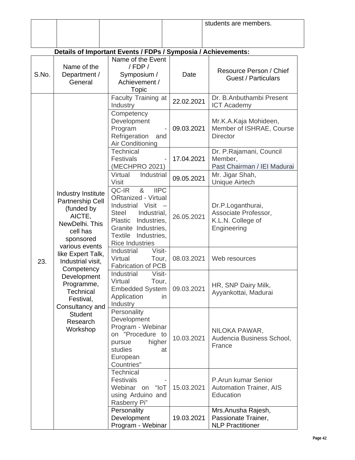|       |                                                                                                                                                                                                                                                                                                         |                                                                                                                                                                                                                        |            | students are members.                                                         |  |  |  |
|-------|---------------------------------------------------------------------------------------------------------------------------------------------------------------------------------------------------------------------------------------------------------------------------------------------------------|------------------------------------------------------------------------------------------------------------------------------------------------------------------------------------------------------------------------|------------|-------------------------------------------------------------------------------|--|--|--|
|       |                                                                                                                                                                                                                                                                                                         |                                                                                                                                                                                                                        |            |                                                                               |  |  |  |
|       |                                                                                                                                                                                                                                                                                                         |                                                                                                                                                                                                                        |            |                                                                               |  |  |  |
|       | Details of Important Events / FDPs / Symposia / Achievements:<br>Name of the Event                                                                                                                                                                                                                      |                                                                                                                                                                                                                        |            |                                                                               |  |  |  |
| S.No. | Name of the<br>Department /<br>General                                                                                                                                                                                                                                                                  | / FDP/<br>Symposium /<br>Achievement /<br>Topic                                                                                                                                                                        | Date       | Resource Person / Chief<br><b>Guest / Particulars</b>                         |  |  |  |
|       |                                                                                                                                                                                                                                                                                                         | Faculty Training at<br>Industry                                                                                                                                                                                        | 22.02.2021 | Dr. B.Anbuthambi Present<br><b>ICT Academy</b>                                |  |  |  |
|       |                                                                                                                                                                                                                                                                                                         | Competency<br>Development<br>Program<br>Refrigeration<br>and<br>Air Conditioning                                                                                                                                       | 09.03.2021 | Mr.K.A.Kaja Mohideen,<br>Member of ISHRAE, Course<br><b>Director</b>          |  |  |  |
|       |                                                                                                                                                                                                                                                                                                         | Technical<br><b>Festivals</b><br>(MECHPRO 2021)                                                                                                                                                                        | 17.04.2021 | Dr. P.Rajamani, Council<br>Member,<br>Past Chairman / IEI Madurai             |  |  |  |
|       |                                                                                                                                                                                                                                                                                                         | Virtual<br>Industrial<br><b>Visit</b>                                                                                                                                                                                  | 09.05.2021 | Mr. Jigar Shah,<br><b>Unique Airtech</b>                                      |  |  |  |
|       | Industry Institute<br>Partnership Cell<br>(funded by<br>AICTE,<br>NewDelhi. This<br>cell has<br>sponsored<br>various events<br>like Expert Talk,<br>Industrial visit,<br>Competency<br>Development<br>Programme,<br>Technical<br>Festival,<br>Consultancy and<br><b>Student</b><br>Research<br>Workshop | QC-IR<br>8 <sub>1</sub><br><b>IIPC</b><br><b>ORtanized - Virtual</b><br>Industrial Visit<br><b>Steel</b><br>Industrial,<br>Plastic Industries,<br>Granite Industries,<br>Textile Industries,<br><b>Rice Industries</b> | 26.05.2021 | Dr.P.Loganthurai,<br>Associate Professor,<br>K.L.N. College of<br>Engineering |  |  |  |
| 23.   |                                                                                                                                                                                                                                                                                                         | Visit-<br>Industrial<br>Virtual<br>Tour,<br><b>Fabrication of PCB</b>                                                                                                                                                  | 08.03.2021 | Web resources                                                                 |  |  |  |
|       |                                                                                                                                                                                                                                                                                                         | Industrial<br>Visit-<br>Virtual<br>Tour,<br><b>Embedded System</b><br>Application<br>in.<br>Industry                                                                                                                   | 09.03.2021 | HR, SNP Dairy Milk,<br>Ayyankottai, Madurai                                   |  |  |  |
|       |                                                                                                                                                                                                                                                                                                         | Personality<br>Development<br>Program - Webinar<br>on "Procedure to<br>higher<br>pursue<br>studies<br>at<br>European<br>Countries"                                                                                     | 10.03.2021 | NILOKA PAWAR,<br>Audencia Business School,<br>France                          |  |  |  |
|       |                                                                                                                                                                                                                                                                                                         | <b>Technical</b><br><b>Festivals</b><br>"loT<br>Webinar on<br>using Arduino and<br>Rasberry Pi"                                                                                                                        | 15.03.2021 | P.Arun kumar Senior<br><b>Automation Trainer, AIS</b><br>Education            |  |  |  |
|       |                                                                                                                                                                                                                                                                                                         | Personality<br>Development<br>Program - Webinar                                                                                                                                                                        | 19.03.2021 | Mrs. Anusha Rajesh,<br>Passionate Trainer,<br><b>NLP Practitioner</b>         |  |  |  |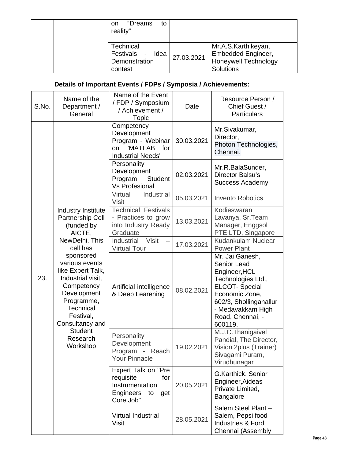| "Dreams<br>to<br>on.<br>reality"                                             |            |                                                                                              |
|------------------------------------------------------------------------------|------------|----------------------------------------------------------------------------------------------|
| Technical<br>Festivals<br>Idea<br>$\blacksquare$<br>Demonstration<br>contest | 27.03.2021 | Mr.A.S.Karthikeyan,<br><b>Embedded Engineer,</b><br><b>Honeywell Technology</b><br>Solutions |

| S.No. | Name of the<br>Department /<br>General                                                                                                                                                                                                                                                                         | Name of the Event<br>/ FDP / Symposium<br>/ Achievement /<br><b>Topic</b>                                | Date       | Resource Person /<br>Chief Guest /<br><b>Particulars</b>                                                                                                                                             |
|-------|----------------------------------------------------------------------------------------------------------------------------------------------------------------------------------------------------------------------------------------------------------------------------------------------------------------|----------------------------------------------------------------------------------------------------------|------------|------------------------------------------------------------------------------------------------------------------------------------------------------------------------------------------------------|
|       |                                                                                                                                                                                                                                                                                                                | Competency<br>Development<br>Program - Webinar<br>"MATLAB<br>for<br>on<br><b>Industrial Needs"</b>       | 30.03.2021 | Mr.Sivakumar,<br>Director,<br>Photon Technologies,<br>Chennai.                                                                                                                                       |
|       |                                                                                                                                                                                                                                                                                                                | Personality<br>Development<br>Program<br><b>Student</b><br><b>Vs Profesional</b>                         | 02.03.2021 | Mr.R.BalaSunder,<br>Director Balsu's<br><b>Success Academy</b>                                                                                                                                       |
|       |                                                                                                                                                                                                                                                                                                                | Industrial<br>Virtual<br><b>Visit</b>                                                                    | 05.03.2021 | <b>Invento Robotics</b>                                                                                                                                                                              |
| 23.   | Industry Institute<br>Partnership Cell<br>(funded by<br>AICTE,<br>NewDelhi, This<br>cell has<br>sponsored<br>various events<br>like Expert Talk,<br>Industrial visit,<br>Competency<br>Development<br>Programme,<br><b>Technical</b><br>Festival,<br>Consultancy and<br><b>Student</b><br>Research<br>Workshop | <b>Technical Festivals</b><br>- Practices to grow<br>into Industry Ready<br>Graduate                     | 13.03.2021 | Kodieswaran<br>Lavanya, Sr. Team<br>Manager, Enggsol<br>PTE LTD, Singapore                                                                                                                           |
|       |                                                                                                                                                                                                                                                                                                                | Visit<br>Industrial<br><b>Virtual Tour</b>                                                               | 17.03.2021 | Kudankulam Nuclear<br><b>Power Plant</b>                                                                                                                                                             |
|       |                                                                                                                                                                                                                                                                                                                | Artificial intelligence<br>& Deep Learening                                                              | 08.02.2021 | Mr. Jai Ganesh,<br><b>Senior Lead</b><br>Engineer, HCL<br>Technologies Ltd.,<br><b>ELCOT-Special</b><br>Economic Zone,<br>602/3, Shollinganallur<br>- Medavakkam High<br>Road, Chennai, -<br>600119. |
|       |                                                                                                                                                                                                                                                                                                                | Personality<br>Development<br>Program - Reach<br><b>Your Pinnacle</b>                                    | 19.02.2021 | M.J.C.Thanigaivel<br>Pandial, The Director,<br>Vision 2plus (Trainer)<br>Sivagami Puram,<br>Virudhunagar                                                                                             |
|       |                                                                                                                                                                                                                                                                                                                | Expert Talk on "Pre<br>requisite<br>for<br>Instrumentation<br><b>Engineers</b><br>to<br>get<br>Core Job" | 20.05.2021 | G.Karthick, Senior<br>Engineer, Aideas<br>Private Limited,<br>Bangalore                                                                                                                              |
|       |                                                                                                                                                                                                                                                                                                                | Virtual Industrial<br><b>Visit</b>                                                                       | 28.05.2021 | Salem Steel Plant -<br>Salem, Pepsi food<br><b>Industries &amp; Ford</b><br>Chennai (Assembly                                                                                                        |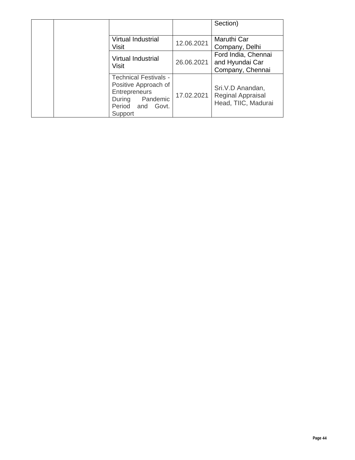|  |                                                                                                                            |            | Section)                                                     |
|--|----------------------------------------------------------------------------------------------------------------------------|------------|--------------------------------------------------------------|
|  | Virtual Industrial<br><b>Visit</b>                                                                                         | 12.06.2021 | Maruthi Car<br>Company, Delhi                                |
|  | Virtual Industrial<br>Visit                                                                                                | 26.06.2021 | Ford India, Chennai<br>and Hyundai Car<br>Company, Chennai   |
|  | <b>Technical Festivals -</b><br>Positive Approach of<br>Entrepreneurs<br>During Pandemic<br>Period and<br>Govt.<br>Support | 17.02.2021 | Sri.V.D Anandan,<br>Reginal Appraisal<br>Head, TIIC, Madurai |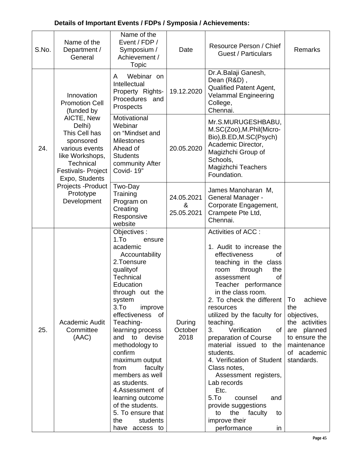| S.No.                                          | Name of the<br>Department /<br>General                                                                                                             | Name of the<br>Event / FDP /<br>Symposium /<br>Achievement /<br>Topic                                                                                                                                                                                                                                                                                                                                                                                                                    | Date                                                                                                     | Resource Person / Chief<br><b>Guest / Particulars</b>                                                                                                                                                                                                                                                                                                                                                                                                                                                                                                                                                          | Remarks                                                                                                                           |
|------------------------------------------------|----------------------------------------------------------------------------------------------------------------------------------------------------|------------------------------------------------------------------------------------------------------------------------------------------------------------------------------------------------------------------------------------------------------------------------------------------------------------------------------------------------------------------------------------------------------------------------------------------------------------------------------------------|----------------------------------------------------------------------------------------------------------|----------------------------------------------------------------------------------------------------------------------------------------------------------------------------------------------------------------------------------------------------------------------------------------------------------------------------------------------------------------------------------------------------------------------------------------------------------------------------------------------------------------------------------------------------------------------------------------------------------------|-----------------------------------------------------------------------------------------------------------------------------------|
|                                                | Innovation<br><b>Promotion Cell</b><br>(funded by                                                                                                  | Webinar on<br>A<br>Intellectual<br>Property Rights-<br>Procedures and<br>Prospects                                                                                                                                                                                                                                                                                                                                                                                                       | 19.12.2020                                                                                               | Dr.A.Balaji Ganesh,<br>Dean (R&D),<br>Qualified Patent Agent,<br><b>Velammal Engineering</b><br>College,<br>Chennai.                                                                                                                                                                                                                                                                                                                                                                                                                                                                                           |                                                                                                                                   |
| 24.                                            | AICTE, New<br>Delhi)<br>This Cell has<br>sponsored<br>various events<br>like Workshops,<br>Technical<br><b>Festivals-Project</b><br>Expo, Students | Motivational<br>Webinar<br>on "Mindset and<br><b>Milestones</b><br>Ahead of<br><b>Students</b><br>community After<br>Covid-19"                                                                                                                                                                                                                                                                                                                                                           | 20.05.2020                                                                                               | Mr.S.MURUGESHBABU,<br>M.SC(Zoo), M.Phil(Micro-<br>Bio), B.ED, M.SC(Psych)<br>Academic Director,<br>Magizhchi Group of<br>Schools,<br><b>Magizhchi Teachers</b><br>Foundation.                                                                                                                                                                                                                                                                                                                                                                                                                                  |                                                                                                                                   |
| Projects - Product<br>Prototype<br>Development | Two-Day<br>Training<br>Program on<br>Creating<br>Responsive<br>website                                                                             | 24.05.2021<br>&<br>25.05.2021                                                                                                                                                                                                                                                                                                                                                                                                                                                            | James Manoharan M,<br><b>General Manager -</b><br>Corporate Engagement,<br>Crampete Pte Ltd,<br>Chennai. |                                                                                                                                                                                                                                                                                                                                                                                                                                                                                                                                                                                                                |                                                                                                                                   |
| 25.                                            | Academic Audit<br>Committee<br>(AAC)                                                                                                               | Objectives:<br>1.T <sub>O</sub><br>ensure<br>academic<br>Accountability<br>2.Toensure<br>qualityof<br>Technical<br>Education<br>through out the<br>system<br>3.T <sub>O</sub><br>improve<br>effectiveness of<br>Teaching-<br>learning process<br>and to devise<br>methodology to<br>confirm<br>maximum output<br>from<br>faculty<br>members as well<br>as students.<br>4.Assessment of<br>learning outcome<br>of the students.<br>5. To ensure that<br>the<br>students<br>have access to | During<br>October<br>2018                                                                                | Activities of ACC :<br>1. Audit to increase the<br>effectiveness<br>οf<br>teaching in the class<br>through<br>room<br>the<br>assessment<br>οf<br>Teacher performance<br>in the class room.<br>2. To check the different<br>resources<br>utilized by the faculty for<br>teaching.<br>3.<br>Verification<br>0f<br>preparation of Course<br>material issued to the<br>students.<br>4. Verification of Student<br>Class notes,<br>Assessment registers,<br>Lab records<br>Etc.<br>5. <sub>T</sub><br>counsel<br>and<br>provide suggestions<br>the faculty<br>to<br>to<br>improve their<br>performance<br><i>in</i> | achieve<br>To<br>the<br>objectives,<br>the activities<br>are planned<br>to ensure the<br>maintenance<br>of academic<br>standards. |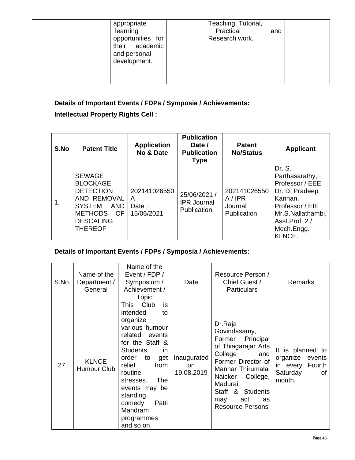| appropriate<br>learning<br>opportunities for<br>their academic<br>and personal<br>development. | Teaching, Tutorial,<br>Practical<br>and<br>Research work. |  |
|------------------------------------------------------------------------------------------------|-----------------------------------------------------------|--|
|------------------------------------------------------------------------------------------------|-----------------------------------------------------------|--|

#### **Intellectual Property Rights Cell :**

| S.No | <b>Patent Title</b>                                                                                                                                       | <b>Application</b><br>No & Date          | <b>Publication</b><br>Date /<br><b>Publication</b><br><b>Type</b> | <b>Patent</b><br><b>No/Status</b>               | <b>Applicant</b>                                                                                                                                          |
|------|-----------------------------------------------------------------------------------------------------------------------------------------------------------|------------------------------------------|-------------------------------------------------------------------|-------------------------------------------------|-----------------------------------------------------------------------------------------------------------------------------------------------------------|
| 1.   | <b>SEWAGE</b><br><b>BLOCKAGE</b><br><b>DETECTION</b><br>AND REMOVAL<br><b>SYSTEM</b><br>AND<br><b>METHODS</b><br>OF<br><b>DESCALING</b><br><b>THEREOF</b> | 202141026550<br>A<br>Date:<br>15/06/2021 | 25/06/2021 /<br><b>IPR Journal</b><br>Publication                 | 202141026550<br>A/IPR<br>Journal<br>Publication | Dr. S.<br>Parthasarathy,<br>Professor / EEE<br>Dr. D. Pradeep<br>Kannan,<br>Professor / EIE<br>Mr.S.Nallathambi,<br>Asst.Prof. 2/<br>Mech.Engg.<br>KLNCE. |

| S.No. | Name of the<br>Department /<br>General | Name of the<br>Event / FDP /<br>Symposium /<br>Achievement /<br><b>Topic</b>                                                                                                                                                                                                                              | Date                            | Resource Person /<br>Chief Guest /<br><b>Particulars</b>                                                                                                                                                                                 | <b>Remarks</b>                                                                     |
|-------|----------------------------------------|-----------------------------------------------------------------------------------------------------------------------------------------------------------------------------------------------------------------------------------------------------------------------------------------------------------|---------------------------------|------------------------------------------------------------------------------------------------------------------------------------------------------------------------------------------------------------------------------------------|------------------------------------------------------------------------------------|
| 27.   | <b>KLNCE</b><br>Humour Club            | is<br>This<br>Club<br>intended<br>to<br>organize<br>various humour<br>related<br>events<br>for the Staff &<br><b>Students</b><br>in<br>order<br>get<br>to<br>relief<br>from<br>routine<br><b>The</b><br>stresses.<br>events may be<br>standing<br>Patti<br>comedy,<br>Mandram<br>programmes<br>and so on. | Inaugurated<br>on<br>19.08.2019 | Dr.Raja<br>Govindasamy,<br>Principal<br>Former<br>of Thiagarajar Arts<br>College<br>and<br>Former Director of<br>Mannar Thirumalai<br>Naicker<br>College,<br>Madurai.<br>Staff & Students<br>act<br>may<br>as<br><b>Resource Persons</b> | It is planned to<br>organize events<br>in every Fourth<br>Saturday<br>οf<br>month. |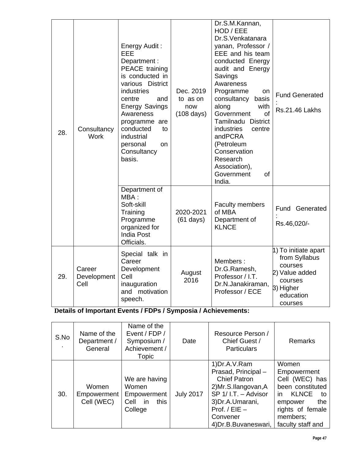| 28. | Consultancy<br><b>Work</b>    | Energy Audit:<br>EEE<br>Department:<br>PEACE training<br>is conducted in<br>various District<br>industries<br>centre<br>and<br><b>Energy Savings</b><br>Awareness<br>programme are<br>conducted<br>to<br>industrial<br>personal<br>on<br>Consultancy<br>basis. | Dec. 2019<br>to as on<br>now<br>$(108 \text{ days})$ | Dr.S.M.Kannan,<br>HOD / EEE<br>Dr.S.Venkatanara<br>yanan, Professor /<br>EEE and his team<br>conducted Energy<br>audit and Energy<br>Savings<br>Awareness<br>Programme<br>on<br>consultancy<br>basis<br>along<br>with<br>Government<br>of<br><b>Tamilnadu District</b><br>industries<br>centre<br>andPCRA<br>(Petroleum<br>Conservation<br>Research<br>Association),<br>Government<br>οf<br>India. | <b>Fund Generated</b><br><b>Rs.21.46 Lakhs</b>                                                                     |
|-----|-------------------------------|----------------------------------------------------------------------------------------------------------------------------------------------------------------------------------------------------------------------------------------------------------------|------------------------------------------------------|----------------------------------------------------------------------------------------------------------------------------------------------------------------------------------------------------------------------------------------------------------------------------------------------------------------------------------------------------------------------------------------------------|--------------------------------------------------------------------------------------------------------------------|
|     |                               | Department of<br>MBA:<br>Soft-skill<br>Training<br>Programme<br>organized for<br><b>India Post</b><br>Officials.                                                                                                                                               | 2020-2021<br>$(61 \text{ days})$                     | <b>Faculty members</b><br>of MBA<br>Department of<br><b>KLNCE</b>                                                                                                                                                                                                                                                                                                                                  | Fund Generated<br>Rs.46,020/-                                                                                      |
| 29. | Career<br>Development<br>Cell | Special talk in<br>Career<br>Development<br>Cell<br>inauguration<br>and motivation<br>speech.                                                                                                                                                                  | August<br>2016                                       | Members:<br>Dr.G.Ramesh,<br>Professor / I.T.<br>Dr.N.Janakiraman,<br>Professor / ECE                                                                                                                                                                                                                                                                                                               | 1) To initiate apart<br>from Syllabus<br>courses<br>2) Value added<br>courses<br>3) Higher<br>education<br>courses |

| S.No | Name of the<br>Department /<br>General | Name of the<br>Event / FDP /<br>Symposium /<br>Achievement /<br>Topic | Date             | Resource Person /<br>Chief Guest /<br><b>Particulars</b>                                                                                                                               | <b>Remarks</b>                                                                                                                                                 |
|------|----------------------------------------|-----------------------------------------------------------------------|------------------|----------------------------------------------------------------------------------------------------------------------------------------------------------------------------------------|----------------------------------------------------------------------------------------------------------------------------------------------------------------|
| 30.  | Women<br>Empowerment<br>Cell (WEC)     | We are having<br>Women<br>Empowerment<br>Cell in<br>this<br>College   | <b>July 2017</b> | 1) Dr.A.V. Ram<br>Prasad, Principal-<br><b>Chief Patron</b><br>2)Mr.S.Ilangovan,A<br>SP 1/ I.T. - Advisor<br>3) Dr.A. Umarani,<br>Prof. / $EIE -$<br>Convener<br>4) Dr.B. Buvaneswari, | Women<br>Empowerment<br>Cell (WEC) has<br>been constituted<br><b>KLNCE</b><br>in.<br>to<br>the<br>empower<br>rights of female<br>members;<br>faculty staff and |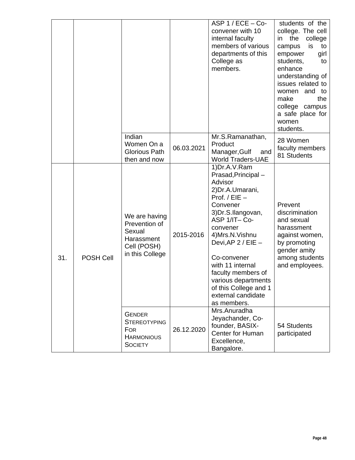|     |                  |                                                                                           |            | $ASP 1/ECE - Co-$<br>convener with 10<br>internal faculty<br>members of various<br>departments of this<br>College as<br>members.                                                                                                                                                                                                                | students of the<br>college. The cell<br>the<br>college<br>in<br>is<br>campus<br>to<br>empower<br>girl<br>students,<br>to<br>enhance<br>understanding of<br>issues related to<br>and to<br>women<br>make<br>the<br>college campus<br>a safe place for<br>women<br>students. |
|-----|------------------|-------------------------------------------------------------------------------------------|------------|-------------------------------------------------------------------------------------------------------------------------------------------------------------------------------------------------------------------------------------------------------------------------------------------------------------------------------------------------|----------------------------------------------------------------------------------------------------------------------------------------------------------------------------------------------------------------------------------------------------------------------------|
|     |                  | Indian<br>Women On a<br><b>Glorious Path</b><br>then and now                              | 06.03.2021 | Mr.S.Ramanathan,<br>Product<br>Manager, Gulf<br>and<br><b>World Traders-UAE</b>                                                                                                                                                                                                                                                                 | 28 Women<br>faculty members<br>81 Students                                                                                                                                                                                                                                 |
| 31. | <b>POSH Cell</b> | We are having<br>Prevention of<br>Sexual<br>Harassment<br>Cell (POSH)<br>in this College  | 2015-2016  | 1) Dr.A.V. Ram<br>Prasad, Principal -<br>Advisor<br>2) Dr.A. Umarani,<br>Prof. / $EIE$ –<br>Convener<br>3) Dr.S. Ilangovan,<br>ASP 1/IT-Co-<br>convener<br>4) Mrs.N. Vishnu<br>Devi, AP 2 / EIE -<br>Co-convener<br>with 11 internal<br>faculty members of<br>various departments<br>of this College and 1<br>external candidate<br>as members. | Prevent<br>discrimination<br>and sexual<br>harassment<br>against women,<br>by promoting<br>gender amity<br>among students<br>and employees.                                                                                                                                |
|     |                  | <b>GENDER</b><br><b>STEREOTYPING</b><br><b>FOR</b><br><b>HARMONIOUS</b><br><b>SOCIETY</b> | 26.12.2020 | Mrs.Anuradha<br>Jeyachander, Co-<br>founder, BASIX-<br>Center for Human<br>Excellence,<br>Bangalore.                                                                                                                                                                                                                                            | 54 Students<br>participated                                                                                                                                                                                                                                                |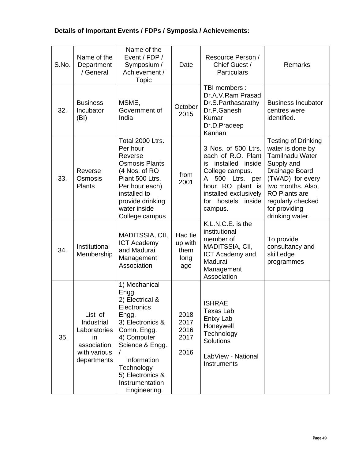| S.No. | Name of the<br>Department<br>/ General                                                    | Name of the<br>Event / FDP /<br>Symposium /<br>Achievement /<br>Topic                                                                                                                                                      | Date                                      | Resource Person /<br>Chief Guest /<br><b>Particulars</b>                                                                                                                                         | Remarks                                                                                                                                                                                                                            |
|-------|-------------------------------------------------------------------------------------------|----------------------------------------------------------------------------------------------------------------------------------------------------------------------------------------------------------------------------|-------------------------------------------|--------------------------------------------------------------------------------------------------------------------------------------------------------------------------------------------------|------------------------------------------------------------------------------------------------------------------------------------------------------------------------------------------------------------------------------------|
| 32.   | <b>Business</b><br>Incubator<br>(BI)                                                      | MSME,<br>Government of<br>India                                                                                                                                                                                            | October<br>2015                           | TBI members :<br>Dr.A.V.Ram Prasad<br>Dr.S.Parthasarathy<br>Dr.P.Ganesh<br>Kumar<br>Dr.D.Pradeep<br>Kannan                                                                                       | <b>Business Incubator</b><br>centres were<br>identified.                                                                                                                                                                           |
| 33.   | Reverse<br>Osmosis<br><b>Plants</b>                                                       | Total 2000 Ltrs.<br>Per hour<br>Reverse<br><b>Osmosis Plants</b><br>(4 Nos. of RO<br>Plant 500 Ltrs.<br>Per hour each)<br>installed to<br>provide drinking<br>water inside<br>College campus                               | from<br>2001                              | 3 Nos. of 500 Ltrs.<br>each of R.O. Plant<br>installed inside<br>is<br>College campus.<br>500 Ltrs.<br>A<br>per<br>hour RO plant is<br>installed exclusively<br>for hostels<br>inside<br>campus. | <b>Testing of Drinking</b><br>water is done by<br><b>Tamilnadu Water</b><br>Supply and<br>Drainage Board<br>(TWAD) for every<br>two months. Also,<br><b>RO Plants are</b><br>regularly checked<br>for providing<br>drinking water. |
| 34.   | Institutional<br>Membership                                                               | MADITSSIA, CII,<br><b>ICT Academy</b><br>and Madurai<br>Management<br>Association                                                                                                                                          | Had tie<br>up with<br>them<br>long<br>ago | K.L.N.C.E. is the<br>institutional<br>member of<br>MADITSSIA, CII,<br><b>ICT Academy and</b><br>Madurai<br>Management<br>Association                                                             | To provide<br>consultancy and<br>skill edge<br>programmes                                                                                                                                                                          |
| 35.   | List of<br>Industrial<br>Laboratories<br>in<br>association<br>with various<br>departments | 1) Mechanical<br>Engg.<br>2) Electrical &<br>Electronics<br>Engg.<br>3) Electronics &<br>Comn. Engg.<br>4) Computer<br>Science & Engg.<br>Information<br>Technology<br>5) Electronics &<br>Instrumentation<br>Engineering. | 2018<br>2017<br>2016<br>2017<br>2016      | <b>ISHRAE</b><br><b>Texas Lab</b><br>Enixy Lab<br>Honeywell<br>Technology<br>Solutions<br>LabView - National<br>Instruments                                                                      |                                                                                                                                                                                                                                    |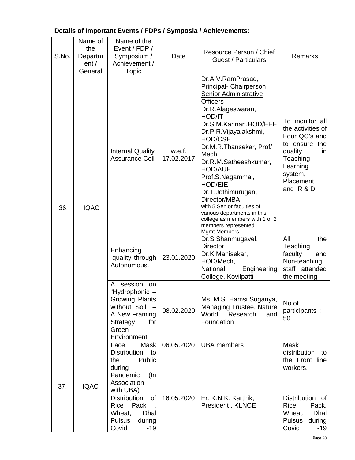| S.No. | Name of<br>the<br>Departm<br>ent/<br>General | Name of the<br>Event / FDP /<br>Symposium /<br>Achievement /<br>Topic                                                                        | Date                 | Resource Person / Chief<br><b>Guest / Particulars</b>                                                                                                                                                                                                                                                                                                                                                                                                                                        | <b>Remarks</b>                                                                                                                                       |
|-------|----------------------------------------------|----------------------------------------------------------------------------------------------------------------------------------------------|----------------------|----------------------------------------------------------------------------------------------------------------------------------------------------------------------------------------------------------------------------------------------------------------------------------------------------------------------------------------------------------------------------------------------------------------------------------------------------------------------------------------------|------------------------------------------------------------------------------------------------------------------------------------------------------|
| 36.   | <b>IQAC</b>                                  | <b>Internal Quality</b><br><b>Assurance Cell</b>                                                                                             | w.e.f.<br>17.02.2017 | Dr.A.V.RamPrasad,<br>Principal- Chairperson<br>Senior Administrative<br><b>Officers</b><br>Dr.R.Alageswaran,<br>HOD/IT<br>Dr.S.M.Kannan, HOD/EEE<br>Dr.P.R.Vijayalakshmi,<br><b>HOD/CSE</b><br>Dr.M.R.Thansekar, Prof/<br>Mech<br>Dr.R.M.Satheeshkumar,<br><b>HOD/AUE</b><br>Prof.S.Nagammai,<br><b>HOD/EIE</b><br>Dr.T.Jothimurugan,<br>Director/MBA<br>with 5 Senior faculties of<br>various departments in this<br>college as members with 1 or 2<br>members represented<br>Mgmt.Members. | To monitor all<br>the activities of<br>Four QC's and<br>to ensure the<br>quality<br>in.<br>Teaching<br>Learning<br>system,<br>Placement<br>and R & D |
|       |                                              | Enhancing<br>quality through<br>Autonomous.                                                                                                  | 23.01.2020           | Dr.S.Shanmugavel,<br><b>Director</b><br>Dr.K.Manisekar,<br>HOD/Mech,<br>National<br>Engineering<br>College, Kovilpatti                                                                                                                                                                                                                                                                                                                                                                       | All<br>the<br>Teaching<br>faculty<br>and<br>Non-teaching<br>staff attended<br>the meeting                                                            |
|       |                                              | session<br>А<br>on<br>"Hydrophonic -<br><b>Growing Plants</b><br>without Soil" -<br>A New Framing<br>for<br>Strategy<br>Green<br>Environment | 08.02.2020           | Ms. M.S. Hamsi Suganya,<br><b>Managing Trustee, Nature</b><br>World Research<br>and<br>Foundation                                                                                                                                                                                                                                                                                                                                                                                            | No of<br>participants :<br>50                                                                                                                        |
| 37.   | <b>IQAC</b>                                  | Face<br>Mask<br>Distribution<br>to<br>Public<br>the<br>during<br>Pandemic<br>(In<br>Association<br>with UBA)                                 | 06.05.2020           | <b>UBA</b> members                                                                                                                                                                                                                                                                                                                                                                                                                                                                           | <b>Mask</b><br>distribution<br>to<br>the Front line<br>workers.                                                                                      |
|       |                                              | <b>Distribution</b><br>of<br>Rice<br>Pack<br>Wheat,<br>Dhal<br><b>Pulsus</b><br>during<br>Covid<br>$-19$                                     | 16.05.2020           | Er. K.N.K. Karthik,<br>President, KLNCE                                                                                                                                                                                                                                                                                                                                                                                                                                                      | Distribution of<br>Rice<br>Pack,<br>Dhal<br>Wheat,<br><b>Pulsus</b><br>during<br>Covid<br>$-19$                                                      |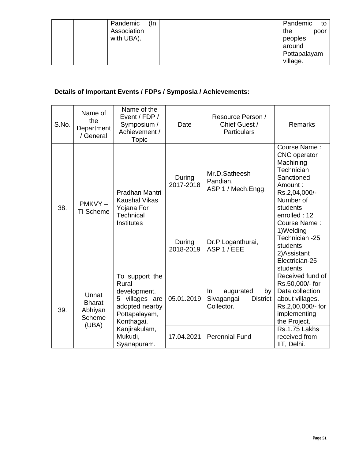| (In<br>Pandemic | Pandemic<br>to |
|-----------------|----------------|
| Association     | the<br>poor    |
| with UBA).      | peoples        |
|                 | around         |
|                 | Pottapalayam   |
|                 | village.       |

| S.No. | Name of<br>the<br>Department<br>/ General            | Name of the<br>Event / FDP /<br>Symposium /<br>Achievement /<br>Topic                                      | Date                | Resource Person /<br>Chief Guest /<br><b>Particulars</b>             | Remarks                                                                                                                                           |
|-------|------------------------------------------------------|------------------------------------------------------------------------------------------------------------|---------------------|----------------------------------------------------------------------|---------------------------------------------------------------------------------------------------------------------------------------------------|
| 38.   | $PMKVY -$<br><b>TI Scheme</b>                        | Pradhan Mantri<br><b>Kaushal Vikas</b><br>Yojana For<br><b>Technical</b>                                   | During<br>2017-2018 | Mr.D.Satheesh<br>Pandian,<br>ASP 1 / Mech.Engg.                      | Course Name:<br><b>CNC</b> operator<br>Machining<br>Technician<br>Sanctioned<br>Amount:<br>Rs.2,04,000/-<br>Number of<br>students<br>enrolled: 12 |
|       |                                                      | Institutes                                                                                                 | During<br>2018-2019 | Dr.P.Loganthurai,<br>ASP 1 / EEE                                     | Course Name:<br>1) Welding<br>Technician -25<br>students<br>2) Assistant<br>Electrician-25<br>students                                            |
| 39.   | Unnat<br><b>Bharat</b><br>Abhiyan<br>Scheme<br>(UBA) | To support the<br>Rural<br>development.<br>5 villages are<br>adopted nearby<br>Pottapalayam,<br>Konthagai, | 05.01.2019          | augurated<br>by<br>In<br>Sivagangai<br><b>District</b><br>Collector. | Received fund of<br>Rs.50,000/- for<br>Data collection<br>about villages.<br>Rs.2,00,000/- for<br>implementing<br>the Project.                    |
|       |                                                      | Kanjirakulam,<br>Mukudi,<br>Syanapuram.                                                                    | 17.04.2021          | <b>Perennial Fund</b>                                                | Rs.1.75 Lakhs<br>received from<br>IIT, Delhi.                                                                                                     |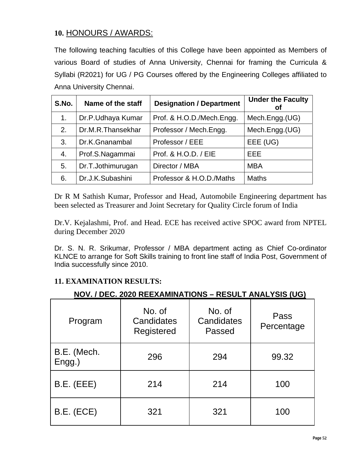# **10.** HONOURS / AWARDS:

The following teaching faculties of this College have been appointed as Members of various Board of studies of Anna University, Chennai for framing the Curricula & Syllabi (R2021) for UG / PG Courses offered by the Engineering Colleges affiliated to Anna University Chennai.

| S.No. | Name of the staff | <b>Designation / Department</b> | <b>Under the Faculty</b><br>οf |
|-------|-------------------|---------------------------------|--------------------------------|
| 1.    | Dr.P.Udhaya Kumar | Prof. & H.O.D./Mech.Engg.       | Mech.Engg.(UG)                 |
| 2.    | Dr.M.R.Thansekhar | Professor / Mech.Engg.          | Mech.Engg.(UG)                 |
| 3.    | Dr.K.Gnanambal    | Professor / EEE                 | EEE (UG)                       |
| 4.    | Prof.S.Nagammai   | Prof. & H.O.D. / EIE            | EEE                            |
| 5.    | Dr.T.Jothimurugan | Director / MBA                  | <b>MBA</b>                     |
| 6.    | Dr.J.K.Subashini  | Professor & H.O.D./Maths        | <b>Maths</b>                   |

Dr R M Sathish Kumar, Professor and Head, Automobile Engineering department has been selected as Treasurer and Joint Secretary for Quality Circle forum of India

Dr.V. Kejalashmi, Prof. and Head. ECE has received active SPOC award from NPTEL during December 2020

Dr. S. N. R. Srikumar, Professor / MBA department acting as Chief Co-ordinator KLNCE to arrange for Soft Skills training to front line staff of India Post, Government of India successfully since 2010.

# **11. EXAMINATION RESULTS:**

# **NOV. / DEC. 2020 REEXAMINATIONS – RESULT ANALYSIS (UG)**

| Program                  | No. of<br>Candidates<br>Registered | No. of<br>Candidates<br>Passed | Pass<br>Percentage |
|--------------------------|------------------------------------|--------------------------------|--------------------|
| B.E. (Mech.<br>$Engg.$ ) | 296                                | 294                            | 99.32              |
| B.E. (EEE)               | 214                                | 214                            | 100                |
| B.E. (ECE)               | 321                                | 321                            | 100                |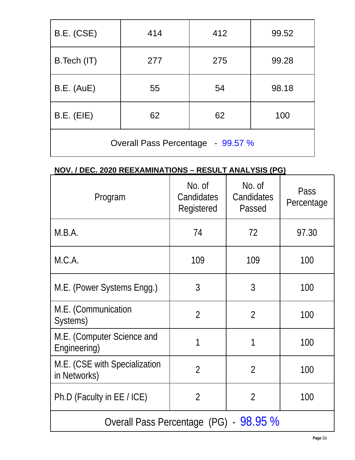| B.E. (CSE)                        | 414 | 412 | 99.52 |  |
|-----------------------------------|-----|-----|-------|--|
| B.Tech (IT)                       | 277 | 275 | 99.28 |  |
| <b>B.E.</b> (AuE)                 | 55  | 54  | 98.18 |  |
| B.E. (EIE)                        | 62  | 62  | 100   |  |
| Overall Pass Percentage - 99.57 % |     |     |       |  |

# **NOV. / DEC. 2020 REEXAMINATIONS – RESULT ANALYSIS (PG)**

| Program                                       | No. of<br>Candidates<br>Registered | No. of<br>Candidates<br>Passed | Pass<br>Percentage |
|-----------------------------------------------|------------------------------------|--------------------------------|--------------------|
| M.B.A.                                        | 74                                 | 72                             | 97.30              |
| M.C.A.                                        | 109                                | 109                            | 100                |
| M.E. (Power Systems Engg.)                    | 3                                  | 3                              | 100                |
| M.E. (Communication<br>Systems)               | $\overline{2}$                     | $\overline{2}$                 | 100                |
| M.E. (Computer Science and<br>Engineering)    |                                    | 1                              | 100                |
| M.E. (CSE with Specialization<br>in Networks) | $\overline{2}$                     | $\overline{2}$                 | 100                |
| Ph.D (Faculty in EE / ICE)                    | $\overline{2}$                     | $\overline{2}$                 | 100                |
| Overall Pass Percentage (PG) - 98.95 %        |                                    |                                |                    |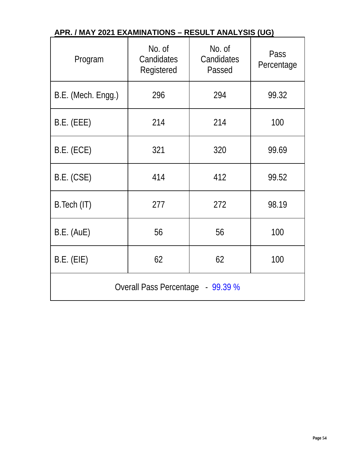| Program                           | No. of<br>Candidates<br>Registered | No. of<br>Candidates<br>Passed | Pass<br>Percentage |  |
|-----------------------------------|------------------------------------|--------------------------------|--------------------|--|
| B.E. (Mech. Engg.)                | 296                                | 294                            | 99.32              |  |
| B.E. (EEE)                        | 214                                | 214                            | 100                |  |
| B.E. (ECE)                        | 321                                | 320                            | 99.69              |  |
| B.E. (CSE)                        | 414                                | 412                            | 99.52              |  |
| B. Tech (IT)                      | 277                                | 272                            | 98.19              |  |
| B.E. (AUE)                        | 56                                 | 56                             | 100                |  |
| $B.E.$ (EIE)                      | 62                                 | 62                             | 100                |  |
| Overall Pass Percentage - 99.39 % |                                    |                                |                    |  |

# **APR. / MAY 2021 EXAMINATIONS – RESULT ANALYSIS (UG)**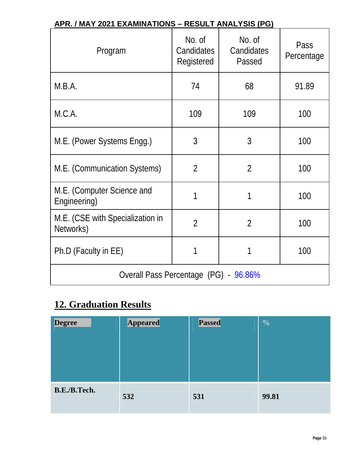| <u> APR. / MAY 2021 EXAMINATIONS – RESULT ANALYSIS (PG)</u> |                                    |                                |                    |  |  |  |  |  |
|-------------------------------------------------------------|------------------------------------|--------------------------------|--------------------|--|--|--|--|--|
| Program                                                     | No. of<br>Candidates<br>Registered | No. of<br>Candidates<br>Passed | Pass<br>Percentage |  |  |  |  |  |
| M.B.A.                                                      | 74                                 | 68                             | 91.89              |  |  |  |  |  |
| M.C.A.                                                      | 109                                | 109                            | 100                |  |  |  |  |  |
| M.E. (Power Systems Engg.)                                  | 3                                  | 3                              | 100                |  |  |  |  |  |
| M.E. (Communication Systems)                                | $\overline{2}$                     | $\overline{2}$                 | 100                |  |  |  |  |  |
| M.E. (Computer Science and<br>Engineering)                  | 1                                  | 1                              | 100                |  |  |  |  |  |
| M.E. (CSE with Specialization in<br>Networks)               | $\overline{2}$                     | $\overline{2}$                 | 100                |  |  |  |  |  |
| Ph.D (Faculty in EE)                                        | 1                                  | 1                              | 100                |  |  |  |  |  |
| Overall Pass Percentage (PG) - 96.86%                       |                                    |                                |                    |  |  |  |  |  |

# **APR. / MAY 2021 EXAMINATIONS – RESULT ANALYSIS (PG)**

# **12. Graduation Results**

| <b>Degree</b> | <b>Appeared</b> | <b>Passed</b> | $\overline{\mathbf{0}}_{\mathbf{0}}$ |
|---------------|-----------------|---------------|--------------------------------------|
| B.E./B.Tech.  | 532             | 531           | 99.81                                |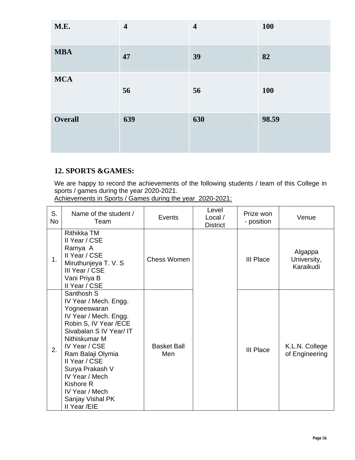| M.E.           | $\overline{\mathbf{4}}$ | $\overline{\mathbf{4}}$ | <b>100</b> |
|----------------|-------------------------|-------------------------|------------|
| <b>MBA</b>     | 47                      | 39                      | 82         |
| <b>MCA</b>     | 56                      | 56                      | <b>100</b> |
| <b>Overall</b> | 639                     | 630                     | 98.59      |

# **12. SPORTS &GAMES:**

We are happy to record the achievements of the following students / team of this College in sports / games during the year 2020-2021.

Achievements in Sports / Games during the year 2020-2021:

| S.<br>No | Name of the student /<br>Team                                                                                                                                                                                                                                                                                    | Events                    | Level<br>Local /<br><b>District</b> | Prize won<br>- position | Venue                               |
|----------|------------------------------------------------------------------------------------------------------------------------------------------------------------------------------------------------------------------------------------------------------------------------------------------------------------------|---------------------------|-------------------------------------|-------------------------|-------------------------------------|
| 1.       | Rithikka TM<br>Il Year / CSE<br>Ramya A<br>II Year / CSE<br>Miruthunjeya T. V. S<br>III Year / CSE<br>Vani Priya B<br>II Year / CSE                                                                                                                                                                              | Chess Women               |                                     | III Place               | Algappa<br>University,<br>Karaikudi |
| 2.       | Santhosh S<br>IV Year / Mech. Engg.<br>Yogneeswaran<br>IV Year / Mech. Engg.<br>Robin S, IV Year /ECE<br>Sivabalan S IV Year/ IT<br>Nithiskumar M<br>IV Year / CSE<br>Ram Balaji Olymia<br>Il Year / CSE<br>Surya Prakash V<br>IV Year / Mech<br>Kishore R<br>IV Year / Mech<br>Sanjay Vishal PK<br>II Year /EIE | <b>Basket Ball</b><br>Men |                                     | III Place               | K.L.N. College<br>of Engineering    |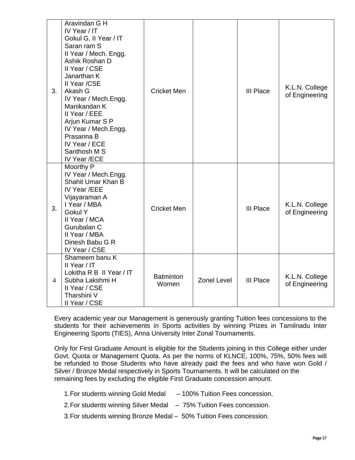| 3.             | Aravindan G H<br>IV Year / IT<br>Gokul G, II Year / IT<br>Saran ram S<br>Il Year / Mech. Engg.<br>Ashik Roshan D<br>II Year / CSE<br>Janarthan K<br>II Year /CSE<br>Akash G<br>IV Year / Mech.Engg.<br>Manikandan K<br>Il Year / EEE<br>Arjun Kumar S P<br>IV Year / Mech.Engg.<br>Prasanna B<br>IV Year / ECE<br>Santhosh M S<br>IV Year /ECE | <b>Cricket Men</b>        |                    | <b>III Place</b> | K.L.N. College<br>of Engineering |
|----------------|------------------------------------------------------------------------------------------------------------------------------------------------------------------------------------------------------------------------------------------------------------------------------------------------------------------------------------------------|---------------------------|--------------------|------------------|----------------------------------|
| 3.             | Moorthy P<br>IV Year / Mech.Engg.<br>Shahit Umar Khan B<br>IV Year /EEE<br>Vijayaraman A<br>I Year / MBA<br>Gokul Y<br>II Year / MCA<br>Gurubalan C<br>II Year / MBA<br>Dinesh Babu G R<br>IV Year / CSE                                                                                                                                       | <b>Cricket Men</b>        |                    | <b>III Place</b> | K.L.N. College<br>of Engineering |
| $\overline{4}$ | Shameem banu K<br>II Year / IT<br>Lokitha R B II Year / IT<br>Subha Lakshmi H<br>Il Year / CSE<br>Tharshini V<br>Il Year / CSE                                                                                                                                                                                                                 | <b>Batminton</b><br>Women | <b>Zonel Level</b> | <b>III Place</b> | K.L.N. College<br>of Engineering |

Every academic year our Management is generously granting Tuition fees concessions to the students for their achievements in Sports activities by winning Prizes in Tamilnadu Inter Engineering Sports (TIES), Anna University Inter Zonal Tournaments.

Only for First Graduate Amount is eligible for the Students joining in this College either under Govt. Quota or Management Quota. As per the norms of KLNCE, 100%, 75%, 50% fees will be refunded to those Students who have already paid the fees and who have won Gold / Silver / Bronze Medal respectively in Sports Tournaments. It will be calculated on the remaining fees by excluding the eligible First Graduate concession amount.

- 1. For students winning Gold Medal 100% Tuition Fees concession.
- 2. For students winning Silver Medal 75% Tuition Fees concession.
- 3. For students winning Bronze Medal 50% Tuition Fees concession.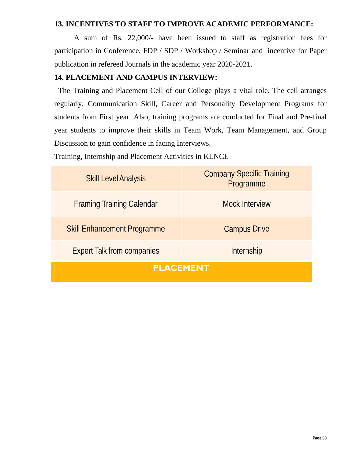#### **13. INCENTIVES TO STAFF TO IMPROVE ACADEMIC PERFORMANCE:**

A sum of Rs. 22,000/- have been issued to staff as registration fees for participation in Conference, FDP / SDP / Workshop / Seminar and incentive for Paper publication in refereed Journals in the academic year 2020-2021.

## **14. PLACEMENT AND CAMPUS INTERVIEW:**

The Training and Placement Cell of our College plays a vital role. The cell arranges regularly, Communication Skill, Career and Personality Development Programs for students from First year. Also, training programs are conducted for Final and Pre-final year students to improve their skills in Team Work, Team Management, and Group Discussion to gain confidence in facing Interviews.

Training, Internship and Placement Activities in KLNCE

| <b>Skill Level Analysis</b>        | <b>Company Specific Training</b><br>Programme |
|------------------------------------|-----------------------------------------------|
| <b>Framing Training Calendar</b>   | <b>Mock Interview</b>                         |
| <b>Skill Enhancement Programme</b> | <b>Campus Drive</b>                           |
| <b>Expert Talk from companies</b>  | Internship                                    |
| <b>PLACEMENT</b>                   |                                               |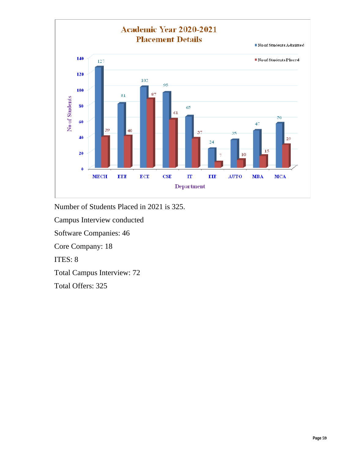

Number of Students Placed in 2021 is 325.

Campus Interview conducted

Software Companies: 46

Core Company: 18

ITES: 8

Total Campus Interview: 72

Total Offers: 325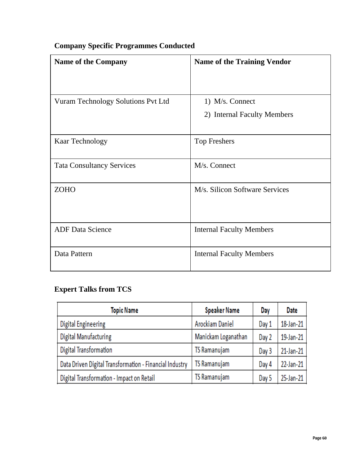| <b>Name of the Company</b>         | <b>Name of the Training Vendor</b> |
|------------------------------------|------------------------------------|
| Vuram Technology Solutions Pvt Ltd | 1) M/s. Connect                    |
|                                    | 2) Internal Faculty Members        |
| <b>Kaar Technology</b>             | <b>Top Freshers</b>                |
| <b>Tata Consultancy Services</b>   | M/s. Connect                       |
| <b>ZOHO</b>                        | M/s. Silicon Software Services     |
| <b>ADF</b> Data Science            | <b>Internal Faculty Members</b>    |
| Data Pattern                       | <b>Internal Faculty Members</b>    |

# **Company Specific Programmes Conducted**

# **Expert Talks from TCS**

| Topic Name                                              | <b>Speaker Name</b> | Day   | Date      |
|---------------------------------------------------------|---------------------|-------|-----------|
| Digital Engineering                                     | Arockiam Daniel     | Day 1 | 18-Jan-21 |
| Digital Manufacturing                                   | Manickam Loganathan | Day 2 | 19-Jan-21 |
| Digital Transformation                                  | TS Ramanujam        | Day 3 | 21-Jan-21 |
| Data Driven Digital Transformation - Financial Industry | <b>TS Ramanujam</b> | Day 4 | 22-Jan-21 |
| Digital Transformation - Impact on Retail               | TS Ramanujam        | Day 5 | 25-Jan-21 |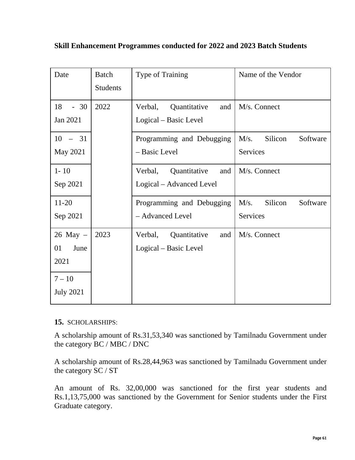|  | Skill Enhancement Programmes conducted for 2022 and 2023 Batch Students |
|--|-------------------------------------------------------------------------|
|--|-------------------------------------------------------------------------|

| Date                                                               | <b>Batch</b><br><b>Students</b> | Type of Training                                           | Name of the Vendor                      |
|--------------------------------------------------------------------|---------------------------------|------------------------------------------------------------|-----------------------------------------|
| 18<br>$-30$<br>Jan 2021                                            | 2022                            | Quantitative<br>Verbal,<br>and<br>Logical – Basic Level    | M/s. Connect                            |
| $-31$<br>10<br>May 2021                                            |                                 | Programming and Debugging<br>- Basic Level                 | M/s.<br>Silicon<br>Software<br>Services |
| $1 - 10$<br>Sep 2021                                               |                                 | Quantitative<br>Verbal,<br>and<br>Logical – Advanced Level | M/s. Connect                            |
| $11-20$<br>Sep 2021                                                |                                 | Programming and Debugging<br>- Advanced Level              | M/s.<br>Silicon<br>Software<br>Services |
| $26$ May $-$<br>01<br>June<br>2021<br>$7 - 10$<br><b>July 2021</b> | 2023                            | Verbal,<br>Quantitative<br>and<br>Logical – Basic Level    | M/s. Connect                            |

# **15.** SCHOLARSHIPS:

A scholarship amount of Rs.31,53,340 was sanctioned by Tamilnadu Government under the category BC / MBC / DNC

A scholarship amount of Rs.28,44,963 was sanctioned by Tamilnadu Government under the category SC / ST

An amount of Rs. 32,00,000 was sanctioned for the first year students and Rs.1,13,75,000 was sanctioned by the Government for Senior students under the First Graduate category.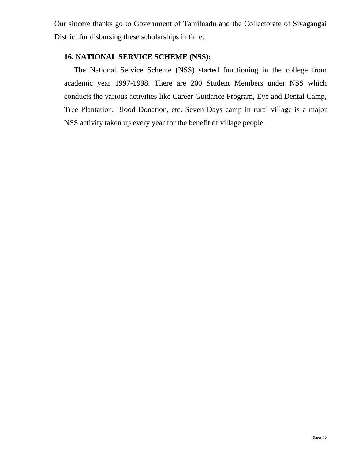Our sincere thanks go to Government of Tamilnadu and the Collectorate of Sivagangai District for disbursing these scholarships in time.

## **16. NATIONAL SERVICE SCHEME (NSS):**

The National Service Scheme (NSS) started functioning in the college from academic year 1997-1998. There are 200 Student Members under NSS which conducts the various activities like Career Guidance Program, Eye and Dental Camp, Tree Plantation, Blood Donation, etc. Seven Days camp in rural village is a major NSS activity taken up every year for the benefit of village people.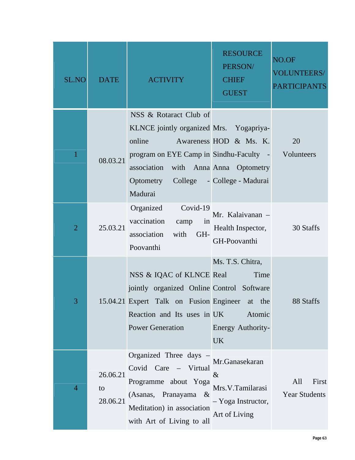| <b>SL.NO</b>   | <b>DATE</b>                | <b>ACTIVITY</b>                                                                                                                                                                                      | <b>RESOURCE</b><br>PERSON/<br><b>CHIEF</b><br><b>GUEST</b>                        | NO.OF<br><b>VOLUNTEERS/</b><br><b>PARTICIPANTS</b> |
|----------------|----------------------------|------------------------------------------------------------------------------------------------------------------------------------------------------------------------------------------------------|-----------------------------------------------------------------------------------|----------------------------------------------------|
|                | 08.03.21                   | NSS & Rotaract Club of<br>KLNCE jointly organized Mrs. Yogapriya-<br>online<br>program on EYE Camp in Sindhu-Faculty - Volunteers<br>association<br>Optometry College - College - Madurai<br>Madurai | Awareness HOD & Ms. K.<br>with Anna Anna Optometry                                | 20                                                 |
| $\overline{2}$ | 25.03.21                   | Organized<br>Covid-19<br>vaccination<br>in<br>camp<br>association<br>with<br>GH-<br>Poovanthi                                                                                                        | Mr. Kalaivanan -<br>Health Inspector,<br>GH-Poovanthi                             | 30 Staffs                                          |
| 3              |                            | NSS & IQAC of KLNCE Real<br>jointly organized Online Control Software<br>15.04.21 Expert Talk on Fusion Engineer at the<br>Reaction and Its uses in UK<br><b>Power Generation</b>                    | Ms. T.S. Chitra,<br>Time<br>Atomic<br>Energy Authority-<br><b>UK</b>              | 88 Staffs                                          |
| $\overline{4}$ | 26.06.21<br>to<br>28.06.21 | Organized Three days<br>Covid Care – Virtual<br>Programme about Yoga<br>(Asanas, Pranayama &<br>Meditation) in association<br>with Art of Living to all                                              | Mr.Ganasekaran<br>$\&$<br>Mrs.V.Tamilarasi<br>- Yoga Instructor,<br>Art of Living | All<br>First<br><b>Year Students</b>               |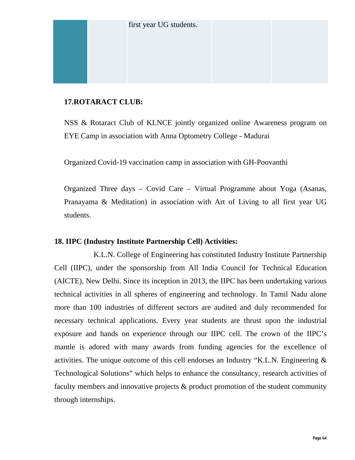# **17.ROTARACT CLUB:**

NSS & Rotaract Club of KLNCE jointly organized online Awareness program on EYE Camp in association with Anna Optometry College - Madurai

Organized Covid-19 vaccination camp in association with GH-Poovanthi

Organized Three days – Covid Care – Virtual Programme about Yoga (Asanas, Pranayama & Meditation) in association with Art of Living to all first year UG students.

# **18. IIPC (Industry Institute Partnership Cell) Activities:**

K.L.N. College of Engineering has constituted Industry Institute Partnership Cell (IIPC), under the sponsorship from All India Council for Technical Education (AICTE), New Delhi. Since its inception in 2013, the IIPC has been undertaking various technical activities in all spheres of engineering and technology. In Tamil Nadu alone more than 100 industries of different sectors are audited and duly recommended for necessary technical applications. Every year students are thrust upon the industrial exposure and hands on experience through our IIPC cell. The crown of the IIPC's mantle is adored with many awards from funding agencies for the excellence of activities. The unique outcome of this cell endorses an Industry "K.L.N. Engineering & Technological Solutions" which helps to enhance the consultancy, research activities of faculty members and innovative projects & product promotion of the student community through internships.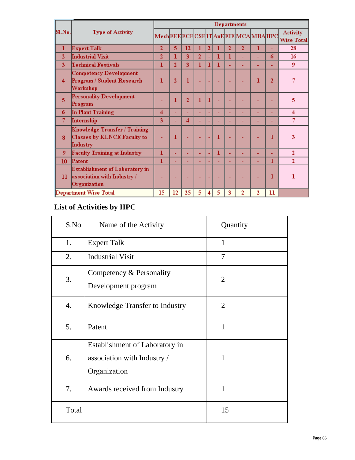|                |                                                                                                               | Departments                             |                |                |                |                |   |    |                |    |                |                                      |
|----------------|---------------------------------------------------------------------------------------------------------------|-----------------------------------------|----------------|----------------|----------------|----------------|---|----|----------------|----|----------------|--------------------------------------|
| Sl.No.         | <b>Type of Activity</b>                                                                                       | MechEEE ECE CSE IT AuE EIE MCA MBA IIPC |                |                |                |                |   |    |                |    |                | <b>Activity</b><br><b>Wise Total</b> |
| ı              | Expert Talk                                                                                                   |                                         | 5              | 12             | 1              | $\overline{2}$ | ı | 2  | $\overline{2}$ | 1  | ÷              | 28                                   |
| $\overline{2}$ | Industrial Visit                                                                                              |                                         | 1              | 3              | $\overline{2}$ | u              | 1 | 1  |                | u, | 6              | 16                                   |
| 3              | <b>Technical Festivals</b>                                                                                    | 1                                       | $\overline{2}$ | 3              | 1              | 1              | 1 | u, |                | u, | ÷              | 9                                    |
| 4              | <b>Competency Development</b><br>Program / Student Research<br>Workshop<br>Personality Development<br>Program |                                         | $\overline{2}$ | ı              |                | ٠              |   |    |                | 1  | $\overline{2}$ |                                      |
| 5              |                                                                                                               |                                         | 1              | $\overline{2}$ | 1              | 1              |   |    |                |    |                | 5                                    |
| 6              | In Plant Training                                                                                             | 4                                       | ÷              |                | ٠              | ٠              | ÷ | ٠  |                |    | ÷              | 4                                    |
| 7              | Internship                                                                                                    |                                         | ÷              | 4              |                | ٠              | ٠ | ۳  |                |    | ÷              | 7                                    |
| 8              | Knowledge Transfer / Training<br>Classes by KLNCE Faculty to<br>Industry                                      |                                         | 1              |                |                |                | 1 | ÷  |                |    | 1              | 3                                    |
| 9              | <b>Faculty Training at Industry</b>                                                                           | 1                                       | ٠              | ٠              | ÷              | ٠              | ı | ٠  | ٠              | ÷  | ÷              | $\overline{c}$                       |
| 10             | Patent                                                                                                        |                                         |                |                | ٠              |                | u |    |                |    | 1              | $\overline{2}$                       |
| 11             | Establishment of Laboratory in<br>association with Industry /<br>Organization                                 |                                         |                |                |                | ٠              | ٠ | ٠  |                |    | 1              | 1                                    |
|                | Department Wise Total                                                                                         | 15                                      | 12             | 25             | 5              | 4              | 5 | 3  | 2              | 2  | $\mathbf{11}$  |                                      |

# **List of Activities by IIPC**

| S.No  | Name of the Activity                                                          | Quantity       |
|-------|-------------------------------------------------------------------------------|----------------|
| 1.    | <b>Expert Talk</b>                                                            | $\mathbf{1}$   |
| 2.    | <b>Industrial Visit</b>                                                       | $\overline{7}$ |
| 3.    | Competency & Personality<br>Development program                               | $\overline{2}$ |
| 4.    | Knowledge Transfer to Industry                                                | $\overline{2}$ |
| 5.    | Patent                                                                        | $\mathbf{1}$   |
| 6.    | Establishment of Laboratory in<br>association with Industry /<br>Organization | $\mathbf{1}$   |
| 7.    | Awards received from Industry                                                 | 1              |
| Total |                                                                               | 15             |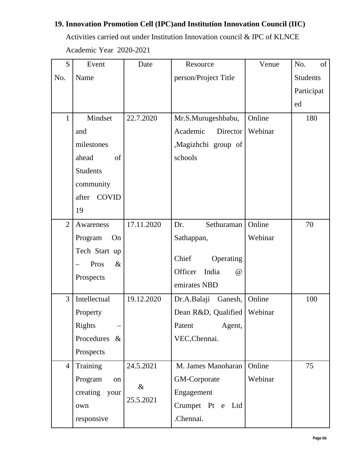# **19. Innovation Promotion Cell (IPC)and Institution Innovation Council (IIC)**

Activities carried out under Institution Innovation council & IPC of KLNCE Academic Year 2020-2021

| S              | Event                 | Date       | Resource                     | Venue   | No.<br>of       |
|----------------|-----------------------|------------|------------------------------|---------|-----------------|
| No.            | Name                  |            | person/Project Title         |         | <b>Students</b> |
|                |                       |            |                              |         | Participat      |
|                |                       |            |                              |         | ed              |
| $\mathbf{1}$   | Mindset               | 22.7.2020  | Mr.S.Murugeshbabu,           | Online  | 180             |
|                | and                   |            | Academic<br>Director         | Webinar |                 |
|                | milestones            |            | ,Magizhchi group of          |         |                 |
|                | ahead<br>of           |            | schools                      |         |                 |
|                | <b>Students</b>       |            |                              |         |                 |
|                | community             |            |                              |         |                 |
|                | <b>COVID</b><br>after |            |                              |         |                 |
|                | 19                    |            |                              |         |                 |
| $\overline{2}$ | Awareness             | 17.11.2020 | Dr.<br>Sethuraman            | Online  | 70              |
|                | Program<br>On         |            | Sathappan,                   | Webinar |                 |
|                | Tech Start up         |            |                              |         |                 |
|                | $\&$<br>Pros          |            | Chief<br>Operating           |         |                 |
|                | Prospects             |            | Officer<br>India<br>$\omega$ |         |                 |
|                |                       |            | emirates NBD                 |         |                 |
| $\overline{3}$ | Intellectual          | 19.12.2020 | Dr.A.Balaji Ganesh,          | Online  | 100             |
|                | Property              |            | Dean R&D, Qualified          | Webinar |                 |
|                | <b>Rights</b>         |            | Agent,<br>Patent             |         |                 |
|                | Procedures &          |            | VEC, Chennai.                |         |                 |
|                | Prospects             |            |                              |         |                 |
| $\overline{4}$ | Training              | 24.5.2021  | M. James Manoharan           | Online  | 75              |
|                | Program<br>on         | $\&$       | GM-Corporate                 | Webinar |                 |
|                | creating<br>your      | 25.5.2021  | Engagement                   |         |                 |
|                | own                   |            | Crumpet Pt e Ltd             |         |                 |
|                | responsive            |            | .Chennai.                    |         |                 |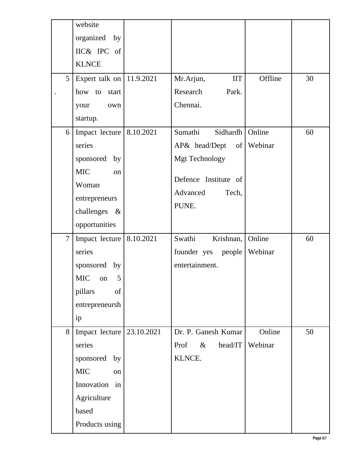|                | website                      |            |                             |         |    |
|----------------|------------------------------|------------|-----------------------------|---------|----|
|                | organized by                 |            |                             |         |    |
|                | IIC& IPC of                  |            |                             |         |    |
|                | <b>KLNCE</b>                 |            |                             |         |    |
| 5              | Expert talk on   $11.9.2021$ |            | Mr.Arjun,<br>$\rm{IIT}$     | Offline | 30 |
|                | how to start                 |            | Research<br>Park.           |         |    |
|                | your<br>own                  |            | Chennai.                    |         |    |
|                | startup.                     |            |                             |         |    |
| 6              | Impact lecture               | 8.10.2021  | Sumathi<br>Sidhardh         | Online  | 60 |
|                | series                       |            | $AP\&$ head/Dept of Webinar |         |    |
|                | sponsored<br>by              |            | <b>Mgt Technology</b>       |         |    |
|                | <b>MIC</b><br>on             |            |                             |         |    |
|                | Woman                        |            | Defence Institute of        |         |    |
|                | entrepreneurs                |            | Advanced<br>Tech,           |         |    |
|                | challenges &                 |            | PUNE.                       |         |    |
|                | opportunities                |            |                             |         |    |
| $\overline{7}$ | Impact lecture               | 8.10.2021  | Swathi<br>Krishnan,         | Online  | 60 |
|                | series                       |            | founder yes people          | Webinar |    |
|                |                              |            |                             |         |    |
|                | sponsored by                 |            | entertainment.              |         |    |
|                | MIC on 5                     |            |                             |         |    |
|                | pillars<br>of                |            |                             |         |    |
|                | entrepreneursh               |            |                             |         |    |
|                | ip                           |            |                             |         |    |
| 8              | Impact lecture               | 23.10.2021 | Dr. P. Ganesh Kumar         | Online  | 50 |
|                | series                       |            | $\&$<br>head/IT<br>Prof     | Webinar |    |
|                | sponsored by                 |            | KLNCE.                      |         |    |
|                | <b>MIC</b><br>on             |            |                             |         |    |
|                | Innovation in                |            |                             |         |    |
|                | Agriculture                  |            |                             |         |    |
|                | based                        |            |                             |         |    |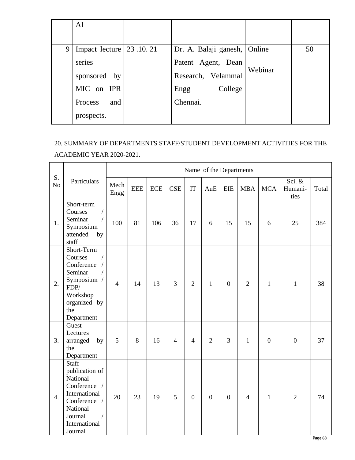|   | AI                                |                              |         |    |
|---|-----------------------------------|------------------------------|---------|----|
|   |                                   |                              |         |    |
| 9 | Impact lecture $\vert$ 23 .10 .21 | Dr. A. Balaji ganesh, Online |         | 50 |
|   | series                            | Patent Agent, Dean           |         |    |
|   | sponsored by                      | Research, Velammal           | Webinar |    |
|   | MIC on IPR                        | College<br>Engg              |         |    |
|   | and<br>Process                    | Chennai.                     |         |    |
|   | prospects.                        |                              |         |    |

# 20. SUMMARY OF DEPARTMENTS STAFF/STUDENT DEVELOPMENT ACTIVITIES FOR THE

ACADEMIC YEAR 2020-2021.

|                      |                                                                                                                                                                  |                |            |            |                |                  | Name of the Departments |                  |                |                  |                           |       |
|----------------------|------------------------------------------------------------------------------------------------------------------------------------------------------------------|----------------|------------|------------|----------------|------------------|-------------------------|------------------|----------------|------------------|---------------------------|-------|
| S.<br>N <sub>o</sub> | Particulars                                                                                                                                                      | Mech<br>Engg   | <b>EEE</b> | <b>ECE</b> | <b>CSE</b>     | IT               | AuE                     | <b>EIE</b>       | <b>MBA</b>     | <b>MCA</b>       | Sci. &<br>Humani-<br>ties | Total |
| 1.                   | Short-term<br>$\sqrt{\phantom{a}}$<br>Courses<br>$\overline{1}$<br>Seminar<br>Symposium<br>attended<br>by<br>staff                                               | 100            | 81         | 106        | 36             | 17               | 6                       | 15               | 15             | 6                | 25                        | 384   |
| 2.                   | Short-Term<br>Courses<br>$\bigg)$<br>Conference<br>$\sqrt{2}$<br>Seminar<br>$\sqrt{2}$<br>Symposium /<br>FDP/<br>Workshop<br>organized by<br>the<br>Department   | $\overline{4}$ | 14         | 13         | 3              | $\overline{2}$   | $\mathbf{1}$            | $\mathbf{0}$     | $\overline{2}$ | $\mathbf{1}$     | $\mathbf{1}$              | 38    |
| 3.                   | Guest<br>Lectures<br>arranged<br>by<br>the<br>Department                                                                                                         | 5              | 8          | 16         | $\overline{4}$ | $\overline{4}$   | $\overline{2}$          | 3                | $\mathbf{1}$   | $\boldsymbol{0}$ | $\mathbf{0}$              | 37    |
| 4.                   | <b>Staff</b><br>publication of<br>National<br>Conference /<br>International<br>Conference /<br>National<br>Journal<br>$\overline{ }$<br>International<br>Journal | 20             | 23         | 19         | 5              | $\boldsymbol{0}$ | $\boldsymbol{0}$        | $\boldsymbol{0}$ | $\overline{4}$ | $\mathbf{1}$     | $\overline{2}$            | 74    |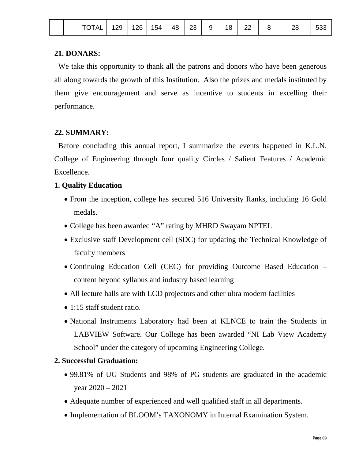| <b>TOTAL</b> |
|--------------|
|--------------|

### **21. DONARS:**

 We take this opportunity to thank all the patrons and donors who have been generous all along towards the growth of this Institution. Also the prizes and medals instituted by them give encouragement and serve as incentive to students in excelling their performance.

# **22. SUMMARY:**

Before concluding this annual report, I summarize the events happened in K.L.N. College of Engineering through four quality Circles / Salient Features / Academic Excellence.

# **1. Quality Education**

- From the inception, college has secured 516 University Ranks, including 16 Gold medals.
- College has been awarded "A" rating by MHRD Swayam NPTEL
- Exclusive staff Development cell (SDC) for updating the Technical Knowledge of faculty members
- Continuing Education Cell (CEC) for providing Outcome Based Education content beyond syllabus and industry based learning
- All lecture halls are with LCD projectors and other ultra modern facilities
- 1:15 staff student ratio.
- National Instruments Laboratory had been at KLNCE to train the Students in LABVIEW Software. Our College has been awarded "NI Lab View Academy School" under the category of upcoming Engineering College.

# **2. Successful Graduation:**

- 99.81% of UG Students and 98% of PG students are graduated in the academic year 2020 – 2021
- Adequate number of experienced and well qualified staff in all departments.
- Implementation of BLOOM's TAXONOMY in Internal Examination System.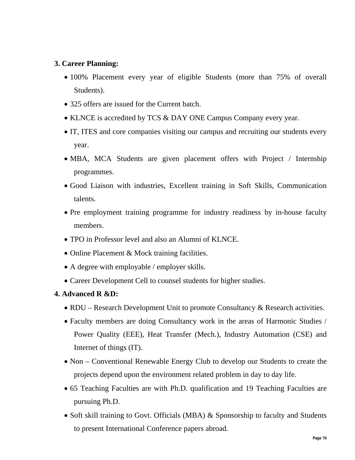#### **3. Career Planning:**

- 100% Placement every year of eligible Students (more than 75% of overall Students).
- 325 offers are issued for the Current batch.
- KLNCE is accredited by TCS & DAY ONE Campus Company every year.
- IT, ITES and core companies visiting our campus and recruiting our students every year.
- MBA, MCA Students are given placement offers with Project / Internship programmes.
- Good Liaison with industries, Excellent training in Soft Skills, Communication talents.
- Pre employment training programme for industry readiness by in-house faculty members.
- TPO in Professor level and also an Alumni of KLNCE.
- Online Placement & Mock training facilities.
- A degree with employable / employer skills.
- Career Development Cell to counsel students for higher studies.

#### **4. Advanced R &D:**

- RDU Research Development Unit to promote Consultancy & Research activities.
- Faculty members are doing Consultancy work in the areas of Harmonic Studies / Power Quality (EEE), Heat Transfer (Mech.), Industry Automation (CSE) and Internet of things (IT).
- Non Conventional Renewable Energy Club to develop our Students to create the projects depend upon the environment related problem in day to day life.
- 65 Teaching Faculties are with Ph.D. qualification and 19 Teaching Faculties are pursuing Ph.D.
- Soft skill training to Govt. Officials (MBA) & Sponsorship to faculty and Students to present International Conference papers abroad.